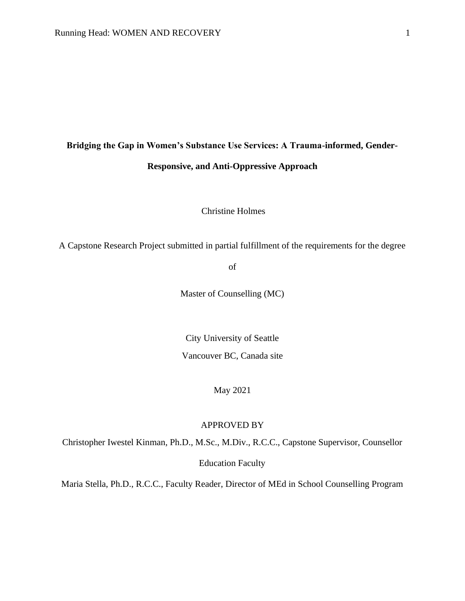# **Bridging the Gap in Women's Substance Use Services: A Trauma-informed, Gender-Responsive, and Anti-Oppressive Approach**

Christine Holmes

A Capstone Research Project submitted in partial fulfillment of the requirements for the degree

of

Master of Counselling (MC)

City University of Seattle Vancouver BC, Canada site

May 2021

# APPROVED BY

Christopher Iwestel Kinman, Ph.D., M.Sc., M.Div., R.C.C., Capstone Supervisor, Counsellor

Education Faculty

Maria Stella, Ph.D., R.C.C., Faculty Reader, Director of MEd in School Counselling Program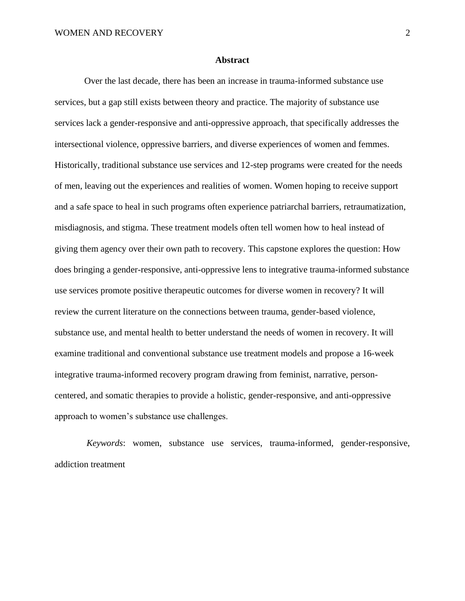#### **Abstract**

<span id="page-1-0"></span>Over the last decade, there has been an increase in trauma-informed substance use services, but a gap still exists between theory and practice. The majority of substance use services lack a gender-responsive and anti-oppressive approach, that specifically addresses the intersectional violence, oppressive barriers, and diverse experiences of women and femmes. Historically, traditional substance use services and 12-step programs were created for the needs of men, leaving out the experiences and realities of women. Women hoping to receive support and a safe space to heal in such programs often experience patriarchal barriers, retraumatization, misdiagnosis, and stigma. These treatment models often tell women how to heal instead of giving them agency over their own path to recovery. This capstone explores the question: How does bringing a gender-responsive, anti-oppressive lens to integrative trauma-informed substance use services promote positive therapeutic outcomes for diverse women in recovery? It will review the current literature on the connections between trauma, gender-based violence, substance use, and mental health to better understand the needs of women in recovery. It will examine traditional and conventional substance use treatment models and propose a 16-week integrative trauma-informed recovery program drawing from feminist, narrative, personcentered, and somatic therapies to provide a holistic, gender-responsive, and anti-oppressive approach to women's substance use challenges.

 *Keywords*: women, substance use services, trauma-informed, gender-responsive, addiction treatment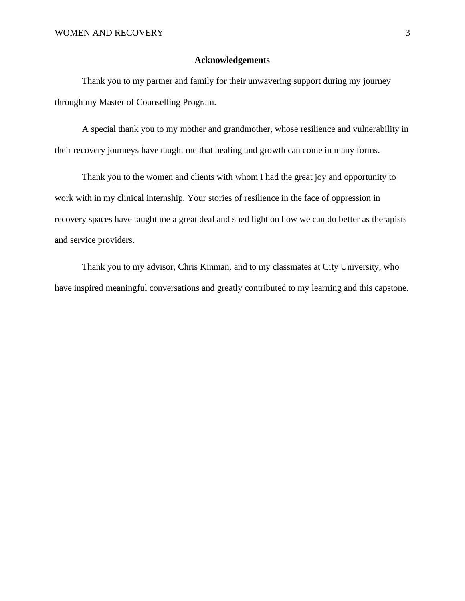#### **Acknowledgements**

<span id="page-2-0"></span>Thank you to my partner and family for their unwavering support during my journey through my Master of Counselling Program.

A special thank you to my mother and grandmother, whose resilience and vulnerability in their recovery journeys have taught me that healing and growth can come in many forms.

Thank you to the women and clients with whom I had the great joy and opportunity to work with in my clinical internship. Your stories of resilience in the face of oppression in recovery spaces have taught me a great deal and shed light on how we can do better as therapists and service providers.

Thank you to my advisor, Chris Kinman, and to my classmates at City University, who have inspired meaningful conversations and greatly contributed to my learning and this capstone.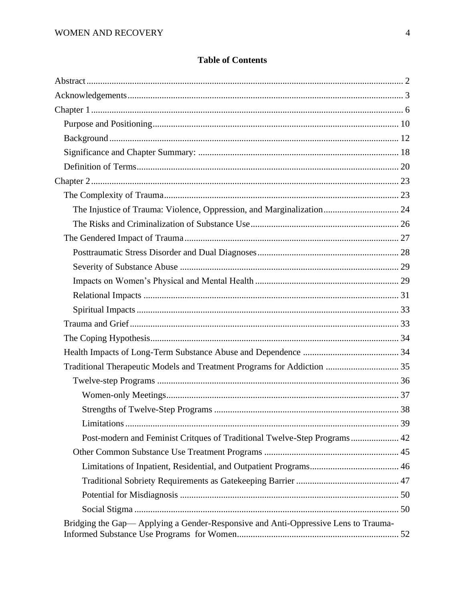# **Table of Contents**

| Traditional Therapeutic Models and Treatment Programs for Addiction  35           |  |
|-----------------------------------------------------------------------------------|--|
|                                                                                   |  |
|                                                                                   |  |
|                                                                                   |  |
|                                                                                   |  |
| Post-modern and Feminist Critques of Traditional Twelve-Step Programs 42          |  |
|                                                                                   |  |
|                                                                                   |  |
|                                                                                   |  |
|                                                                                   |  |
|                                                                                   |  |
| Bridging the Gap—Applying a Gender-Responsive and Anti-Oppressive Lens to Trauma- |  |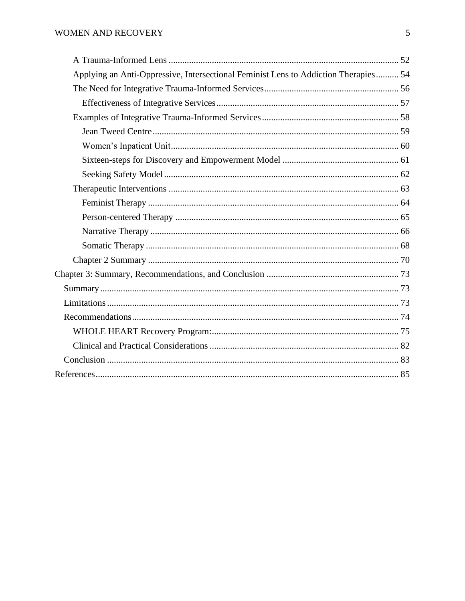| Applying an Anti-Oppressive, Intersectional Feminist Lens to Addiction Therapies 54 |  |
|-------------------------------------------------------------------------------------|--|
|                                                                                     |  |
|                                                                                     |  |
|                                                                                     |  |
|                                                                                     |  |
|                                                                                     |  |
|                                                                                     |  |
|                                                                                     |  |
|                                                                                     |  |
|                                                                                     |  |
|                                                                                     |  |
|                                                                                     |  |
|                                                                                     |  |
|                                                                                     |  |
|                                                                                     |  |
|                                                                                     |  |
|                                                                                     |  |
|                                                                                     |  |
|                                                                                     |  |
|                                                                                     |  |
|                                                                                     |  |
|                                                                                     |  |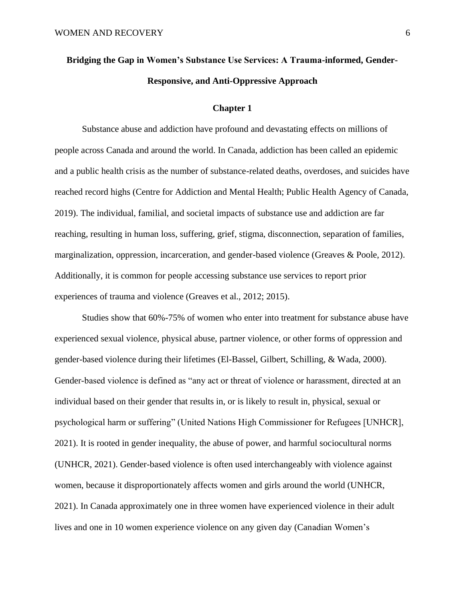# **Bridging the Gap in Women's Substance Use Services: A Trauma-informed, Gender-Responsive, and Anti-Oppressive Approach**

#### **Chapter 1**

<span id="page-5-0"></span>Substance abuse and addiction have profound and devastating effects on millions of people across Canada and around the world. In Canada, addiction has been called an epidemic and a public health crisis as the number of substance-related deaths, overdoses, and suicides have reached record highs (Centre for Addiction and Mental Health; Public Health Agency of Canada, 2019). The individual, familial, and societal impacts of substance use and addiction are far reaching, resulting in human loss, suffering, grief, stigma, disconnection, separation of families, marginalization, oppression, incarceration, and gender-based violence (Greaves & Poole, 2012). Additionally, it is common for people accessing substance use services to report prior experiences of trauma and violence (Greaves et al., 2012; 2015).

Studies show that 60%-75% of women who enter into treatment for substance abuse have experienced sexual violence, physical abuse, partner violence, or other forms of oppression and gender-based violence during their lifetimes (El-Bassel, Gilbert, Schilling, & Wada, 2000). Gender-based violence is defined as "any act or threat of violence or harassment, directed at an individual based on their gender that results in, or is likely to result in, physical, sexual or psychological harm or suffering" (United Nations High Commissioner for Refugees [UNHCR], 2021). It is rooted in gender inequality, the abuse of power, and harmful sociocultural norms (UNHCR, 2021). Gender-based violence is often used interchangeably with violence against women, because it disproportionately affects women and girls around the world (UNHCR, 2021). In Canada approximately one in three women have experienced violence in their adult lives and one in 10 women experience violence on any given day (Canadian Women's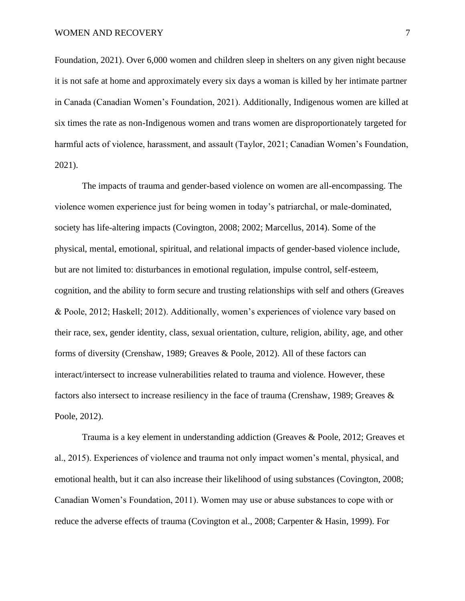Foundation, 2021). Over 6,000 women and children sleep in shelters on any given night because it is not safe at home and approximately every six days a woman is killed by her intimate partner in Canada (Canadian Women's Foundation, 2021). Additionally, Indigenous women are killed at six times the rate as non-Indigenous women and trans women are disproportionately targeted for harmful acts of violence, harassment, and assault (Taylor, 2021; Canadian Women's Foundation, 2021).

The impacts of trauma and gender-based violence on women are all-encompassing. The violence women experience just for being women in today's patriarchal, or male-dominated, society has life-altering impacts (Covington, 2008; 2002; Marcellus, 2014). Some of the physical, mental, emotional, spiritual, and relational impacts of gender-based violence include, but are not limited to: disturbances in emotional regulation, impulse control, self-esteem, cognition, and the ability to form secure and trusting relationships with self and others (Greaves & Poole, 2012; Haskell; 2012). Additionally, women's experiences of violence vary based on their race, sex, gender identity, class, sexual orientation, culture, religion, ability, age, and other forms of diversity (Crenshaw, 1989; Greaves & Poole, 2012). All of these factors can interact/intersect to increase vulnerabilities related to trauma and violence. However, these factors also intersect to increase resiliency in the face of trauma (Crenshaw, 1989; Greaves & Poole, 2012).

Trauma is a key element in understanding addiction (Greaves & Poole, 2012; Greaves et al., 2015). Experiences of violence and trauma not only impact women's mental, physical, and emotional health, but it can also increase their likelihood of using substances (Covington, 2008; Canadian Women's Foundation, 2011). Women may use or abuse substances to cope with or reduce the adverse effects of trauma (Covington et al., 2008; Carpenter & Hasin, 1999). For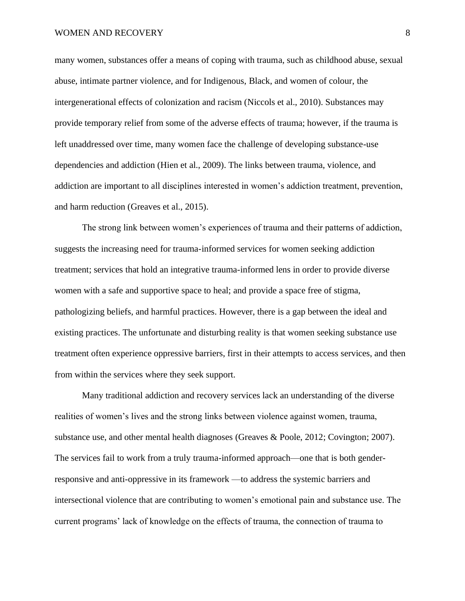#### WOMEN AND RECOVERY 8

many women, substances offer a means of coping with trauma, such as childhood abuse, sexual abuse, intimate partner violence, and for Indigenous, Black, and women of colour, the intergenerational effects of colonization and racism (Niccols et al., 2010). Substances may provide temporary relief from some of the adverse effects of trauma; however, if the trauma is left unaddressed over time, many women face the challenge of developing substance-use dependencies and addiction (Hien et al., 2009). The links between trauma, violence, and addiction are important to all disciplines interested in women's addiction treatment, prevention, and harm reduction (Greaves et al., 2015).

The strong link between women's experiences of trauma and their patterns of addiction, suggests the increasing need for trauma-informed services for women seeking addiction treatment; services that hold an integrative trauma-informed lens in order to provide diverse women with a safe and supportive space to heal; and provide a space free of stigma, pathologizing beliefs, and harmful practices. However, there is a gap between the ideal and existing practices. The unfortunate and disturbing reality is that women seeking substance use treatment often experience oppressive barriers, first in their attempts to access services, and then from within the services where they seek support.

Many traditional addiction and recovery services lack an understanding of the diverse realities of women's lives and the strong links between violence against women, trauma, substance use, and other mental health diagnoses (Greaves & Poole, 2012; Covington; 2007). The services fail to work from a truly trauma-informed approach—one that is both genderresponsive and anti-oppressive in its framework —to address the systemic barriers and intersectional violence that are contributing to women's emotional pain and substance use. The current programs' lack of knowledge on the effects of trauma, the connection of trauma to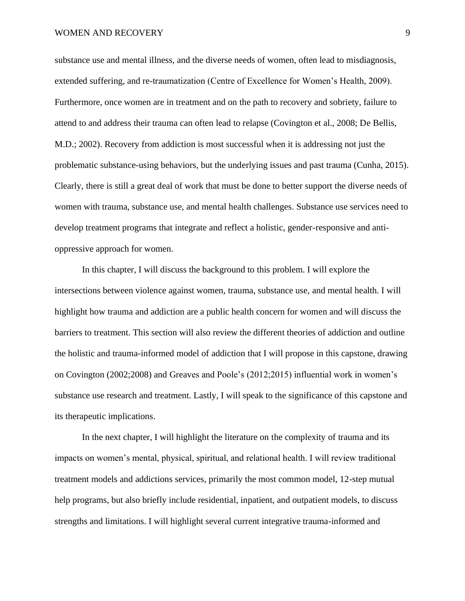#### WOMEN AND RECOVERY 9

substance use and mental illness, and the diverse needs of women, often lead to misdiagnosis, extended suffering, and re-traumatization (Centre of Excellence for Women's Health, 2009). Furthermore, once women are in treatment and on the path to recovery and sobriety, failure to attend to and address their trauma can often lead to relapse (Covington et al., 2008; De Bellis, M.D.; 2002). Recovery from addiction is most successful when it is addressing not just the problematic substance-using behaviors, but the underlying issues and past trauma (Cunha, 2015). Clearly, there is still a great deal of work that must be done to better support the diverse needs of women with trauma, substance use, and mental health challenges. Substance use services need to develop treatment programs that integrate and reflect a holistic, gender-responsive and antioppressive approach for women.

In this chapter, I will discuss the background to this problem. I will explore the intersections between violence against women, trauma, substance use, and mental health. I will highlight how trauma and addiction are a public health concern for women and will discuss the barriers to treatment. This section will also review the different theories of addiction and outline the holistic and trauma-informed model of addiction that I will propose in this capstone, drawing on Covington (2002;2008) and Greaves and Poole's (2012;2015) influential work in women's substance use research and treatment. Lastly, I will speak to the significance of this capstone and its therapeutic implications.

In the next chapter, I will highlight the literature on the complexity of trauma and its impacts on women's mental, physical, spiritual, and relational health. I will review traditional treatment models and addictions services, primarily the most common model, 12-step mutual help programs, but also briefly include residential, inpatient, and outpatient models, to discuss strengths and limitations. I will highlight several current integrative trauma-informed and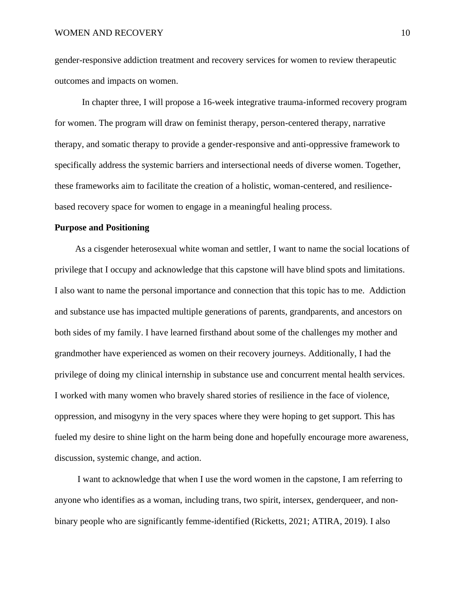gender-responsive addiction treatment and recovery services for women to review therapeutic outcomes and impacts on women.

In chapter three, I will propose a 16-week integrative trauma-informed recovery program for women. The program will draw on feminist therapy, person-centered therapy, narrative therapy, and somatic therapy to provide a gender-responsive and anti-oppressive framework to specifically address the systemic barriers and intersectional needs of diverse women. Together, these frameworks aim to facilitate the creation of a holistic, woman-centered, and resiliencebased recovery space for women to engage in a meaningful healing process.

# <span id="page-9-0"></span>**Purpose and Positioning**

As a cisgender heterosexual white woman and settler, I want to name the social locations of privilege that I occupy and acknowledge that this capstone will have blind spots and limitations. I also want to name the personal importance and connection that this topic has to me. Addiction and substance use has impacted multiple generations of parents, grandparents, and ancestors on both sides of my family. I have learned firsthand about some of the challenges my mother and grandmother have experienced as women on their recovery journeys. Additionally, I had the privilege of doing my clinical internship in substance use and concurrent mental health services. I worked with many women who bravely shared stories of resilience in the face of violence, oppression, and misogyny in the very spaces where they were hoping to get support. This has fueled my desire to shine light on the harm being done and hopefully encourage more awareness, discussion, systemic change, and action.

I want to acknowledge that when I use the word women in the capstone, I am referring to anyone who identifies as a woman, including trans, two spirit, intersex, genderqueer, and nonbinary people who are significantly femme-identified (Ricketts, 2021; ATIRA, 2019). I also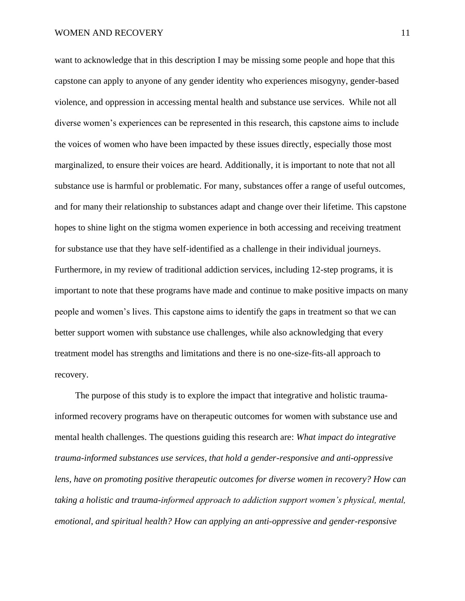want to acknowledge that in this description I may be missing some people and hope that this capstone can apply to anyone of any gender identity who experiences misogyny, gender-based violence, and oppression in accessing mental health and substance use services. While not all diverse women's experiences can be represented in this research, this capstone aims to include the voices of women who have been impacted by these issues directly, especially those most marginalized, to ensure their voices are heard. Additionally, it is important to note that not all substance use is harmful or problematic. For many, substances offer a range of useful outcomes, and for many their relationship to substances adapt and change over their lifetime. This capstone hopes to shine light on the stigma women experience in both accessing and receiving treatment for substance use that they have self-identified as a challenge in their individual journeys. Furthermore, in my review of traditional addiction services, including 12-step programs, it is important to note that these programs have made and continue to make positive impacts on many people and women's lives. This capstone aims to identify the gaps in treatment so that we can better support women with substance use challenges, while also acknowledging that every treatment model has strengths and limitations and there is no one-size-fits-all approach to recovery.

The purpose of this study is to explore the impact that integrative and holistic traumainformed recovery programs have on therapeutic outcomes for women with substance use and mental health challenges. The questions guiding this research are: *What impact do integrative trauma-informed substances use services, that hold a gender-responsive and anti-oppressive lens, have on promoting positive therapeutic outcomes for diverse women in recovery? How can taking a holistic and trauma-informed approach to addiction support women's physical, mental, emotional, and spiritual health? How can applying an anti-oppressive and gender-responsive*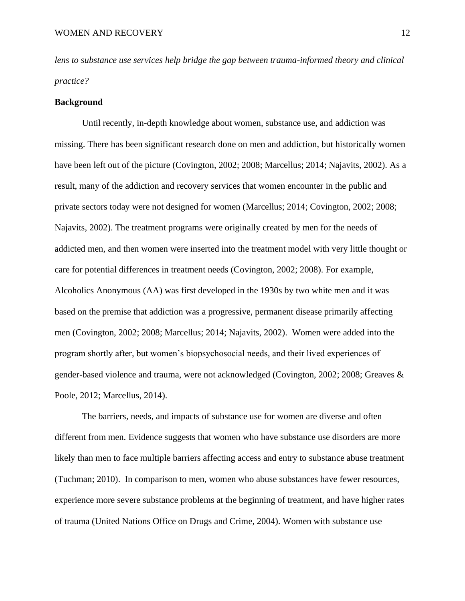*lens to substance use services help bridge the gap between trauma-informed theory and clinical practice?*

#### <span id="page-11-0"></span>**Background**

Until recently, in-depth knowledge about women, substance use, and addiction was missing. There has been significant research done on men and addiction, but historically women have been left out of the picture (Covington, 2002; 2008; Marcellus; 2014; Najavits, 2002). As a result, many of the addiction and recovery services that women encounter in the public and private sectors today were not designed for women (Marcellus; 2014; Covington, 2002; 2008; Najavits, 2002). The treatment programs were originally created by men for the needs of addicted men, and then women were inserted into the treatment model with very little thought or care for potential differences in treatment needs (Covington, 2002; 2008). For example, Alcoholics Anonymous (AA) was first developed in the 1930s by two white men and it was based on the premise that addiction was a progressive, permanent disease primarily affecting men (Covington, 2002; 2008; Marcellus; 2014; Najavits, 2002). Women were added into the program shortly after, but women's biopsychosocial needs, and their lived experiences of gender-based violence and trauma, were not acknowledged (Covington, 2002; 2008; Greaves & Poole, 2012; Marcellus, 2014).

The barriers, needs, and impacts of substance use for women are diverse and often different from men. Evidence suggests that women who have substance use disorders are more likely than men to face multiple barriers affecting access and entry to substance abuse treatment (Tuchman; 2010). In comparison to men, women who abuse substances have fewer resources, experience more severe substance problems at the beginning of treatment, and have higher rates of trauma (United Nations Office on Drugs and Crime, 2004). Women with substance use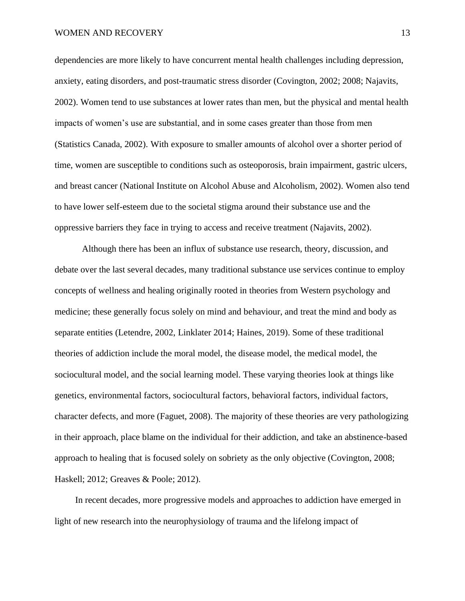#### WOMEN AND RECOVERY 13

dependencies are more likely to have concurrent mental health challenges including depression, anxiety, eating disorders, and post-traumatic stress disorder (Covington, 2002; 2008; Najavits, 2002). Women tend to use substances at lower rates than men, but the physical and mental health impacts of women's use are substantial, and in some cases greater than those from men (Statistics Canada, 2002). With exposure to smaller amounts of alcohol over a shorter period of time, women are susceptible to conditions such as osteoporosis, brain impairment, gastric ulcers, and breast cancer (National Institute on Alcohol Abuse and Alcoholism, 2002). Women also tend to have lower self-esteem due to the societal stigma around their substance use and the oppressive barriers they face in trying to access and receive treatment (Najavits, 2002).

Although there has been an influx of substance use research, theory, discussion, and debate over the last several decades, many traditional substance use services continue to employ concepts of wellness and healing originally rooted in theories from Western psychology and medicine; these generally focus solely on mind and behaviour, and treat the mind and body as separate entities (Letendre, 2002, Linklater 2014; Haines, 2019). Some of these traditional theories of addiction include the moral model, the disease model, the medical model, the sociocultural model, and the social learning model. These varying theories look at things like genetics, environmental factors, sociocultural factors, behavioral factors, individual factors, character defects, and more (Faguet, 2008). The majority of these theories are very pathologizing in their approach, place blame on the individual for their addiction, and take an abstinence-based approach to healing that is focused solely on sobriety as the only objective (Covington, 2008; Haskell; 2012; Greaves & Poole; 2012).

In recent decades, more progressive models and approaches to addiction have emerged in light of new research into the neurophysiology of trauma and the lifelong impact of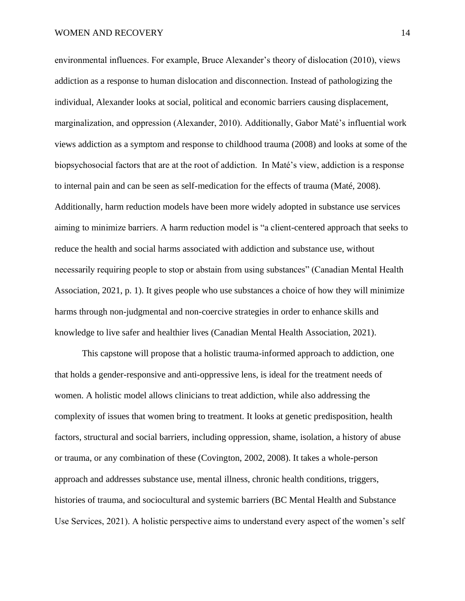environmental influences. For example, Bruce Alexander's theory of dislocation (2010), views addiction as a response to human dislocation and disconnection. Instead of pathologizing the individual, Alexander looks at social, political and economic barriers causing displacement, marginalization, and oppression (Alexander, 2010). Additionally, Gabor Maté's influential work views addiction as a symptom and response to childhood trauma (2008) and looks at some of the biopsychosocial factors that are at the root of addiction. In Maté's view, addiction is a response to internal pain and can be seen as self-medication for the effects of trauma (Maté, 2008). Additionally, harm reduction models have been more widely adopted in substance use services aiming to minimize barriers. A harm reduction model is "a client-centered approach that seeks to reduce the health and social harms associated with addiction and substance use, without necessarily requiring people to stop or abstain from using substances" (Canadian Mental Health Association, 2021, p. 1). It gives people who use substances a choice of how they will minimize harms through non-judgmental and non-coercive strategies in order to enhance skills and knowledge to live safer and healthier lives (Canadian Mental Health Association, 2021).

This capstone will propose that a holistic trauma-informed approach to addiction, one that holds a gender-responsive and anti-oppressive lens, is ideal for the treatment needs of women. A holistic model allows clinicians to treat addiction, while also addressing the complexity of issues that women bring to treatment. It looks at genetic predisposition, health factors, structural and social barriers, including oppression, shame, isolation, a history of abuse or trauma, or any combination of these (Covington, 2002, 2008). It takes a whole-person approach and addresses substance use, mental illness, chronic health conditions, triggers, histories of trauma, and sociocultural and systemic barriers (BC Mental Health and Substance Use Services, 2021). A holistic perspective aims to understand every aspect of the women's self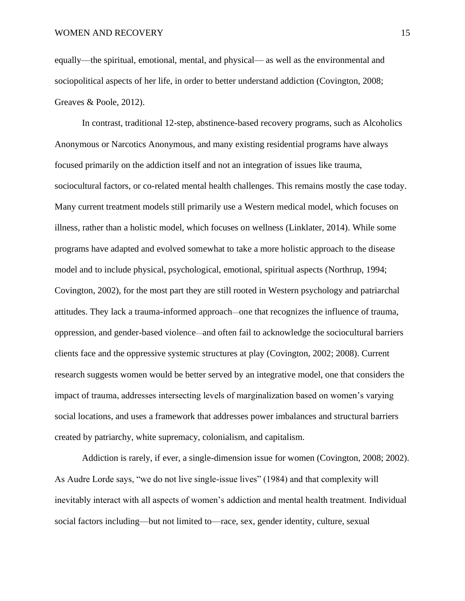equally—the spiritual, emotional, mental, and physical— as well as the environmental and sociopolitical aspects of her life, in order to better understand addiction (Covington, 2008; Greaves & Poole, 2012).

In contrast, traditional 12-step, abstinence-based recovery programs, such as Alcoholics Anonymous or Narcotics Anonymous, and many existing residential programs have always focused primarily on the addiction itself and not an integration of issues like trauma, sociocultural factors, or co-related mental health challenges. This remains mostly the case today. Many current treatment models still primarily use a Western medical model, which focuses on illness, rather than a holistic model, which focuses on wellness (Linklater, 2014). While some programs have adapted and evolved somewhat to take a more holistic approach to the disease model and to include physical, psychological, emotional, spiritual aspects (Northrup, 1994; Covington, 2002), for the most part they are still rooted in Western psychology and patriarchal attitudes. They lack a trauma-informed approach—one that recognizes the influence of trauma, oppression, and gender-based violence—and often fail to acknowledge the sociocultural barriers clients face and the oppressive systemic structures at play (Covington, 2002; 2008). Current research suggests women would be better served by an integrative model, one that considers the impact of trauma, addresses intersecting levels of marginalization based on women's varying social locations, and uses a framework that addresses power imbalances and structural barriers created by patriarchy, white supremacy, colonialism, and capitalism.

Addiction is rarely, if ever, a single-dimension issue for women (Covington, 2008; 2002). As Audre Lorde says, "we do not live single-issue lives" (1984) and that complexity will inevitably interact with all aspects of women's addiction and mental health treatment. Individual social factors including—but not limited to—race, sex, gender identity, culture, sexual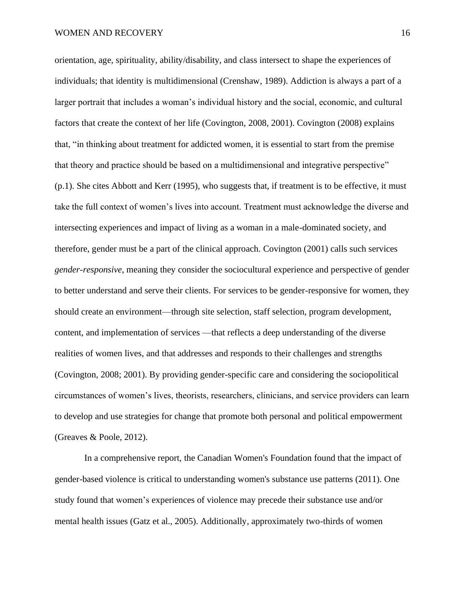orientation, age, spirituality, ability/disability, and class intersect to shape the experiences of individuals; that identity is multidimensional (Crenshaw, 1989). Addiction is always a part of a larger portrait that includes a woman's individual history and the social, economic, and cultural factors that create the context of her life (Covington, 2008, 2001). Covington (2008) explains that, "in thinking about treatment for addicted women, it is essential to start from the premise that theory and practice should be based on a multidimensional and integrative perspective" (p.1). She cites Abbott and Kerr (1995), who suggests that, if treatment is to be effective, it must take the full context of women's lives into account. Treatment must acknowledge the diverse and intersecting experiences and impact of living as a woman in a male-dominated society, and therefore, gender must be a part of the clinical approach. Covington (2001) calls such services *gender-responsive*, meaning they consider the sociocultural experience and perspective of gender to better understand and serve their clients. For services to be gender-responsive for women, they should create an environment—through site selection, staff selection, program development, content, and implementation of services —that reflects a deep understanding of the diverse realities of women lives, and that addresses and responds to their challenges and strengths (Covington, 2008; 2001). By providing gender-specific care and considering the sociopolitical circumstances of women's lives, theorists, researchers, clinicians, and service providers can learn to develop and use strategies for change that promote both personal and political empowerment (Greaves & Poole, 2012).

In a comprehensive report, the Canadian Women's Foundation found that the impact of gender-based violence is critical to understanding women's substance use patterns (2011). One study found that women's experiences of violence may precede their substance use and/or mental health issues (Gatz et al., 2005). Additionally, approximately two-thirds of women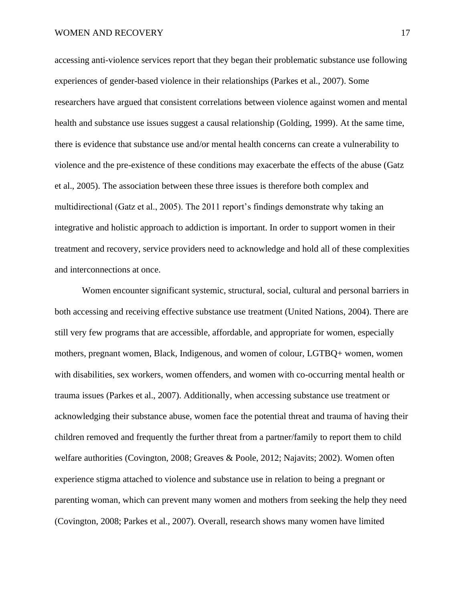accessing anti-violence services report that they began their problematic substance use following experiences of gender-based violence in their relationships (Parkes et al., 2007). Some researchers have argued that consistent correlations between violence against women and mental health and substance use issues suggest a causal relationship (Golding, 1999). At the same time, there is evidence that substance use and/or mental health concerns can create a vulnerability to violence and the pre-existence of these conditions may exacerbate the effects of the abuse (Gatz et al., 2005). The association between these three issues is therefore both complex and multidirectional (Gatz et al., 2005). The 2011 report's findings demonstrate why taking an integrative and holistic approach to addiction is important. In order to support women in their treatment and recovery, service providers need to acknowledge and hold all of these complexities and interconnections at once.

Women encounter significant systemic, structural, social, cultural and personal barriers in both accessing and receiving effective substance use treatment (United Nations, 2004). There are still very few programs that are accessible, affordable, and appropriate for women, especially mothers, pregnant women, Black, Indigenous, and women of colour, LGTBQ+ women, women with disabilities, sex workers, women offenders, and women with co-occurring mental health or trauma issues (Parkes et al., 2007). Additionally, when accessing substance use treatment or acknowledging their substance abuse, women face the potential threat and trauma of having their children removed and frequently the further threat from a partner/family to report them to child welfare authorities (Covington, 2008; Greaves & Poole, 2012; Najavits; 2002). Women often experience stigma attached to violence and substance use in relation to being a pregnant or parenting woman, which can prevent many women and mothers from seeking the help they need (Covington, 2008; Parkes et al., 2007). Overall, research shows many women have limited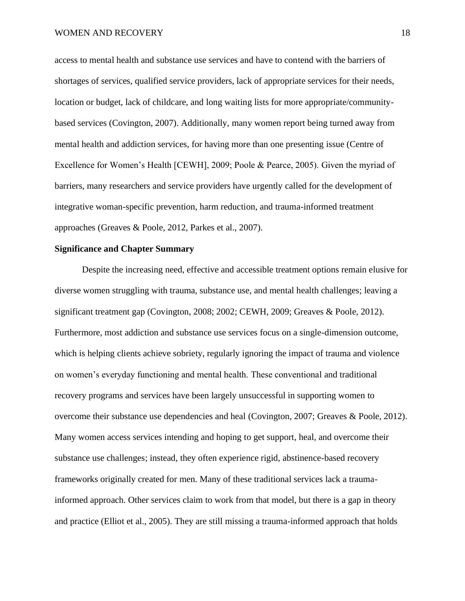access to mental health and substance use services and have to contend with the barriers of shortages of services, qualified service providers, lack of appropriate services for their needs, location or budget, lack of childcare, and long waiting lists for more appropriate/communitybased services (Covington, 2007). Additionally, many women report being turned away from mental health and addiction services, for having more than one presenting issue (Centre of Excellence for Women's Health [CEWH], 2009; Poole & Pearce, 2005). Given the myriad of barriers, many researchers and service providers have urgently called for the development of integrative woman-specific prevention, harm reduction, and trauma-informed treatment approaches (Greaves & Poole, 2012, Parkes et al., 2007).

# <span id="page-17-0"></span>**Significance and Chapter Summary**

Despite the increasing need, effective and accessible treatment options remain elusive for diverse women struggling with trauma, substance use, and mental health challenges; leaving a significant treatment gap (Covington, 2008; 2002; CEWH, 2009; Greaves & Poole, 2012). Furthermore, most addiction and substance use services focus on a single-dimension outcome, which is helping clients achieve sobriety, regularly ignoring the impact of trauma and violence on women's everyday functioning and mental health. These conventional and traditional recovery programs and services have been largely unsuccessful in supporting women to overcome their substance use dependencies and heal (Covington, 2007; Greaves & Poole, 2012). Many women access services intending and hoping to get support, heal, and overcome their substance use challenges; instead, they often experience rigid, abstinence-based recovery frameworks originally created for men. Many of these traditional services lack a traumainformed approach. Other services claim to work from that model, but there is a gap in theory and practice (Elliot et al., 2005). They are still missing a trauma-informed approach that holds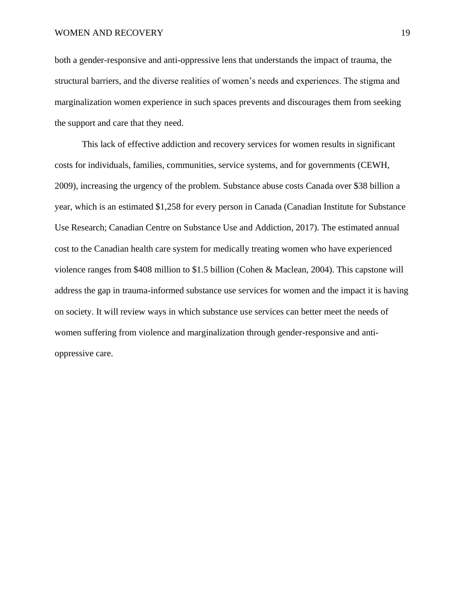both a gender-responsive and anti-oppressive lens that understands the impact of trauma, the structural barriers, and the diverse realities of women's needs and experiences. The stigma and marginalization women experience in such spaces prevents and discourages them from seeking the support and care that they need.

This lack of effective addiction and recovery services for women results in significant costs for individuals, families, communities, service systems, and for governments (CEWH, 2009), increasing the urgency of the problem. Substance abuse costs Canada over \$38 billion a year, which is an estimated \$1,258 for every person in Canada (Canadian Institute for Substance Use Research; Canadian Centre on Substance Use and Addiction, 2017). The estimated annual cost to the Canadian health care system for medically treating women who have experienced violence ranges from \$408 million to \$1.5 billion (Cohen & Maclean, 2004). This capstone will address the gap in trauma-informed substance use services for women and the impact it is having on society. It will review ways in which substance use services can better meet the needs of women suffering from violence and marginalization through gender-responsive and antioppressive care.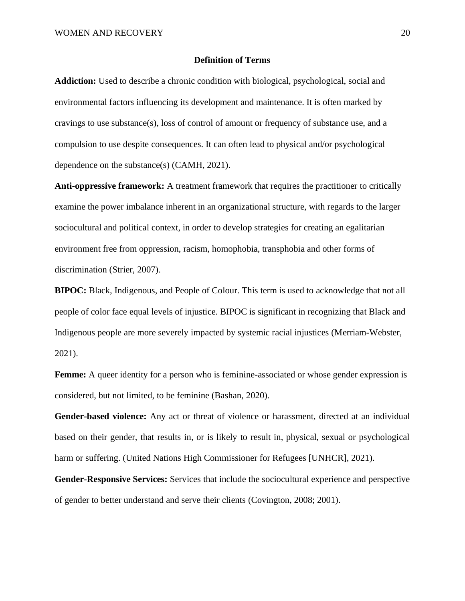#### **Definition of Terms**

<span id="page-19-0"></span>**Addiction:** Used to describe a chronic condition with biological, psychological, social and environmental factors influencing its development and maintenance. It is often marked by cravings to use substance(s), loss of control of amount or frequency of substance use, and a compulsion to use despite consequences. It can often lead to physical and/or psychological dependence on the substance(s) (CAMH, 2021).

**Anti-oppressive framework:** A treatment framework that requires the practitioner to critically examine the power imbalance inherent in an organizational structure, with regards to the larger [sociocultural](https://en.wikipedia.org/wiki/Sociocultural) and political context, in order to develop strategies for creating an egalitarian environment free from oppression, racism, homophobia, transphobia and other forms of discrimination (Strier, 2007).

**BIPOC:** Black, Indigenous, and People of Colour. This term is used to acknowledge that not all people of color face equal levels of injustice. BIPOC is significant in recognizing that Black and Indigenous people are more severely impacted by systemic racial injustices (Merriam-Webster, 2021).

**Femme:** A queer identity for a person who is feminine-associated or whose gender expression is considered, but not limited, to be feminine (Bashan, 2020).

**Gender-based violence:** Any act or threat of violence or harassment, directed at an individual based on their gender, that results in, or is likely to result in, physical, sexual or psychological harm or suffering. (United Nations High Commissioner for Refugees [UNHCR], 2021).

**Gender-Responsive Services:** Services that include the sociocultural experience and perspective of gender to better understand and serve their clients (Covington, 2008; 2001).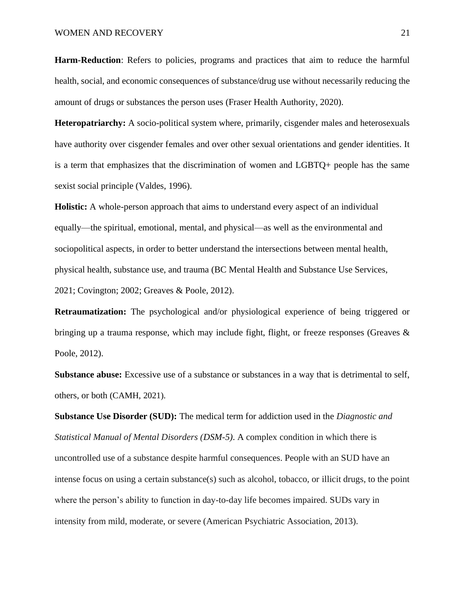**Harm-Reduction**: Refers to policies, programs and practices that aim to reduce the harmful health, social, and economic consequences of substance/drug use without necessarily reducing the amount of drugs or substances the person uses (Fraser Health Authority, 2020).

**Heteropatriarchy:** A socio-political system where, primarily, cisgender males and heterosexuals have authority over cisgender females and over other sexual orientations and gender identities. It is a term that emphasizes that the discrimination of women and LGBTQ+ people has the same sexist social principle (Valdes, 1996).

**Holistic:** A whole-person approach that aims to understand every aspect of an individual equally—the spiritual, emotional, mental, and physical—as well as the environmental and sociopolitical aspects, in order to better understand the intersections between mental health, physical health, substance use, and trauma (BC Mental Health and Substance Use Services, 2021; Covington; 2002; Greaves & Poole, 2012).

**Retraumatization:** The psychological and/or physiological experience of being triggered or bringing up a trauma response, which may include fight, flight, or freeze responses (Greaves  $\&$ Poole, 2012).

**Substance abuse:** Excessive use of a substance or substances in a way that is detrimental to self, others, or both (CAMH, 2021).

**Substance Use Disorder (SUD):** The medical term for addiction used in the *Diagnostic and Statistical Manual of Mental Disorders (DSM-5)*. A complex condition in which there is uncontrolled use of a substance despite harmful consequences. People with an SUD have an intense focus on using a certain substance(s) such as alcohol, tobacco, or illicit drugs, to the point where the person's ability to function in day-to-day life becomes impaired. SUDs vary in intensity from mild, moderate, or severe (American Psychiatric Association, 2013).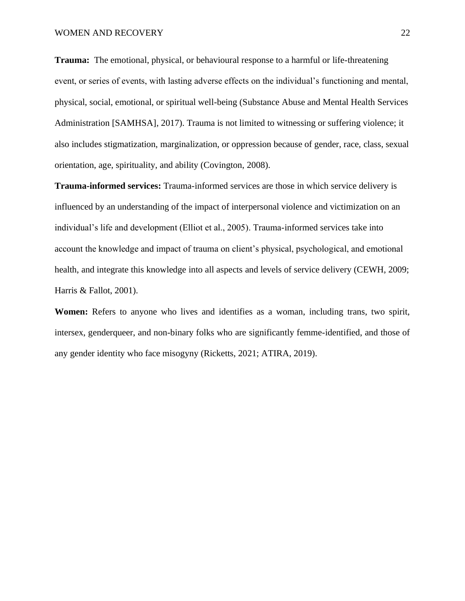**Trauma:** The emotional, physical, or behavioural response to a harmful or life-threatening event, or series of events, with lasting adverse effects on the individual's functioning and mental, physical, social, emotional, or spiritual well-being (Substance Abuse and Mental Health Services Administration [SAMHSA], 2017). Trauma is not limited to witnessing or suffering violence; it also includes stigmatization, marginalization, or oppression because of gender, race, class, sexual orientation, age, spirituality, and ability (Covington, 2008).

**Trauma-informed services:** Trauma-informed services are those in which service delivery is influenced by an understanding of the impact of interpersonal violence and victimization on an individual's life and development (Elliot et al., 2005). Trauma-informed services take into account the knowledge and impact of trauma on client's physical, psychological, and emotional health, and integrate this knowledge into all aspects and levels of service delivery (CEWH, 2009; Harris & Fallot, 2001).

**Women:** Refers to anyone who lives and identifies as a woman, including trans, two spirit, intersex, genderqueer, and non-binary folks who are significantly femme-identified, and those of any gender identity who face misogyny (Ricketts, 2021; ATIRA, 2019).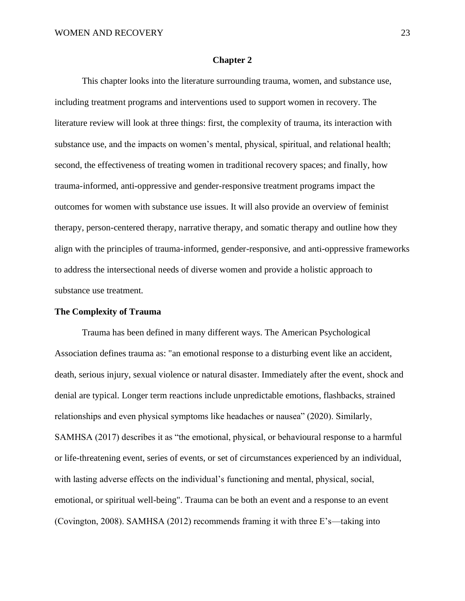#### **Chapter 2**

<span id="page-22-0"></span>This chapter looks into the literature surrounding trauma, women, and substance use, including treatment programs and interventions used to support women in recovery. The literature review will look at three things: first, the complexity of trauma, its interaction with substance use, and the impacts on women's mental, physical, spiritual, and relational health; second, the effectiveness of treating women in traditional recovery spaces; and finally, how trauma-informed, anti-oppressive and gender-responsive treatment programs impact the outcomes for women with substance use issues. It will also provide an overview of feminist therapy, person-centered therapy, narrative therapy, and somatic therapy and outline how they align with the principles of trauma-informed, gender-responsive, and anti-oppressive frameworks to address the intersectional needs of diverse women and provide a holistic approach to substance use treatment.

#### <span id="page-22-1"></span>**The Complexity of Trauma**

Trauma has been defined in many different ways. The American Psychological Association defines trauma as: "an emotional response to a disturbing event like an accident, death, serious injury, sexual violence or natural disaster. Immediately after the event, shock and denial are typical. Longer term reactions include unpredictable emotions, flashbacks, strained relationships and even physical symptoms like headaches or nausea" (2020). Similarly, SAMHSA (2017) describes it as "the emotional, physical, or behavioural response to a harmful or life-threatening event, series of events, or set of circumstances experienced by an individual, with lasting adverse effects on the individual's functioning and mental, physical, social, emotional, or spiritual well-being". Trauma can be both an event and a response to an event (Covington, 2008). SAMHSA (2012) recommends framing it with three E's—taking into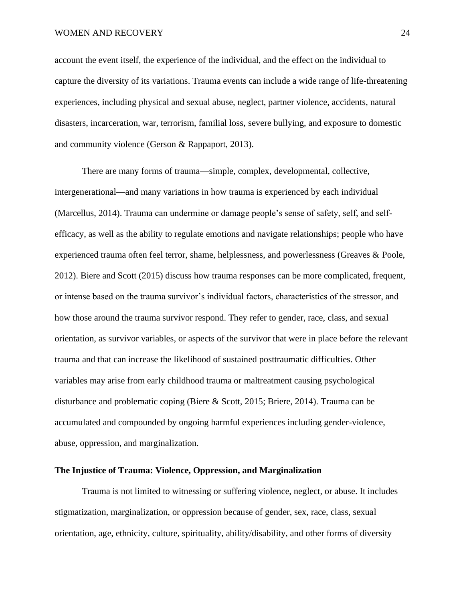WOMEN AND RECOVERY 24

account the event itself, the experience of the individual, and the effect on the individual to capture the diversity of its variations. Trauma events can include a wide range of life-threatening experiences, including physical and sexual abuse, neglect, partner violence, accidents, natural disasters, incarceration, war, terrorism, familial loss, severe bullying, and exposure to domestic and community violence (Gerson & Rappaport, 2013).

There are many forms of trauma—simple, complex, developmental, collective, intergenerational—and many variations in how trauma is experienced by each individual (Marcellus, 2014). Trauma can undermine or damage people's sense of safety, self, and selfefficacy, as well as the ability to regulate emotions and navigate relationships; people who have experienced trauma often feel terror, shame, helplessness, and powerlessness (Greaves & Poole, 2012). Biere and Scott (2015) discuss how trauma responses can be more complicated, frequent, or intense based on the trauma survivor's individual factors, characteristics of the stressor, and how those around the trauma survivor respond. They refer to gender, race, class, and sexual orientation, as survivor variables, or aspects of the survivor that were in place before the relevant trauma and that can increase the likelihood of sustained posttraumatic difficulties. Other variables may arise from early childhood trauma or maltreatment causing psychological disturbance and problematic coping (Biere & Scott, 2015; Briere, 2014). Trauma can be accumulated and compounded by ongoing harmful experiences including gender-violence, abuse, oppression, and marginalization.

# <span id="page-23-0"></span>**The Injustice of Trauma: Violence, Oppression, and Marginalization**

Trauma is not limited to witnessing or suffering violence, neglect, or abuse. It includes stigmatization, marginalization, or oppression because of gender, sex, race, class, sexual orientation, age, ethnicity, culture, spirituality, ability/disability, and other forms of diversity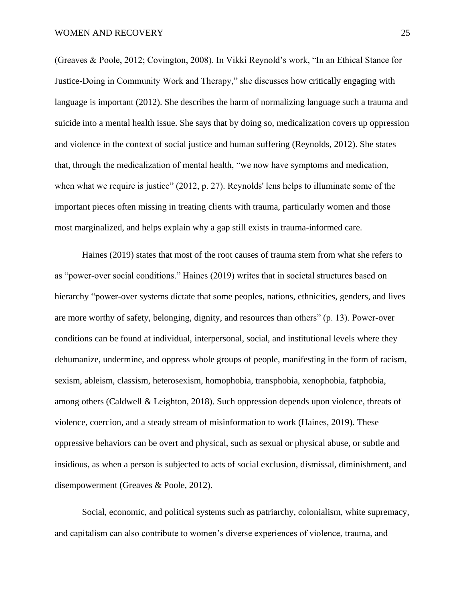(Greaves & Poole, 2012; Covington, 2008). In Vikki Reynold's work, "In an Ethical Stance for Justice-Doing in Community Work and Therapy," she discusses how critically engaging with language is important (2012). She describes the harm of normalizing language such a trauma and suicide into a mental health issue. She says that by doing so, medicalization covers up oppression and violence in the context of social justice and human suffering (Reynolds, 2012). She states that, through the medicalization of mental health, "we now have symptoms and medication, when what we require is justice" (2012, p. 27). Reynolds' lens helps to illuminate some of the important pieces often missing in treating clients with trauma, particularly women and those most marginalized, and helps explain why a gap still exists in trauma-informed care.

Haines (2019) states that most of the root causes of trauma stem from what she refers to as "power-over social conditions." Haines (2019) writes that in societal structures based on hierarchy "power-over systems dictate that some peoples, nations, ethnicities, genders, and lives are more worthy of safety, belonging, dignity, and resources than others" (p. 13). Power-over conditions can be found at individual, interpersonal, social, and institutional levels where they dehumanize, undermine, and oppress whole groups of people, manifesting in the form of racism, sexism, ableism, classism, heterosexism, homophobia, transphobia, xenophobia, fatphobia, among others (Caldwell & Leighton, 2018). Such oppression depends upon violence, threats of violence, coercion, and a steady stream of misinformation to work (Haines, 2019). These oppressive behaviors can be overt and physical, such as sexual or physical abuse, or subtle and insidious, as when a person is subjected to acts of social exclusion, dismissal, diminishment, and disempowerment (Greaves & Poole, 2012).

Social, economic, and political systems such as patriarchy, colonialism, white supremacy, and capitalism can also contribute to women's diverse experiences of violence, trauma, and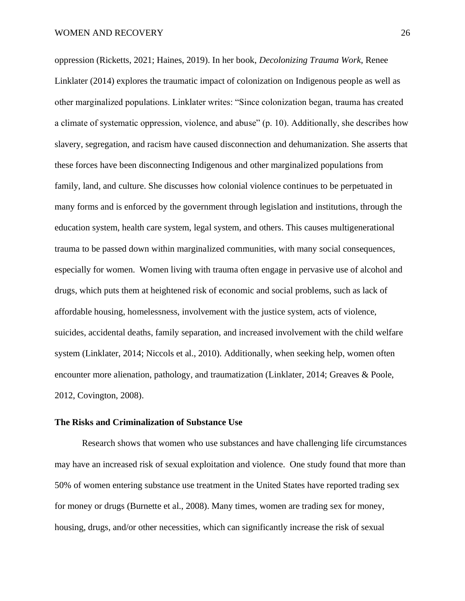oppression (Ricketts, 2021; Haines, 2019). In her book, *Decolonizing Trauma Work*, Renee Linklater (2014) explores the traumatic impact of colonization on Indigenous people as well as other marginalized populations. Linklater writes: "Since colonization began, trauma has created a climate of systematic oppression, violence, and abuse" (p. 10). Additionally, she describes how slavery, segregation, and racism have caused disconnection and dehumanization. She asserts that these forces have been disconnecting Indigenous and other marginalized populations from family, land, and culture. She discusses how colonial violence continues to be perpetuated in many forms and is enforced by the government through legislation and institutions, through the education system, health care system, legal system, and others. This causes multigenerational trauma to be passed down within marginalized communities, with many social consequences, especially for women. Women living with trauma often engage in pervasive use of alcohol and drugs, which puts them at heightened risk of economic and social problems, such as lack of affordable housing, homelessness, involvement with the justice system, acts of violence, suicides, accidental deaths, family separation, and increased involvement with the child welfare system (Linklater, 2014; Niccols et al., 2010). Additionally, when seeking help, women often encounter more alienation, pathology, and traumatization (Linklater, 2014; Greaves & Poole, 2012, Covington, 2008).

# <span id="page-25-0"></span>**The Risks and Criminalization of Substance Use**

Research shows that women who use substances and have challenging life circumstances may have an increased risk of sexual exploitation and violence. One study found that more than 50% of women entering substance use treatment in the United States have reported trading sex for money or drugs (Burnette et al., 2008). Many times, women are trading sex for money, housing, drugs, and/or other necessities, which can significantly increase the risk of sexual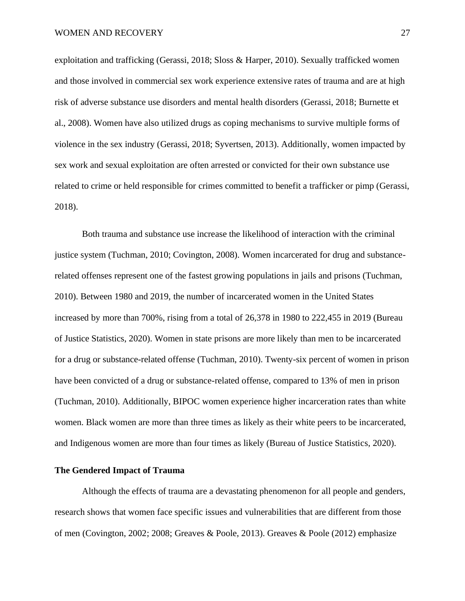exploitation and trafficking (Gerassi, 2018; Sloss & Harper, 2010). Sexually trafficked women and those involved in commercial sex work experience extensive rates of trauma and are at high risk of adverse substance use disorders and mental health disorders (Gerassi, 2018; Burnette et al., 2008). Women have also utilized drugs as coping mechanisms to survive multiple forms of violence in the sex industry (Gerassi, 2018; Syvertsen, 2013). Additionally, women impacted by sex work and sexual exploitation are often arrested or convicted for their own substance use related to crime or held responsible for crimes committed to benefit a trafficker or pimp (Gerassi, 2018).

Both trauma and substance use increase the likelihood of interaction with the criminal justice system (Tuchman, 2010; Covington, 2008). Women incarcerated for drug and substancerelated offenses represent one of the fastest growing populations in jails and prisons (Tuchman, 2010). Between 1980 and 2019, the number of incarcerated women in the United States increased by more than 700%, rising from a total of 26,378 in 1980 to 222,455 in 2019 (Bureau of Justice Statistics, 2020). Women in state prisons are more likely than men to be incarcerated for a drug or substance-related offense (Tuchman, 2010). Twenty-six percent of women in prison have been convicted of a drug or substance-related offense, compared to 13% of men in prison (Tuchman, 2010). Additionally, BIPOC women experience higher incarceration rates than white women. Black women are more than three times as likely as their white peers to be incarcerated, and Indigenous women are more than four times as likely (Bureau of Justice Statistics, 2020).

# <span id="page-26-0"></span>**The Gendered Impact of Trauma**

Although the effects of trauma are a devastating phenomenon for all people and genders, research shows that women face specific issues and vulnerabilities that are different from those of men (Covington, 2002; 2008; Greaves & Poole, 2013). Greaves & Poole (2012) emphasize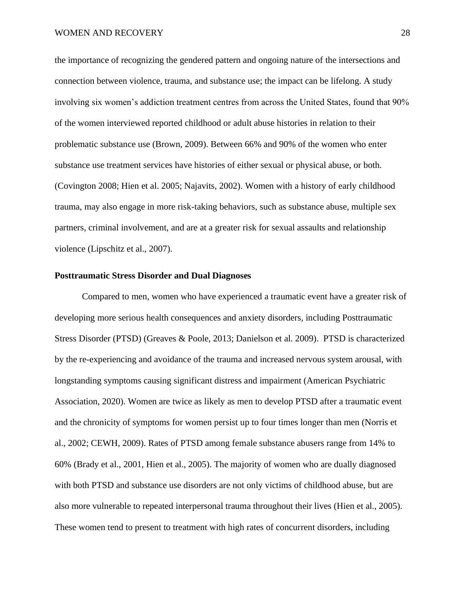the importance of recognizing the gendered pattern and ongoing nature of the intersections and connection between violence, trauma, and substance use; the impact can be lifelong. A study involving six women's addiction treatment centres from across the United States, found that 90% of the women interviewed reported childhood or adult abuse histories in relation to their problematic substance use (Brown, 2009). Between 66% and 90% of the women who enter substance use treatment services have histories of either sexual or physical abuse, or both. (Covington 2008; Hien et al. 2005; Najavits, 2002). Women with a history of early childhood trauma, may also engage in more risk-taking behaviors, such as substance abuse, multiple sex partners, criminal involvement, and are at a greater risk for sexual assaults and relationship violence (Lipschitz et al., 2007).

# <span id="page-27-0"></span>**Posttraumatic Stress Disorder and Dual Diagnoses**

Compared to men, women who have experienced a traumatic event have a greater risk of developing more serious health consequences and anxiety disorders, including Posttraumatic Stress Disorder (PTSD) (Greaves & Poole, 2013; Danielson et al. 2009). PTSD is characterized by the re-experiencing and avoidance of the trauma and increased nervous system arousal, with longstanding symptoms causing significant distress and impairment (American Psychiatric Association, 2020). Women are twice as likely as men to develop PTSD after a traumatic event and the chronicity of symptoms for women persist up to four times longer than men (Norris et al., 2002; CEWH, 2009). Rates of PTSD among female substance abusers range from 14% to 60% (Brady et al., 2001, Hien et al., 2005). The majority of women who are dually diagnosed with both PTSD and substance use disorders are not only victims of childhood abuse, but are also more vulnerable to repeated interpersonal trauma throughout their lives (Hien et al., 2005). These women tend to present to treatment with high rates of concurrent disorders, including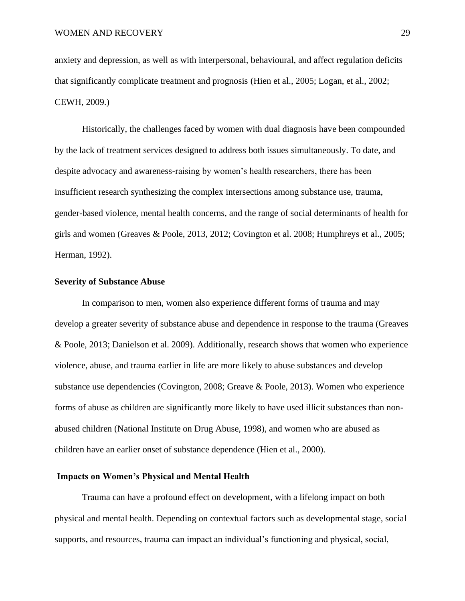anxiety and depression, as well as with interpersonal, behavioural, and affect regulation deficits that significantly complicate treatment and prognosis (Hien et al., 2005; Logan, et al., 2002; CEWH, 2009.)

Historically, the challenges faced by women with dual diagnosis have been compounded by the lack of treatment services designed to address both issues simultaneously. To date, and despite advocacy and awareness-raising by women's health researchers, there has been insufficient research synthesizing the complex intersections among substance use, trauma, gender-based violence, mental health concerns, and the range of social determinants of health for girls and women (Greaves & Poole, 2013, 2012; Covington et al. 2008; Humphreys et al., 2005; Herman, 1992).

#### <span id="page-28-0"></span>**Severity of Substance Abuse**

In comparison to men, women also experience different forms of trauma and may develop a greater severity of substance abuse and dependence in response to the trauma (Greaves & Poole, 2013; Danielson et al. 2009). Additionally, research shows that women who experience violence, abuse, and trauma earlier in life are more likely to abuse substances and develop substance use dependencies (Covington, 2008; Greave & Poole, 2013). Women who experience forms of abuse as children are significantly more likely to have used illicit substances than nonabused children (National Institute on Drug Abuse, 1998), and women who are abused as children have an earlier onset of substance dependence (Hien et al., 2000).

# <span id="page-28-1"></span>**Impacts on Women's Physical and Mental Health**

Trauma can have a profound effect on development, with a lifelong impact on both physical and mental health. Depending on contextual factors such as developmental stage, social supports, and resources, trauma can impact an individual's functioning and physical, social,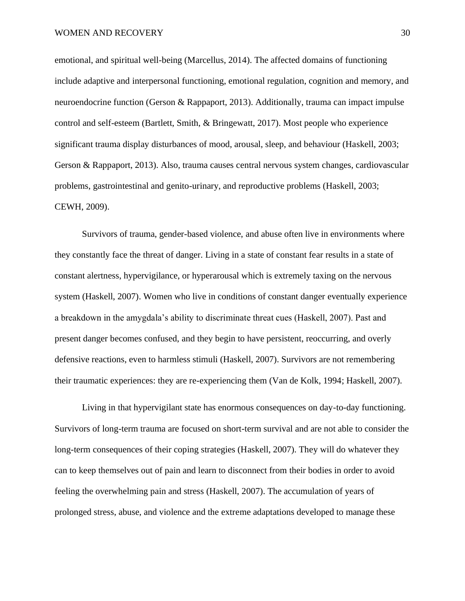emotional, and spiritual well-being (Marcellus, 2014). The affected domains of functioning include adaptive and interpersonal functioning, emotional regulation, cognition and memory, and neuroendocrine function (Gerson & Rappaport, 2013). Additionally, trauma can impact impulse control and self-esteem (Bartlett, Smith, & Bringewatt, 2017). Most people who experience significant trauma display disturbances of mood, arousal, sleep, and behaviour (Haskell, 2003; Gerson & Rappaport, 2013). Also, trauma causes central nervous system changes, cardiovascular problems, gastrointestinal and genito-urinary, and reproductive problems (Haskell, 2003; CEWH, 2009).

Survivors of trauma, gender-based violence, and abuse often live in environments where they constantly face the threat of danger. Living in a state of constant fear results in a state of constant alertness, hypervigilance, or hyperarousal which is extremely taxing on the nervous system (Haskell, 2007). Women who live in conditions of constant danger eventually experience a breakdown in the amygdala's ability to discriminate threat cues (Haskell, 2007). Past and present danger becomes confused, and they begin to have persistent, reoccurring, and overly defensive reactions, even to harmless stimuli (Haskell, 2007). Survivors are not remembering their traumatic experiences: they are re-experiencing them (Van de Kolk, 1994; Haskell, 2007).

Living in that hypervigilant state has enormous consequences on day-to-day functioning. Survivors of long-term trauma are focused on short-term survival and are not able to consider the long-term consequences of their coping strategies (Haskell, 2007). They will do whatever they can to keep themselves out of pain and learn to disconnect from their bodies in order to avoid feeling the overwhelming pain and stress (Haskell, 2007). The accumulation of years of prolonged stress, abuse, and violence and the extreme adaptations developed to manage these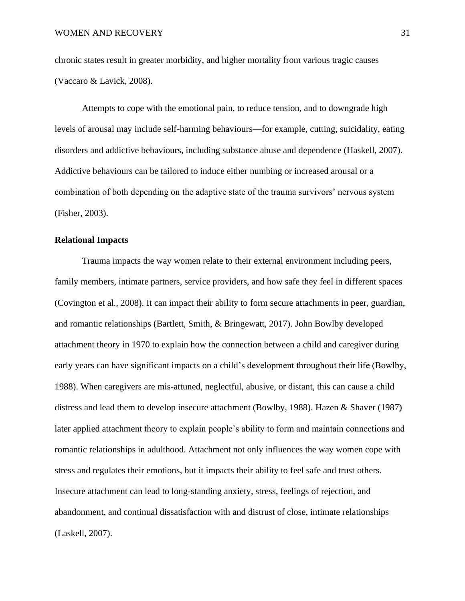chronic states result in greater morbidity, and higher mortality from various tragic causes (Vaccaro & Lavick, 2008).

Attempts to cope with the emotional pain, to reduce tension, and to downgrade high levels of arousal may include self-harming behaviours—for example, cutting, suicidality, eating disorders and addictive behaviours, including substance abuse and dependence (Haskell, 2007). Addictive behaviours can be tailored to induce either numbing or increased arousal or a combination of both depending on the adaptive state of the trauma survivors' nervous system (Fisher, 2003).

# <span id="page-30-0"></span>**Relational Impacts**

Trauma impacts the way women relate to their external environment including peers, family members, intimate partners, service providers, and how safe they feel in different spaces (Covington et al., 2008). It can impact their ability to form secure attachments in peer, guardian, and romantic relationships (Bartlett, Smith, & Bringewatt, 2017). John Bowlby developed attachment theory in 1970 to explain how the connection between a child and caregiver during early years can have significant impacts on a child's development throughout their life (Bowlby, 1988). When caregivers are mis-attuned, neglectful, abusive, or distant, this can cause a child distress and lead them to develop insecure attachment (Bowlby, 1988). Hazen & Shaver (1987) later applied attachment theory to explain people's ability to form and maintain connections and romantic relationships in adulthood. Attachment not only influences the way women cope with stress and regulates their emotions, but it impacts their ability to feel safe and trust others. Insecure attachment can lead to long-standing anxiety, stress, feelings of rejection, and abandonment, and continual dissatisfaction with and distrust of close, intimate relationships (Laskell, 2007).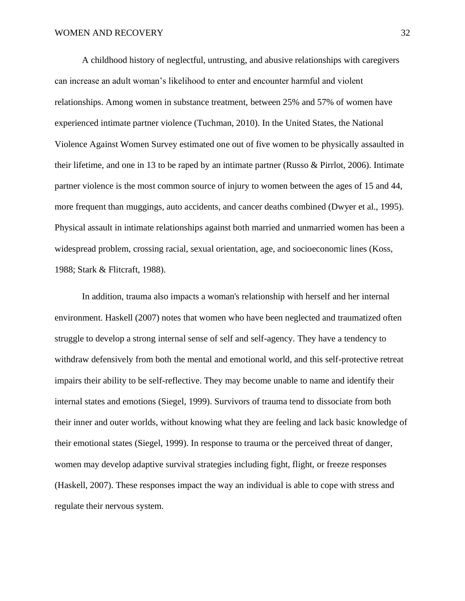A childhood history of neglectful, untrusting, and abusive relationships with caregivers can increase an adult woman's likelihood to enter and encounter harmful and violent relationships. Among women in substance treatment, between 25% and 57% of women have experienced intimate partner violence (Tuchman, 2010). In the United States, the National Violence Against Women Survey estimated one out of five women to be physically assaulted in their lifetime, and one in 13 to be raped by an intimate partner (Russo & Pirrlot, 2006). Intimate partner violence is the most common source of injury to women between the ages of 15 and 44, more frequent than muggings, auto accidents, and cancer deaths combined (Dwyer et al., 1995). Physical assault in intimate relationships against both married and unmarried women has been a widespread problem, crossing racial, sexual orientation, age, and socioeconomic lines (Koss, 1988; Stark & Flitcraft, 1988).

In addition, trauma also impacts a woman's relationship with herself and her internal environment. Haskell (2007) notes that women who have been neglected and traumatized often struggle to develop a strong internal sense of self and self-agency. They have a tendency to withdraw defensively from both the mental and emotional world, and this self-protective retreat impairs their ability to be self-reflective. They may become unable to name and identify their internal states and emotions (Siegel, 1999). Survivors of trauma tend to dissociate from both their inner and outer worlds, without knowing what they are feeling and lack basic knowledge of their emotional states (Siegel, 1999). In response to trauma or the perceived threat of danger, women may develop adaptive survival strategies including fight, flight, or freeze responses (Haskell, 2007). These responses impact the way an individual is able to cope with stress and regulate their nervous system.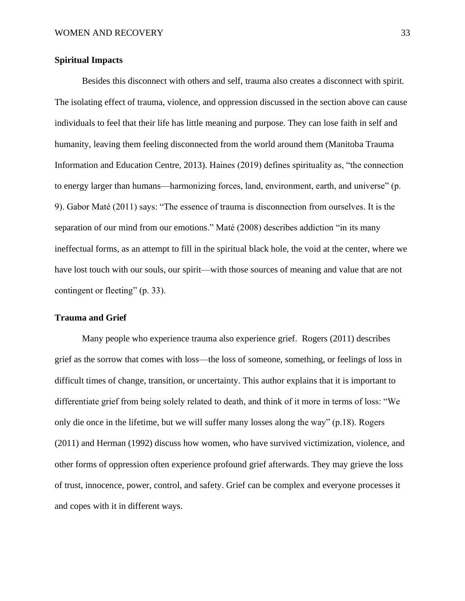# <span id="page-32-0"></span>**Spiritual Impacts**

Besides this disconnect with others and self, trauma also creates a disconnect with spirit. The isolating effect of trauma, violence, and oppression discussed in the section above can cause individuals to feel that their life has little meaning and purpose. They can lose faith in self and humanity, leaving them feeling disconnected from the world around them (Manitoba Trauma Information and Education Centre, 2013). Haines (2019) defines spirituality as, "the connection to energy larger than humans—harmonizing forces, land, environment, earth, and universe" (p. 9). Gabor Maté (2011) says: "The essence of trauma is disconnection from ourselves. It is the separation of our mind from our emotions." Maté (2008) describes addiction "in its many ineffectual forms, as an attempt to fill in the spiritual black hole, the void at the center, where we have lost touch with our souls, our spirit—with those sources of meaning and value that are not contingent or fleeting" (p. 33).

# <span id="page-32-1"></span>**Trauma and Grief**

Many people who experience trauma also experience grief. Rogers (2011) describes grief as the sorrow that comes with loss—the loss of someone, something, or feelings of loss in difficult times of change, transition, or uncertainty. This author explains that it is important to differentiate grief from being solely related to death, and think of it more in terms of loss: "We only die once in the lifetime, but we will suffer many losses along the way" (p.18). Rogers (2011) and Herman (1992) discuss how women, who have survived victimization, violence, and other forms of oppression often experience profound grief afterwards. They may grieve the loss of trust, innocence, power, control, and safety. Grief can be complex and everyone processes it and copes with it in different ways.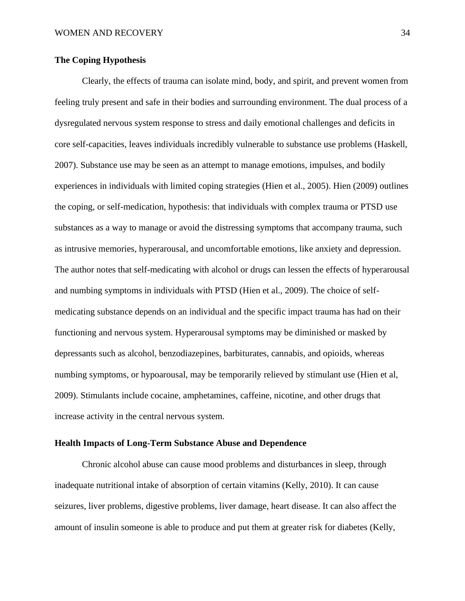# <span id="page-33-0"></span>**The Coping Hypothesis**

Clearly, the effects of trauma can isolate mind, body, and spirit, and prevent women from feeling truly present and safe in their bodies and surrounding environment. The dual process of a dysregulated nervous system response to stress and daily emotional challenges and deficits in core self-capacities, leaves individuals incredibly vulnerable to substance use problems (Haskell, 2007). Substance use may be seen as an attempt to manage emotions, impulses, and bodily experiences in individuals with limited coping strategies (Hien et al., 2005). Hien (2009) outlines the coping, or self-medication, hypothesis: that individuals with complex trauma or PTSD use substances as a way to manage or avoid the distressing symptoms that accompany trauma, such as intrusive memories, hyperarousal, and uncomfortable emotions, like anxiety and depression. The author notes that self-medicating with alcohol or drugs can lessen the effects of hyperarousal and numbing symptoms in individuals with PTSD (Hien et al., 2009). The choice of selfmedicating substance depends on an individual and the specific impact trauma has had on their functioning and nervous system. Hyperarousal symptoms may be diminished or masked by depressants such as alcohol, benzodiazepines, barbiturates, cannabis, and opioids, whereas numbing symptoms, or hypoarousal, may be temporarily relieved by stimulant use (Hien et al, 2009). Stimulants include cocaine, amphetamines, caffeine, nicotine, and other drugs that increase activity in the central nervous system.

#### <span id="page-33-1"></span>**Health Impacts of Long-Term Substance Abuse and Dependence**

Chronic alcohol abuse can cause mood problems and disturbances in sleep, through inadequate nutritional intake of absorption of certain vitamins (Kelly, 2010). It can cause seizures, liver problems, digestive problems, liver damage, heart disease. It can also affect the amount of insulin someone is able to produce and put them at greater risk for diabetes (Kelly,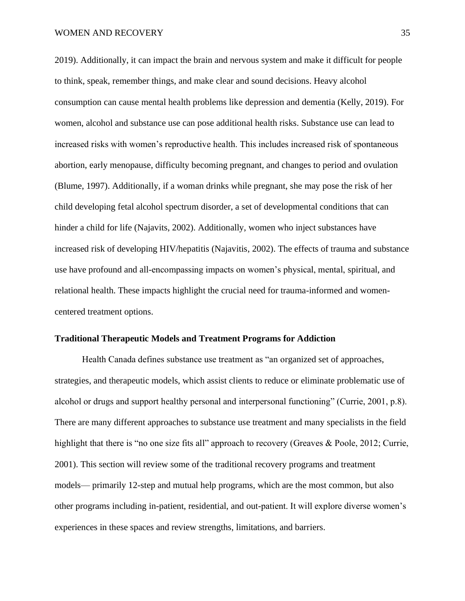2019). Additionally, it can impact the brain and nervous system and make it difficult for people to think, speak, remember things, and make clear and sound decisions. Heavy alcohol consumption can cause mental health problems like depression and dementia (Kelly, 2019). For women, alcohol and substance use can pose additional health risks. Substance use can lead to increased risks with women's reproductive health. This includes increased risk of spontaneous abortion, early menopause, difficulty becoming pregnant, and changes to period and ovulation (Blume, 1997). Additionally, if a woman drinks while pregnant, she may pose the risk of her child developing fetal alcohol spectrum disorder, a set of developmental conditions that can hinder a child for life (Najavits, 2002). Additionally, women who inject substances have increased risk of developing HIV/hepatitis (Najavitis, 2002). The effects of trauma and substance use have profound and all-encompassing impacts on women's physical, mental, spiritual, and relational health. These impacts highlight the crucial need for trauma-informed and womencentered treatment options.

#### <span id="page-34-0"></span>**Traditional Therapeutic Models and Treatment Programs for Addiction**

Health Canada defines substance use treatment as "an organized set of approaches, strategies, and therapeutic models, which assist clients to reduce or eliminate problematic use of alcohol or drugs and support healthy personal and interpersonal functioning" (Currie, 2001, p.8). There are many different approaches to substance use treatment and many specialists in the field highlight that there is "no one size fits all" approach to recovery (Greaves & Poole, 2012; Currie, 2001). This section will review some of the traditional recovery programs and treatment models— primarily 12-step and mutual help programs, which are the most common, but also other programs including in-patient, residential, and out-patient. It will explore diverse women's experiences in these spaces and review strengths, limitations, and barriers.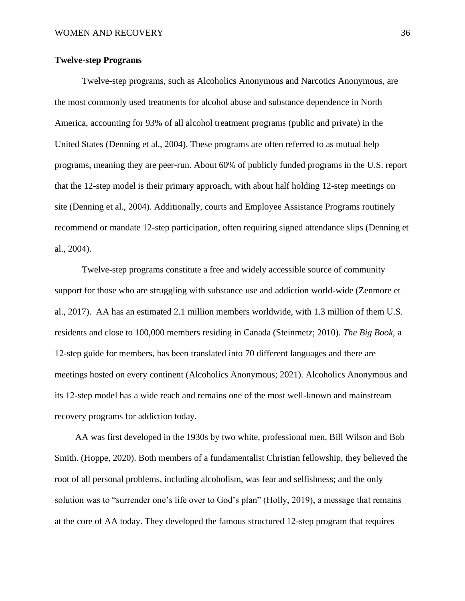# <span id="page-35-0"></span>**Twelve-step Programs**

Twelve-step programs, such as Alcoholics Anonymous and Narcotics Anonymous, are the most commonly used treatments for alcohol abuse and substance dependence in North America, accounting for 93% of all alcohol treatment programs (public and private) in the United States (Denning et al., 2004). These programs are often referred to as mutual help programs, meaning they are peer-run. About 60% of publicly funded programs in the U.S. report that the 12-step model is their primary approach, with about half holding 12-step meetings on site (Denning et al., 2004). Additionally, courts and Employee Assistance Programs routinely recommend or mandate 12-step participation, often requiring signed attendance slips (Denning et al., 2004).

Twelve-step programs constitute a free and widely accessible source of community support for those who are struggling with substance use and addiction world-wide (Zenmore et al., 2017). AA has an estimated 2.1 million members worldwide, with 1.3 million of them U.S. residents and close to 100,000 members residing in Canada (Steinmetz; 2010). *The Big Book,* a 12-step guide for members*,* has been translated into 70 different languages and there are meetings hosted on every continent (Alcoholics Anonymous; 2021). Alcoholics Anonymous and its 12-step model has a wide reach and remains one of the most well-known and mainstream recovery programs for addiction today.

AA was first developed in the 1930s by two white, professional men, Bill Wilson and Bob Smith. (Hoppe, 2020). Both members of a fundamentalist Christian fellowship, they believed the root of all personal problems, including alcoholism, was fear and selfishness; and the only solution was to "surrender one's life over to God's plan" (Holly, 2019), a message that remains at the core of AA today. They developed the famous structured 12-step program that requires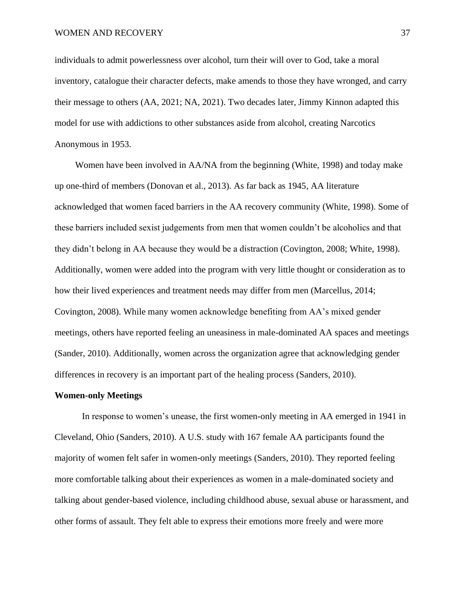individuals to admit powerlessness over alcohol, turn their will over to God, take a moral inventory, catalogue their character defects, make amends to those they have wronged, and carry their message to others (AA, 2021; NA, 2021). Two decades later, Jimmy Kinnon adapted this model for use with addictions to other substances aside from alcohol, creating Narcotics Anonymous in 1953.

Women have been involved in AA/NA from the beginning (White, 1998) and today make up one-third of members (Donovan et al., 2013). As far back as 1945, AA literature acknowledged that women faced barriers in the AA recovery community (White, 1998). Some of these barriers included sexist judgements from men that women couldn't be alcoholics and that they didn't belong in AA because they would be a distraction (Covington, 2008; White, 1998). Additionally, women were added into the program with very little thought or consideration as to how their lived experiences and treatment needs may differ from men (Marcellus, 2014; Covington, 2008). While many women acknowledge benefiting from AA's mixed gender meetings, others have reported feeling an uneasiness in male-dominated AA spaces and meetings (Sander, 2010). Additionally, women across the organization agree that acknowledging gender differences in recovery is an important part of the healing process (Sanders, 2010).

# **Women-only Meetings**

In response to women's unease, the first women-only meeting in AA emerged in 1941 in Cleveland, Ohio (Sanders, 2010). A U.S. study with 167 female AA participants found the majority of women felt safer in women-only meetings (Sanders, 2010). They reported feeling more comfortable talking about their experiences as women in a male-dominated society and talking about gender-based violence, including childhood abuse, sexual abuse or harassment, and other forms of assault. They felt able to express their emotions more freely and were more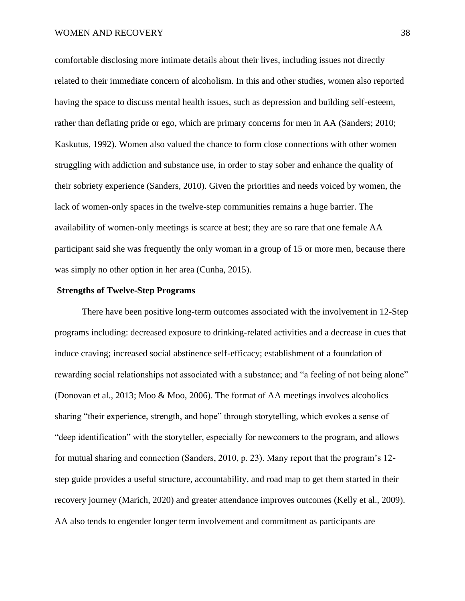comfortable disclosing more intimate details about their lives, including issues not directly related to their immediate concern of alcoholism. In this and other studies, women also reported having the space to discuss mental health issues, such as depression and building self-esteem, rather than deflating pride or ego, which are primary concerns for men in AA (Sanders; 2010; Kaskutus, 1992). Women also valued the chance to form close connections with other women struggling with addiction and substance use, in order to stay sober and enhance the quality of their sobriety experience (Sanders, 2010). Given the priorities and needs voiced by women, the lack of women-only spaces in the twelve-step communities remains a huge barrier. The availability of women-only meetings is scarce at best; they are so rare that one female AA participant said she was frequently the only woman in a group of 15 or more men, because there was simply no other option in her area (Cunha, 2015).

# **Strengths of Twelve-Step Programs**

There have been positive long-term outcomes associated with the involvement in 12-Step programs including: decreased exposure to drinking-related activities and a decrease in cues that induce craving; increased social abstinence self-efficacy; establishment of a foundation of rewarding social relationships not associated with a substance; and "a feeling of not being alone" (Donovan et al., 2013; Moo & Moo, 2006). The format of AA meetings involves alcoholics sharing "their experience, strength, and hope" through storytelling, which evokes a sense of "deep identification" with the storyteller, especially for newcomers to the program, and allows for mutual sharing and connection (Sanders, 2010, p. 23). Many report that the program's 12 step guide provides a useful structure, accountability, and road map to get them started in their recovery journey (Marich, 2020) and greater attendance improves outcomes (Kelly et al., 2009). AA also tends to engender longer term involvement and commitment as participants are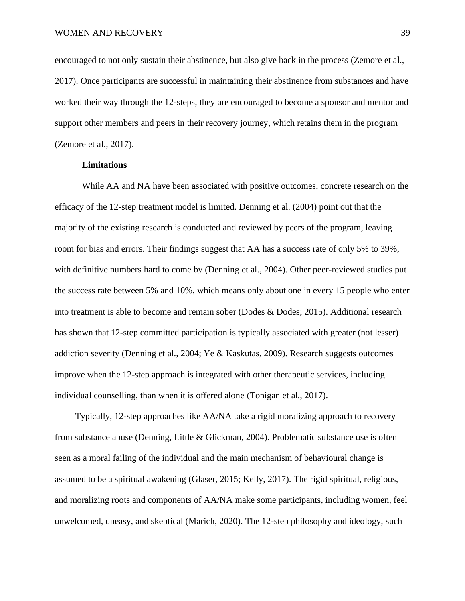encouraged to not only sustain their abstinence, but also give back in the process (Zemore et al., 2017). Once participants are successful in maintaining their abstinence from substances and have worked their way through the 12-steps, they are encouraged to become a sponsor and mentor and support other members and peers in their recovery journey, which retains them in the program (Zemore et al., 2017).

# **Limitations**

While AA and NA have been associated with positive outcomes, concrete research on the efficacy of the 12-step treatment model is limited. Denning et al. (2004) point out that the majority of the existing research is conducted and reviewed by peers of the program, leaving room for bias and errors. Their findings suggest that AA has a success rate of only 5% to 39%, with definitive numbers hard to come by (Denning et al., 2004). Other peer-reviewed studies put the success rate between 5% and 10%, which means only about one in every 15 people who enter into treatment is able to become and remain sober (Dodes & Dodes; 2015). Additional research has shown that 12-step committed participation is typically associated with greater (not lesser) addiction severity (Denning et al., 2004; Ye & Kaskutas, 2009). Research suggests outcomes improve when the 12-step approach is integrated with other therapeutic services, including individual counselling, than when it is offered alone (Tonigan et al., 2017).

Typically, 12-step approaches like AA/NA take a rigid moralizing approach to recovery from substance abuse (Denning, Little & Glickman, 2004). Problematic substance use is often seen as a moral failing of the individual and the main mechanism of behavioural change is assumed to be a spiritual awakening (Glaser, 2015; Kelly, 2017). The rigid spiritual, religious, and moralizing roots and components of AA/NA make some participants, including women, feel unwelcomed, uneasy, and skeptical (Marich, 2020). The 12-step philosophy and ideology, such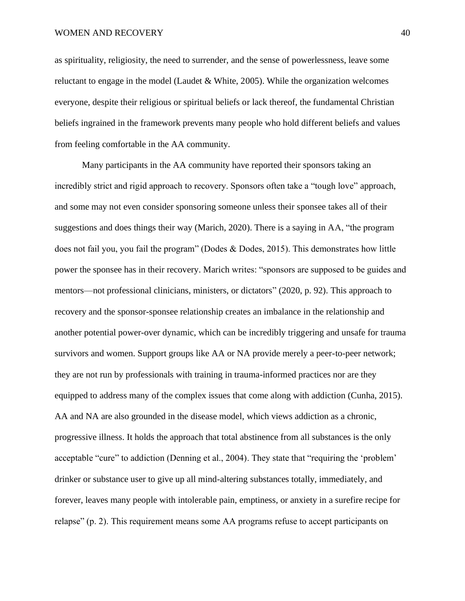as spirituality, religiosity, the need to surrender, and the sense of powerlessness, leave some reluctant to engage in the model (Laudet  $&$  White, 2005). While the organization welcomes everyone, despite their religious or spiritual beliefs or lack thereof, the fundamental Christian beliefs ingrained in the framework prevents many people who hold different beliefs and values from feeling comfortable in the AA community.

Many participants in the AA community have reported their sponsors taking an incredibly strict and rigid approach to recovery. Sponsors often take a "tough love" approach, and some may not even consider sponsoring someone unless their sponsee takes all of their suggestions and does things their way (Marich, 2020). There is a saying in AA, "the program does not fail you, you fail the program" (Dodes & Dodes, 2015). This demonstrates how little power the sponsee has in their recovery. Marich writes: "sponsors are supposed to be guides and mentors—not professional clinicians, ministers, or dictators" (2020, p. 92). This approach to recovery and the sponsor-sponsee relationship creates an imbalance in the relationship and another potential power-over dynamic, which can be incredibly triggering and unsafe for trauma survivors and women. Support groups like AA or NA provide merely a peer-to-peer network; they are not run by professionals with training in trauma-informed practices nor are they equipped to address many of the complex issues that come along with addiction (Cunha, 2015). AA and NA are also grounded in the disease model, which views addiction as a chronic, progressive illness. It holds the approach that total abstinence from all substances is the only acceptable "cure" to addiction (Denning et al., 2004). They state that "requiring the 'problem' drinker or substance user to give up all mind-altering substances totally, immediately, and forever, leaves many people with intolerable pain, emptiness, or anxiety in a surefire recipe for relapse" (p. 2). This requirement means some AA programs refuse to accept participants on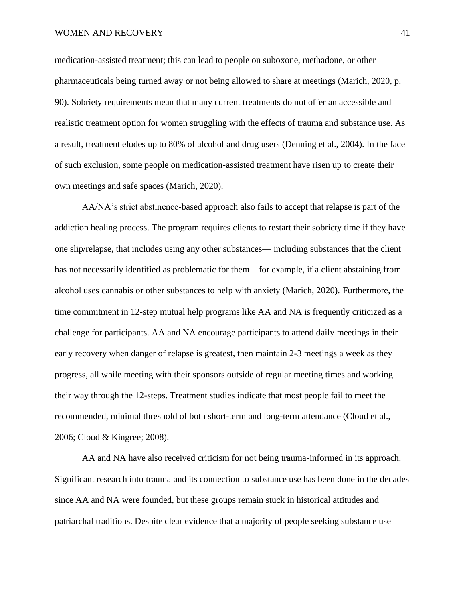## WOMEN AND RECOVERY 41

medication-assisted treatment; this can lead to people on suboxone, methadone, or other pharmaceuticals being turned away or not being allowed to share at meetings (Marich, 2020, p. 90). Sobriety requirements mean that many current treatments do not offer an accessible and realistic treatment option for women struggling with the effects of trauma and substance use. As a result, treatment eludes up to 80% of alcohol and drug users (Denning et al., 2004). In the face of such exclusion, some people on medication-assisted treatment have risen up to create their own meetings and safe spaces (Marich, 2020).

AA/NA's strict abstinence-based approach also fails to accept that relapse is part of the addiction healing process. The program requires clients to restart their sobriety time if they have one slip/relapse, that includes using any other substances— including substances that the client has not necessarily identified as problematic for them—for example, if a client abstaining from alcohol uses cannabis or other substances to help with anxiety (Marich, 2020). Furthermore, the time commitment in 12-step mutual help programs like AA and NA is frequently criticized as a challenge for participants. AA and NA encourage participants to attend daily meetings in their early recovery when danger of relapse is greatest, then maintain 2-3 meetings a week as they progress, all while meeting with their sponsors outside of regular meeting times and working their way through the 12-steps. Treatment studies indicate that most people fail to meet the recommended, minimal threshold of both short-term and long-term attendance (Cloud et al., 2006; Cloud & Kingree; 2008).

AA and NA have also received criticism for not being trauma-informed in its approach. Significant research into trauma and its connection to substance use has been done in the decades since AA and NA were founded, but these groups remain stuck in historical attitudes and patriarchal traditions. Despite clear evidence that a majority of people seeking substance use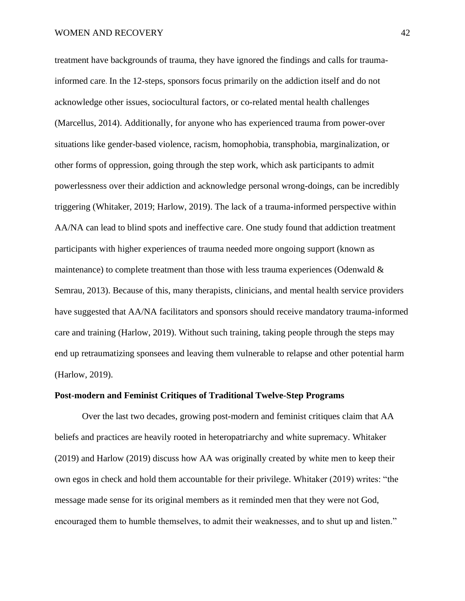treatment have backgrounds of trauma, they have ignored the findings and calls for traumainformed care. In the 12-steps, sponsors focus primarily on the addiction itself and do not acknowledge other issues, sociocultural factors, or co-related mental health challenges (Marcellus, 2014). Additionally, for anyone who has experienced trauma from power-over situations like gender-based violence, racism, homophobia, transphobia, marginalization, or other forms of oppression, going through the step work, which ask participants to admit powerlessness over their addiction and acknowledge personal wrong-doings, can be incredibly triggering (Whitaker, 2019; Harlow, 2019). The lack of a trauma-informed perspective within AA/NA can lead to blind spots and ineffective care. One study found that addiction treatment participants with higher experiences of trauma needed more ongoing support (known as maintenance) to complete treatment than those with less trauma experiences (Odenwald  $\&$ Semrau, 2013). Because of this, many therapists, clinicians, and mental health service providers have suggested that AA/NA facilitators and sponsors should receive mandatory trauma-informed care and training (Harlow, 2019). Without such training, taking people through the steps may end up retraumatizing sponsees and leaving them vulnerable to relapse and other potential harm (Harlow, 2019).

# **Post-modern and Feminist Critiques of Traditional Twelve-Step Programs**

Over the last two decades, growing post-modern and feminist critiques claim that AA beliefs and practices are heavily rooted in heteropatriarchy and white supremacy. Whitaker (2019) and Harlow (2019) discuss how AA was originally created by white men to keep their own egos in check and hold them accountable for their privilege. Whitaker (2019) writes: "the message made sense for its original members as it reminded men that they were not God, encouraged them to humble themselves, to admit their weaknesses, and to shut up and listen."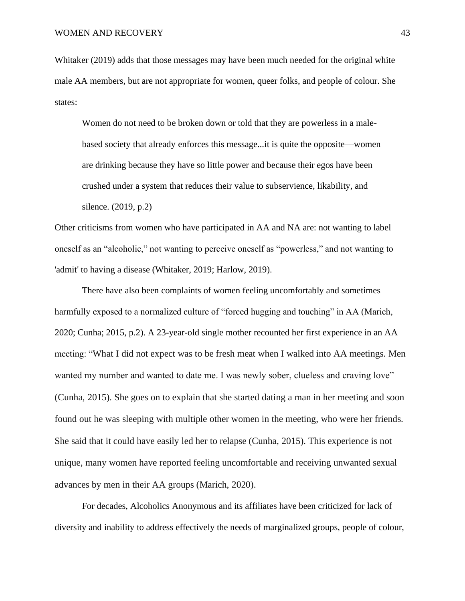Whitaker (2019) adds that those messages may have been much needed for the original white male AA members, but are not appropriate for women, queer folks, and people of colour. She states:

Women do not need to be broken down or told that they are powerless in a malebased society that already enforces this message...it is quite the opposite—women are drinking because they have so little power and because their egos have been crushed under a system that reduces their value to subservience, likability, and silence. (2019, p.2)

Other criticisms from women who have participated in AA and NA are: not wanting to label oneself as an "alcoholic," not wanting to perceive oneself as "powerless," and not wanting to 'admit' to having a disease (Whitaker, 2019; Harlow, 2019).

There have also been complaints of women feeling uncomfortably and sometimes harmfully exposed to a normalized culture of "forced hugging and touching" in AA (Marich, 2020; Cunha; 2015, p.2). A 23-year-old single mother recounted her first experience in an AA meeting: "What I did not expect was to be fresh meat when I walked into AA meetings. Men wanted my number and wanted to date me. I was newly sober, clueless and craving love" (Cunha, 2015). She goes on to explain that she started dating a man in her meeting and soon found out he was sleeping with multiple other women in the meeting, who were her friends. She said that it could have easily led her to relapse (Cunha, 2015). This experience is not unique, many women have reported feeling uncomfortable and receiving unwanted sexual advances by men in their AA groups (Marich, 2020).

For decades, Alcoholics Anonymous and its affiliates have been criticized for lack of diversity and inability to address effectively the needs of marginalized groups, people of colour,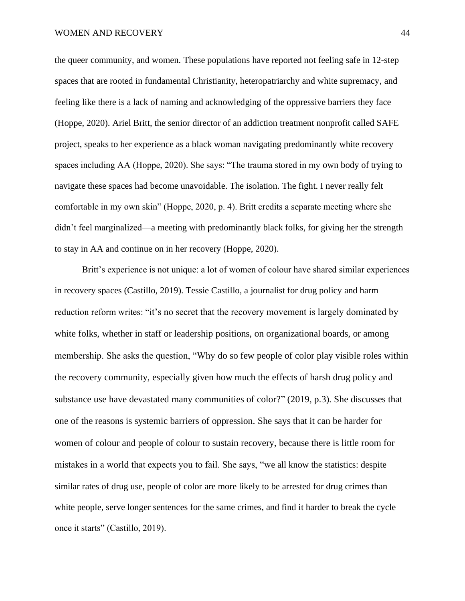the queer community, and women. These populations have reported not feeling safe in 12-step spaces that are rooted in fundamental Christianity, heteropatriarchy and white supremacy, and feeling like there is a lack of naming and acknowledging of the oppressive barriers they face (Hoppe, 2020). Ariel Britt, the senior director of an addiction treatment nonprofit called SAFE project, speaks to her experience as a black woman navigating predominantly white recovery spaces including AA (Hoppe, 2020). She says: "The trauma stored in my own body of trying to navigate these spaces had become unavoidable. The isolation. The fight. I never really felt comfortable in my own skin" (Hoppe, 2020, p. 4). Britt credits a separate meeting where she didn't feel marginalized—a meeting with predominantly black folks, for giving her the strength to stay in AA and continue on in her recovery (Hoppe, 2020).

Britt's experience is not unique: a lot of women of colour have shared similar experiences in recovery spaces (Castillo, 2019). Tessie Castillo, a journalist for drug policy and harm reduction reform writes: "it's no secret that the recovery movement is largely dominated by white folks, whether in staff or leadership positions, on organizational boards, or among membership. She asks the question, "Why do so few people of color play visible roles within the recovery community, especially given how much the effects of harsh drug policy and substance use have devastated many communities of color?" (2019, p.3). She discusses that one of the reasons is systemic barriers of oppression. She says that it can be harder for women of colour and people of colour to sustain recovery, because there is little room for mistakes in a world that expects you to fail. She says, "we all know the statistics: despite similar rates of drug use, people of color are more likely to be arrested for drug crimes than white people, serve longer sentences for the same crimes, and find it harder to break the cycle once it starts" (Castillo, 2019).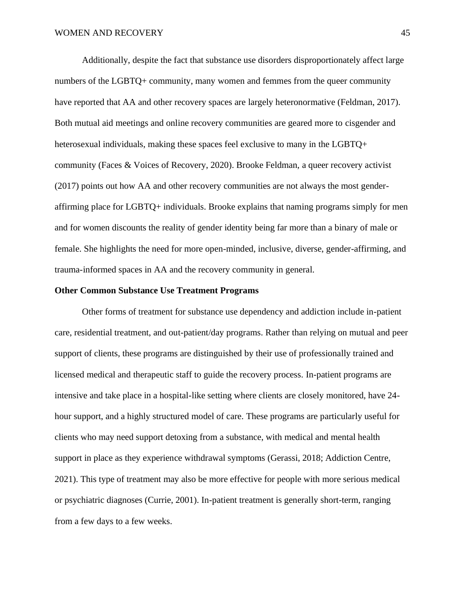Additionally, despite the fact that substance use disorders disproportionately affect large numbers of the LGBTQ+ community, many women and femmes from the queer community have reported that AA and other recovery spaces are largely heteronormative (Feldman, 2017). Both mutual aid meetings and online recovery communities are geared more to cisgender and heterosexual individuals, making these spaces feel exclusive to many in the LGBTQ+ community (Faces & Voices of Recovery, 2020). Brooke Feldman, a queer recovery activist (2017) points out how AA and other recovery communities are not always the most genderaffirming place for LGBTQ+ individuals. Brooke explains that naming programs simply for men and for women discounts the reality of gender identity being far more than a binary of male or female. She highlights the need for more open-minded, inclusive, diverse, gender-affirming, and trauma-informed spaces in AA and the recovery community in general.

# **Other Common Substance Use Treatment Programs**

Other forms of treatment for substance use dependency and addiction include in-patient care, residential treatment, and out-patient/day programs. Rather than relying on mutual and peer support of clients, these programs are distinguished by their use of professionally trained and licensed medical and therapeutic staff to guide the recovery process. In-patient programs are intensive and take place in a hospital-like setting where clients are closely monitored, have 24 hour support, and a highly structured model of care. These programs are particularly useful for clients who may need support detoxing from a substance, with medical and mental health support in place as they experience withdrawal symptoms (Gerassi, 2018; Addiction Centre, 2021). This type of treatment may also be more effective for people with more serious medical or psychiatric diagnoses (Currie, 2001). In-patient treatment is generally short-term, ranging from a few days to a few weeks.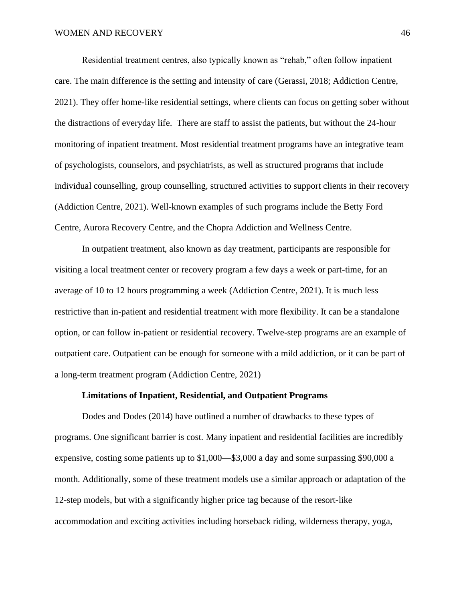Residential treatment centres, also typically known as "rehab," often follow inpatient care. The main difference is the setting and intensity of care (Gerassi, 2018; Addiction Centre, 2021). They offer home-like residential settings, where clients can focus on getting sober without the distractions of everyday life. There are staff to assist the patients, but without the 24-hour monitoring of inpatient treatment. Most residential treatment programs have an integrative team of psychologists, counselors, and psychiatrists, as well as structured programs that include individual counselling, group counselling, structured activities to support clients in their recovery (Addiction Centre, 2021). Well-known examples of such programs include the Betty Ford Centre, Aurora Recovery Centre, and the Chopra Addiction and Wellness Centre.

In outpatient treatment, also known as day treatment, participants are responsible for visiting a local treatment center or recovery program a few days a week or part-time, for an average of 10 to 12 hours programming a week (Addiction Centre, 2021). It is much less restrictive than in-patient and residential treatment with more flexibility. It can be a standalone option, or can follow in-patient or residential recovery. Twelve-step programs are an example of outpatient care. Outpatient can be enough for someone with a mild addiction, or it can be part of a long-term treatment program (Addiction Centre, 2021)

# **Limitations of Inpatient, Residential, and Outpatient Programs**

Dodes and Dodes (2014) have outlined a number of drawbacks to these types of programs. One significant barrier is cost. Many inpatient and residential facilities are incredibly expensive, costing some patients up to \$1,000—\$3,000 a day and some surpassing \$90,000 a month. Additionally, some of these treatment models use a similar approach or adaptation of the 12-step models, but with a significantly higher price tag because of the resort-like accommodation and exciting activities including horseback riding, wilderness therapy, yoga,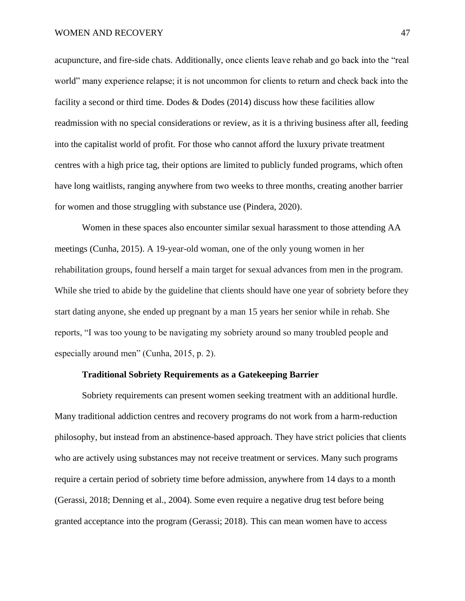acupuncture, and fire-side chats. Additionally, once clients leave rehab and go back into the "real world" many experience relapse; it is not uncommon for clients to return and check back into the facility a second or third time. Dodes & Dodes (2014) discuss how these facilities allow readmission with no special considerations or review, as it is a thriving business after all, feeding into the capitalist world of profit. For those who cannot afford the luxury private treatment centres with a high price tag, their options are limited to publicly funded programs, which often have long waitlists, ranging anywhere from two weeks to three months, creating another barrier for women and those struggling with substance use (Pindera, 2020).

Women in these spaces also encounter similar sexual harassment to those attending AA meetings (Cunha, 2015). A 19-year-old woman, one of the only young women in her rehabilitation groups, found herself a main target for sexual advances from men in the program. While she tried to abide by the guideline that clients should have one year of sobriety before they start dating anyone, she ended up pregnant by a man 15 years her senior while in rehab. She reports, "I was too young to be navigating my sobriety around so many troubled people and especially around men" (Cunha, 2015, p. 2).

#### **Traditional Sobriety Requirements as a Gatekeeping Barrier**

Sobriety requirements can present women seeking treatment with an additional hurdle. Many traditional addiction centres and recovery programs do not work from a harm-reduction philosophy, but instead from an abstinence-based approach. They have strict policies that clients who are actively using substances may not receive treatment or services. Many such programs require a certain period of sobriety time before admission, anywhere from 14 days to a month (Gerassi, 2018; Denning et al., 2004). Some even require a negative drug test before being granted acceptance into the program (Gerassi; 2018). This can mean women have to access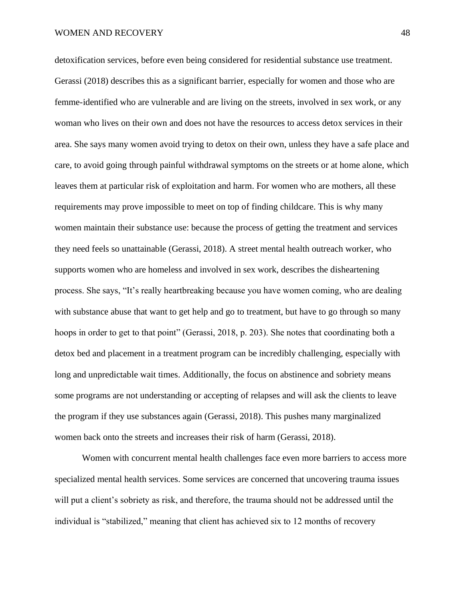detoxification services, before even being considered for residential substance use treatment. Gerassi (2018) describes this as a significant barrier, especially for women and those who are femme-identified who are vulnerable and are living on the streets, involved in sex work, or any woman who lives on their own and does not have the resources to access detox services in their area. She says many women avoid trying to detox on their own, unless they have a safe place and care, to avoid going through painful withdrawal symptoms on the streets or at home alone, which leaves them at particular risk of exploitation and harm. For women who are mothers, all these requirements may prove impossible to meet on top of finding childcare. This is why many women maintain their substance use: because the process of getting the treatment and services they need feels so unattainable (Gerassi, 2018). A street mental health outreach worker, who supports women who are homeless and involved in sex work, describes the disheartening process. She says, "It's really heartbreaking because you have women coming, who are dealing with substance abuse that want to get help and go to treatment, but have to go through so many hoops in order to get to that point" (Gerassi, 2018, p. 203). She notes that coordinating both a detox bed and placement in a treatment program can be incredibly challenging, especially with long and unpredictable wait times. Additionally, the focus on abstinence and sobriety means some programs are not understanding or accepting of relapses and will ask the clients to leave the program if they use substances again (Gerassi, 2018). This pushes many marginalized women back onto the streets and increases their risk of harm (Gerassi, 2018).

Women with concurrent mental health challenges face even more barriers to access more specialized mental health services. Some services are concerned that uncovering trauma issues will put a client's sobriety as risk, and therefore, the trauma should not be addressed until the individual is "stabilized," meaning that client has achieved six to 12 months of recovery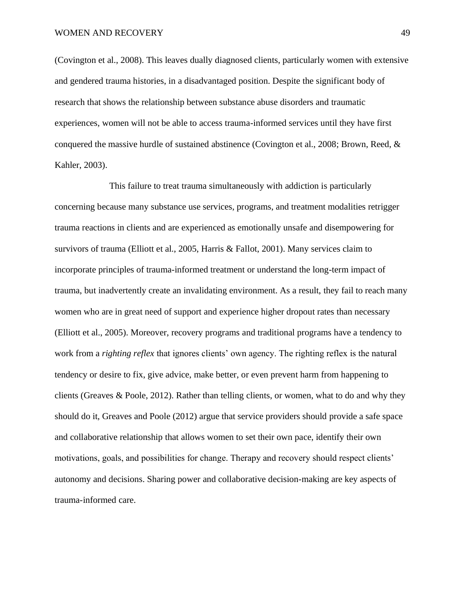(Covington et al., 2008). This leaves dually diagnosed clients, particularly women with extensive and gendered trauma histories, in a disadvantaged position. Despite the significant body of research that shows the relationship between substance abuse disorders and traumatic experiences, women will not be able to access trauma-informed services until they have first conquered the massive hurdle of sustained abstinence (Covington et al., 2008; Brown, Reed, & Kahler, 2003).

This failure to treat trauma simultaneously with addiction is particularly concerning because many substance use services, programs, and treatment modalities retrigger trauma reactions in clients and are experienced as emotionally unsafe and disempowering for survivors of trauma (Elliott et al., 2005, Harris & Fallot, 2001). Many services claim to incorporate principles of trauma-informed treatment or understand the long-term impact of trauma, but inadvertently create an invalidating environment. As a result, they fail to reach many women who are in great need of support and experience higher dropout rates than necessary (Elliott et al., 2005). Moreover, recovery programs and traditional programs have a tendency to work from a *righting reflex* that ignores clients' own agency. The righting reflex is the natural tendency or desire to fix, give advice, make better, or even prevent harm from happening to clients (Greaves & Poole, 2012). Rather than telling clients, or women, what to do and why they should do it, Greaves and Poole (2012) argue that service providers should provide a safe space and collaborative relationship that allows women to set their own pace, identify their own motivations, goals, and possibilities for change. Therapy and recovery should respect clients' autonomy and decisions. Sharing power and collaborative decision-making are key aspects of trauma-informed care.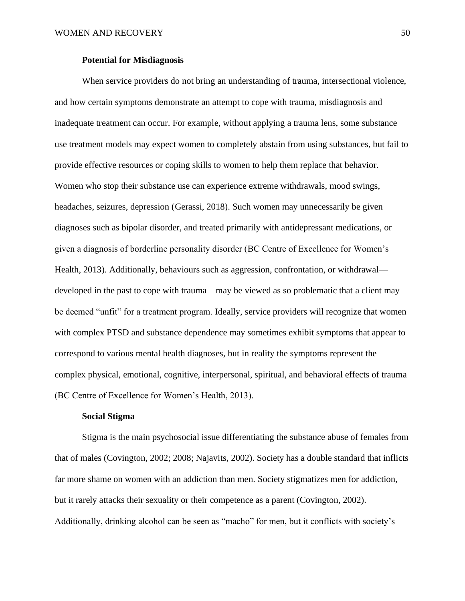# **Potential for Misdiagnosis**

When service providers do not bring an understanding of trauma, intersectional violence, and how certain symptoms demonstrate an attempt to cope with trauma, misdiagnosis and inadequate treatment can occur. For example, without applying a trauma lens, some substance use treatment models may expect women to completely abstain from using substances, but fail to provide effective resources or coping skills to women to help them replace that behavior. Women who stop their substance use can experience extreme withdrawals, mood swings, headaches, seizures, depression (Gerassi, 2018). Such women may unnecessarily be given diagnoses such as bipolar disorder, and treated primarily with antidepressant medications, or given a diagnosis of borderline personality disorder (BC Centre of Excellence for Women's Health, 2013). Additionally, behaviours such as aggression, confrontation, or withdrawal developed in the past to cope with trauma—may be viewed as so problematic that a client may be deemed "unfit" for a treatment program. Ideally, service providers will recognize that women with complex PTSD and substance dependence may sometimes exhibit symptoms that appear to correspond to various mental health diagnoses, but in reality the symptoms represent the complex physical, emotional, cognitive, interpersonal, spiritual, and behavioral effects of trauma (BC Centre of Excellence for Women's Health, 2013).

# **Social Stigma**

Stigma is the main psychosocial issue differentiating the substance abuse of females from that of males (Covington, 2002; 2008; Najavits, 2002). Society has a double standard that inflicts far more shame on women with an addiction than men. Society stigmatizes men for addiction, but it rarely attacks their sexuality or their competence as a parent (Covington, 2002). Additionally, drinking alcohol can be seen as "macho" for men, but it conflicts with society's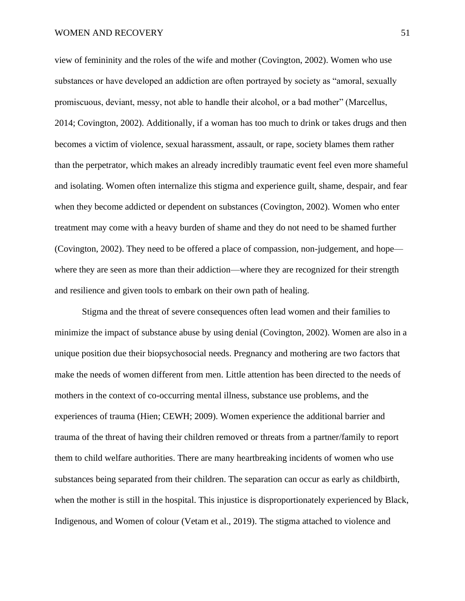#### WOMEN AND RECOVERY 51

view of femininity and the roles of the wife and mother (Covington, 2002). Women who use substances or have developed an addiction are often portrayed by society as "amoral, sexually promiscuous, deviant, messy, not able to handle their alcohol, or a bad mother" (Marcellus, 2014; Covington, 2002). Additionally, if a woman has too much to drink or takes drugs and then becomes a victim of violence, sexual harassment, assault, or rape, society blames them rather than the perpetrator, which makes an already incredibly traumatic event feel even more shameful and isolating. Women often internalize this stigma and experience guilt, shame, despair, and fear when they become addicted or dependent on substances (Covington, 2002). Women who enter treatment may come with a heavy burden of shame and they do not need to be shamed further (Covington, 2002). They need to be offered a place of compassion, non-judgement, and hope where they are seen as more than their addiction—where they are recognized for their strength and resilience and given tools to embark on their own path of healing.

Stigma and the threat of severe consequences often lead women and their families to minimize the impact of substance abuse by using denial (Covington, 2002). Women are also in a unique position due their biopsychosocial needs. Pregnancy and mothering are two factors that make the needs of women different from men. Little attention has been directed to the needs of mothers in the context of co-occurring mental illness, substance use problems, and the experiences of trauma (Hien; CEWH; 2009). Women experience the additional barrier and trauma of the threat of having their children removed or threats from a partner/family to report them to child welfare authorities. There are many heartbreaking incidents of women who use substances being separated from their children. The separation can occur as early as childbirth, when the mother is still in the hospital. This injustice is disproportionately experienced by Black, Indigenous, and Women of colour (Vetam et al., 2019). The stigma attached to violence and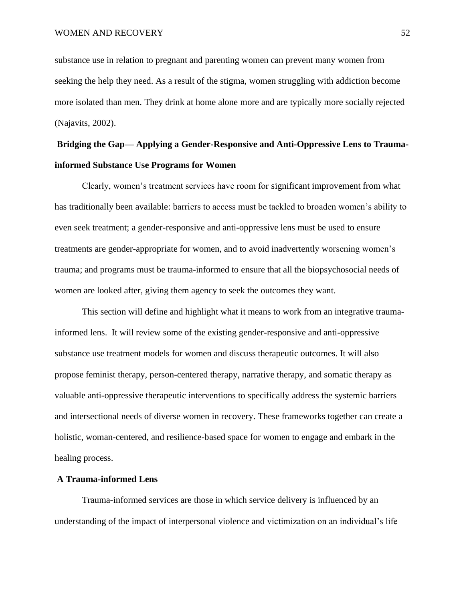substance use in relation to pregnant and parenting women can prevent many women from seeking the help they need. As a result of the stigma, women struggling with addiction become more isolated than men. They drink at home alone more and are typically more socially rejected (Najavits, 2002).

# **Bridging the Gap— Applying a Gender-Responsive and Anti-Oppressive Lens to Traumainformed Substance Use Programs for Women**

Clearly, women's treatment services have room for significant improvement from what has traditionally been available: barriers to access must be tackled to broaden women's ability to even seek treatment; a gender-responsive and anti-oppressive lens must be used to ensure treatments are gender-appropriate for women, and to avoid inadvertently worsening women's trauma; and programs must be trauma-informed to ensure that all the biopsychosocial needs of women are looked after, giving them agency to seek the outcomes they want.

This section will define and highlight what it means to work from an integrative traumainformed lens. It will review some of the existing gender-responsive and anti-oppressive substance use treatment models for women and discuss therapeutic outcomes. It will also propose feminist therapy, person-centered therapy, narrative therapy, and somatic therapy as valuable anti-oppressive therapeutic interventions to specifically address the systemic barriers and intersectional needs of diverse women in recovery. These frameworks together can create a holistic, woman-centered, and resilience-based space for women to engage and embark in the healing process.

# **A Trauma-informed Lens**

Trauma-informed services are those in which service delivery is influenced by an understanding of the impact of interpersonal violence and victimization on an individual's life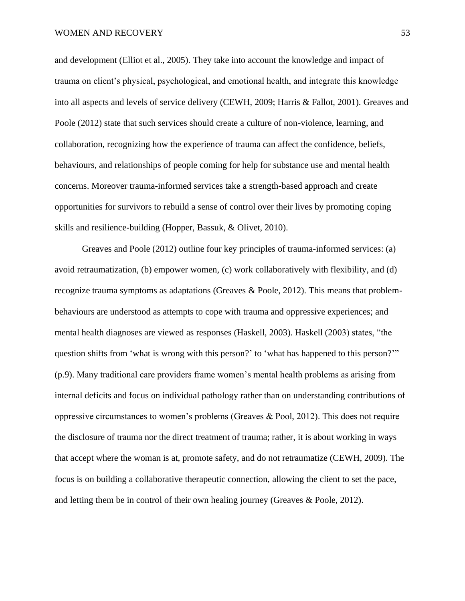and development (Elliot et al., 2005). They take into account the knowledge and impact of trauma on client's physical, psychological, and emotional health, and integrate this knowledge into all aspects and levels of service delivery (CEWH, 2009; Harris & Fallot, 2001). Greaves and Poole (2012) state that such services should create a culture of non-violence, learning, and collaboration, recognizing how the experience of trauma can affect the confidence, beliefs, behaviours, and relationships of people coming for help for substance use and mental health concerns. Moreover trauma-informed services take a strength-based approach and create opportunities for survivors to rebuild a sense of control over their lives by promoting coping skills and resilience-building (Hopper, Bassuk, & Olivet, 2010).

Greaves and Poole (2012) outline four key principles of trauma-informed services: (a) avoid retraumatization, (b) empower women, (c) work collaboratively with flexibility, and (d) recognize trauma symptoms as adaptations (Greaves & Poole, 2012). This means that problembehaviours are understood as attempts to cope with trauma and oppressive experiences; and mental health diagnoses are viewed as responses (Haskell, 2003). Haskell (2003) states, "the question shifts from 'what is wrong with this person?' to 'what has happened to this person?'" (p.9). Many traditional care providers frame women's mental health problems as arising from internal deficits and focus on individual pathology rather than on understanding contributions of oppressive circumstances to women's problems (Greaves & Pool, 2012). This does not require the disclosure of trauma nor the direct treatment of trauma; rather, it is about working in ways that accept where the woman is at, promote safety, and do not retraumatize (CEWH, 2009). The focus is on building a collaborative therapeutic connection, allowing the client to set the pace, and letting them be in control of their own healing journey (Greaves & Poole, 2012).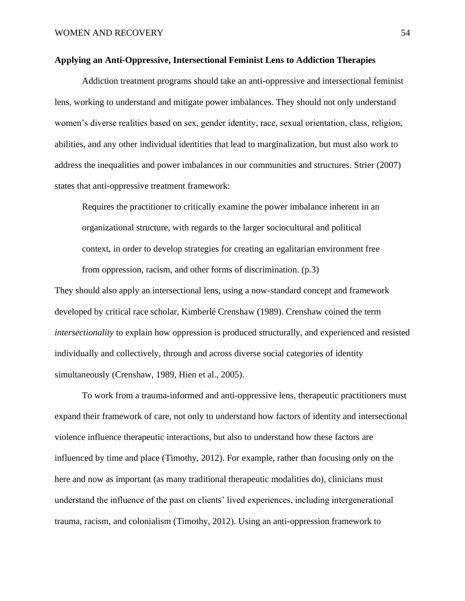# **Applying an Anti-Oppressive, Intersectional Feminist Lens to Addiction Therapies**

Addiction treatment programs should take an anti-oppressive and intersectional feminist lens, working to understand and mitigate power imbalances. They should not only understand women's diverse realities based on sex, gender identity, race, sexual orientation, class, religion, abilities, and any other individual identities that lead to marginalization, but must also work to address the inequalities and power imbalances in our communities and structures. Strier (2007) states that anti-oppressive treatment framework:

Requires the practitioner to critically examine the power imbalance inherent in an organizational structure, with regards to the larger [sociocultural](https://en.wikipedia.org/wiki/Sociocultural) and political context, in order to develop strategies for creating an egalitarian environment free from oppression, racism, and other forms of discrimination. (p.3)

They should also apply an intersectional lens, using a now-standard concept and framework developed by critical race scholar, Kimberlé Crenshaw (1989). Crenshaw coined the term *intersectionality* to explain how oppression is produced structurally, and experienced and resisted individually and collectively, through and across diverse social categories of identity simultaneously (Crenshaw, 1989, Hien et al., 2005).

To work from a trauma-informed and anti-oppressive lens, therapeutic practitioners must expand their framework of care, not only to understand how factors of identity and intersectional violence influence therapeutic interactions, but also to understand how these factors are influenced by time and place (Timothy, 2012). For example, rather than focusing only on the here and now as important (as many traditional therapeutic modalities do), clinicians must understand the influence of the past on clients' lived experiences, including intergenerational trauma, racism, and colonialism (Timothy, 2012). Using an anti-oppression framework to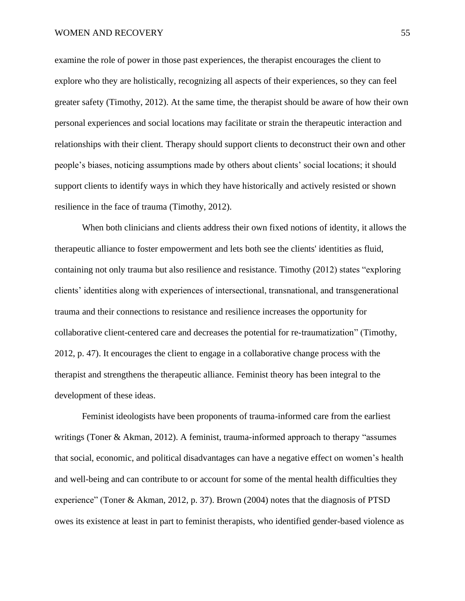examine the role of power in those past experiences, the therapist encourages the client to explore who they are holistically, recognizing all aspects of their experiences, so they can feel greater safety (Timothy, 2012). At the same time, the therapist should be aware of how their own personal experiences and social locations may facilitate or strain the therapeutic interaction and relationships with their client. Therapy should support clients to deconstruct their own and other people's biases, noticing assumptions made by others about clients' social locations; it should support clients to identify ways in which they have historically and actively resisted or shown resilience in the face of trauma (Timothy, 2012).

When both clinicians and clients address their own fixed notions of identity, it allows the therapeutic alliance to foster empowerment and lets both see the clients' identities as fluid, containing not only trauma but also resilience and resistance. Timothy (2012) states "exploring clients' identities along with experiences of intersectional, transnational, and transgenerational trauma and their connections to resistance and resilience increases the opportunity for collaborative client-centered care and decreases the potential for re-traumatization" (Timothy, 2012, p. 47). It encourages the client to engage in a collaborative change process with the therapist and strengthens the therapeutic alliance. Feminist theory has been integral to the development of these ideas.

Feminist ideologists have been proponents of trauma-informed care from the earliest writings (Toner & Akman, 2012). A feminist, trauma-informed approach to therapy "assumes that social, economic, and political disadvantages can have a negative effect on women's health and well-being and can contribute to or account for some of the mental health difficulties they experience" (Toner & Akman, 2012, p. 37). Brown (2004) notes that the diagnosis of PTSD owes its existence at least in part to feminist therapists, who identified gender-based violence as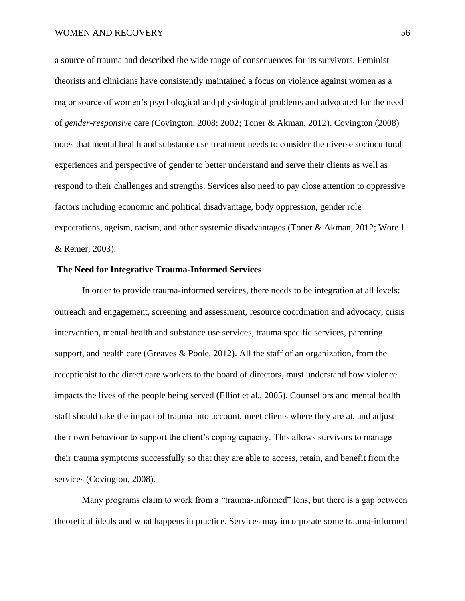a source of trauma and described the wide range of consequences for its survivors. Feminist theorists and clinicians have consistently maintained a focus on violence against women as a major source of women's psychological and physiological problems and advocated for the need of *gender-responsive* care (Covington, 2008; 2002; Toner & Akman, 2012). Covington (2008) notes that mental health and substance use treatment needs to consider the diverse sociocultural experiences and perspective of gender to better understand and serve their clients as well as respond to their challenges and strengths. Services also need to pay close attention to oppressive factors including economic and political disadvantage, body oppression, gender role expectations, ageism, racism, and other systemic disadvantages (Toner & Akman, 2012; Worell & Remer, 2003).

# **The Need for Integrative Trauma-Informed Services**

In order to provide trauma-informed services, there needs to be integration at all levels: outreach and engagement, screening and assessment, resource coordination and advocacy, crisis intervention, mental health and substance use services, trauma specific services, parenting support, and health care (Greaves & Poole, 2012). All the staff of an organization, from the receptionist to the direct care workers to the board of directors, must understand how violence impacts the lives of the people being served (Elliot et al., 2005). Counsellors and mental health staff should take the impact of trauma into account, meet clients where they are at, and adjust their own behaviour to support the client's coping capacity. This allows survivors to manage their trauma symptoms successfully so that they are able to access, retain, and benefit from the services (Covington, 2008).

Many programs claim to work from a "trauma-informed" lens, but there is a gap between theoretical ideals and what happens in practice. Services may incorporate some trauma-informed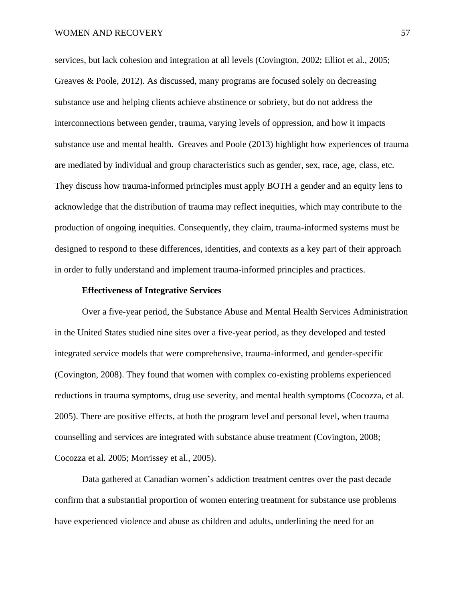services, but lack cohesion and integration at all levels (Covington, 2002; Elliot et al., 2005; Greaves & Poole, 2012). As discussed, many programs are focused solely on decreasing substance use and helping clients achieve abstinence or sobriety, but do not address the interconnections between gender, trauma, varying levels of oppression, and how it impacts substance use and mental health. Greaves and Poole (2013) highlight how experiences of trauma are mediated by individual and group characteristics such as gender, sex, race, age, class, etc. They discuss how trauma-informed principles must apply BOTH a gender and an equity lens to acknowledge that the distribution of trauma may reflect inequities, which may contribute to the production of ongoing inequities. Consequently, they claim, trauma-informed systems must be designed to respond to these differences, identities, and contexts as a key part of their approach in order to fully understand and implement trauma-informed principles and practices.

## **Effectiveness of Integrative Services**

Over a five-year period, the Substance Abuse and Mental Health Services Administration in the United States studied nine sites over a five-year period, as they developed and tested integrated service models that were comprehensive, trauma-informed, and gender-specific (Covington, 2008). They found that women with complex co-existing problems experienced reductions in trauma symptoms, drug use severity, and mental health symptoms (Cocozza, et al. 2005). There are positive effects, at both the program level and personal level, when trauma counselling and services are integrated with substance abuse treatment (Covington, 2008; Cocozza et al. 2005; Morrissey et al., 2005).

Data gathered at Canadian women's addiction treatment centres over the past decade confirm that a substantial proportion of women entering treatment for substance use problems have experienced violence and abuse as children and adults, underlining the need for an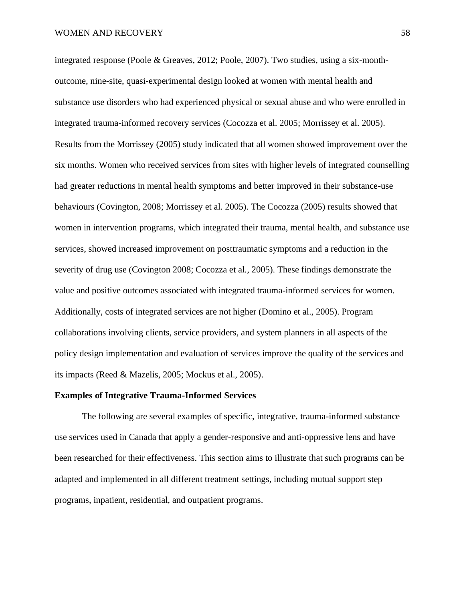integrated response (Poole & Greaves, 2012; Poole, 2007). Two studies, using a six-monthoutcome, nine-site, quasi-experimental design looked at women with mental health and substance use disorders who had experienced physical or sexual abuse and who were enrolled in integrated trauma-informed recovery services (Cocozza et al. 2005; Morrissey et al. 2005). Results from the Morrissey (2005) study indicated that all women showed improvement over the six months. Women who received services from sites with higher levels of integrated counselling had greater reductions in mental health symptoms and better improved in their substance-use behaviours (Covington, 2008; Morrissey et al. 2005). The Cocozza (2005) results showed that women in intervention programs, which integrated their trauma, mental health, and substance use services, showed increased improvement on posttraumatic symptoms and a reduction in the severity of drug use (Covington 2008; Cocozza et al., 2005). These findings demonstrate the value and positive outcomes associated with integrated trauma-informed services for women. Additionally, costs of integrated services are not higher (Domino et al., 2005). Program collaborations involving clients, service providers, and system planners in all aspects of the policy design implementation and evaluation of services improve the quality of the services and its impacts (Reed & Mazelis, 2005; Mockus et al., 2005).

# **Examples of Integrative Trauma-Informed Services**

The following are several examples of specific, integrative, trauma-informed substance use services used in Canada that apply a gender-responsive and anti-oppressive lens and have been researched for their effectiveness. This section aims to illustrate that such programs can be adapted and implemented in all different treatment settings, including mutual support step programs, inpatient, residential, and outpatient programs.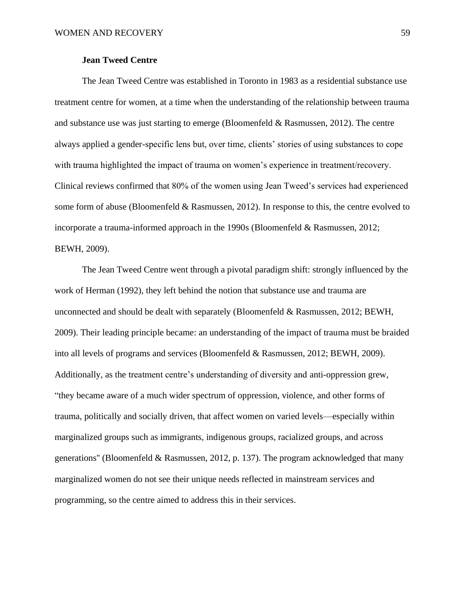# **Jean Tweed Centre**

The Jean Tweed Centre was established in Toronto in 1983 as a residential substance use treatment centre for women, at a time when the understanding of the relationship between trauma and substance use was just starting to emerge (Bloomenfeld  $& Rasmussen, 2012$ ). The centre always applied a gender-specific lens but, over time, clients' stories of using substances to cope with trauma highlighted the impact of trauma on women's experience in treatment/recovery. Clinical reviews confirmed that 80% of the women using Jean Tweed's services had experienced some form of abuse (Bloomenfeld & Rasmussen, 2012). In response to this, the centre evolved to incorporate a trauma-informed approach in the 1990s (Bloomenfeld & Rasmussen, 2012; BEWH, 2009).

The Jean Tweed Centre went through a pivotal paradigm shift: strongly influenced by the work of Herman (1992), they left behind the notion that substance use and trauma are unconnected and should be dealt with separately (Bloomenfeld  $\&$  Rasmussen, 2012; BEWH, 2009). Their leading principle became: an understanding of the impact of trauma must be braided into all levels of programs and services (Bloomenfeld & Rasmussen, 2012; BEWH, 2009). Additionally, as the treatment centre's understanding of diversity and anti-oppression grew, "they became aware of a much wider spectrum of oppression, violence, and other forms of trauma, politically and socially driven, that affect women on varied levels—especially within marginalized groups such as immigrants, indigenous groups, racialized groups, and across generations'' (Bloomenfeld & Rasmussen, 2012, p. 137). The program acknowledged that many marginalized women do not see their unique needs reflected in mainstream services and programming, so the centre aimed to address this in their services.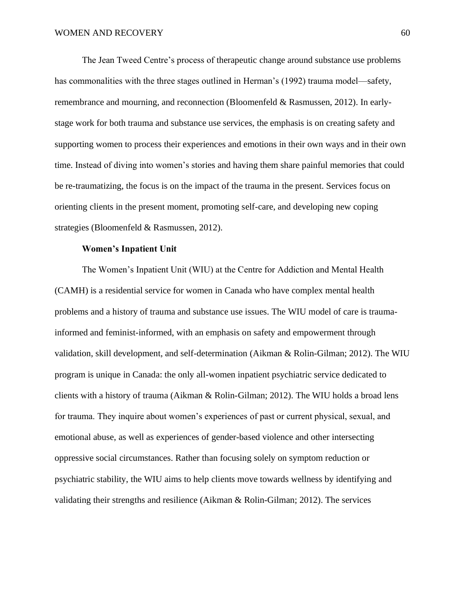The Jean Tweed Centre's process of therapeutic change around substance use problems has commonalities with the three stages outlined in Herman's (1992) trauma model—safety, remembrance and mourning, and reconnection (Bloomenfeld & Rasmussen, 2012). In earlystage work for both trauma and substance use services, the emphasis is on creating safety and supporting women to process their experiences and emotions in their own ways and in their own time. Instead of diving into women's stories and having them share painful memories that could be re-traumatizing, the focus is on the impact of the trauma in the present. Services focus on orienting clients in the present moment, promoting self-care, and developing new coping strategies (Bloomenfeld & Rasmussen, 2012).

#### **Women's Inpatient Unit**

The Women's Inpatient Unit (WIU) at the Centre for Addiction and Mental Health (CAMH) is a residential service for women in Canada who have complex mental health problems and a history of trauma and substance use issues. The WIU model of care is traumainformed and feminist-informed, with an emphasis on safety and empowerment through validation, skill development, and self-determination (Aikman & Rolin-Gilman; 2012). The WIU program is unique in Canada: the only all-women inpatient psychiatric service dedicated to clients with a history of trauma (Aikman & Rolin-Gilman; 2012). The WIU holds a broad lens for trauma. They inquire about women's experiences of past or current physical, sexual, and emotional abuse, as well as experiences of gender-based violence and other intersecting oppressive social circumstances. Rather than focusing solely on symptom reduction or psychiatric stability, the WIU aims to help clients move towards wellness by identifying and validating their strengths and resilience (Aikman & Rolin-Gilman; 2012). The services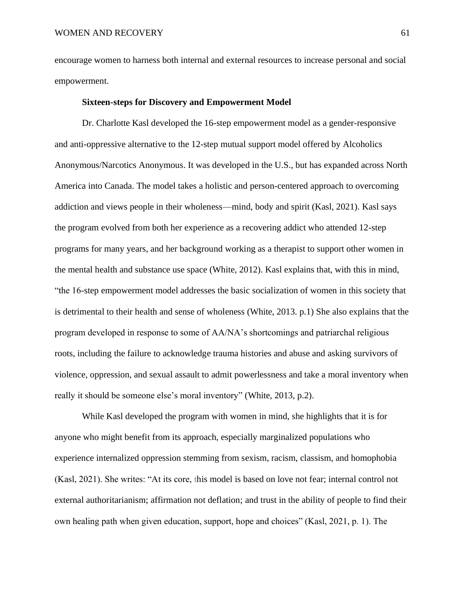encourage women to harness both internal and external resources to increase personal and social empowerment.

## **Sixteen-steps for Discovery and Empowerment Model**

Dr. Charlotte Kasl developed the 16-step empowerment model as a gender-responsive and anti-oppressive alternative to the 12-step mutual support model offered by Alcoholics Anonymous/Narcotics Anonymous. It was developed in the U.S., but has expanded across North America into Canada. The model takes a holistic and person-centered approach to overcoming addiction and views people in their wholeness—mind, body and spirit (Kasl, 2021). Kasl says the program evolved from both her experience as a recovering addict who attended 12-step programs for many years, and her background working as a therapist to support other women in the mental health and substance use space (White, 2012). Kasl explains that, with this in mind, "the 16-step empowerment model addresses the basic socialization of women in this society that is detrimental to their health and sense of wholeness (White, 2013. p.1) She also explains that the program developed in response to some of AA/NA's shortcomings and patriarchal religious roots, including the failure to acknowledge trauma histories and abuse and asking survivors of violence, oppression, and sexual assault to admit powerlessness and take a moral inventory when really it should be someone else's moral inventory" (White, 2013, p.2).

While Kasl developed the program with women in mind, she highlights that it is for anyone who might benefit from its approach, especially marginalized populations who experience internalized oppression stemming from sexism, racism, classism, and homophobia (Kasl, 2021). She writes: "At its core, this model is based on love not fear; internal control not external authoritarianism; affirmation not deflation; and trust in the ability of people to find their own healing path when given education, support, hope and choices" (Kasl, 2021, p. 1). The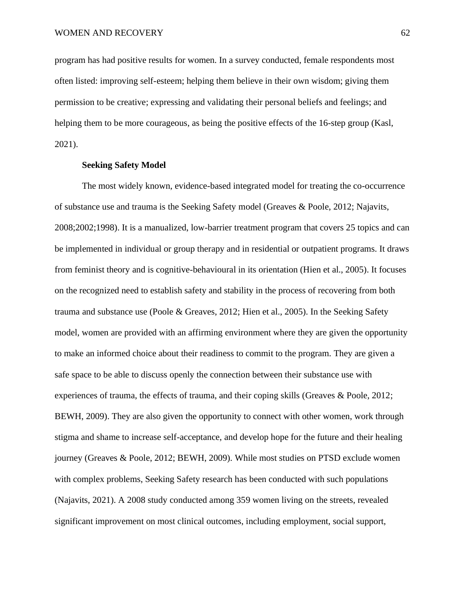program has had positive results for women. In a survey conducted, female respondents most often listed: improving self-esteem; helping them believe in their own wisdom; giving them permission to be creative; expressing and validating their personal beliefs and feelings; and helping them to be more courageous, as being the positive effects of the 16-step group (Kasl, 2021).

# **Seeking Safety Model**

The most widely known, evidence-based integrated model for treating the co-occurrence of substance use and trauma is the Seeking Safety model (Greaves & Poole, 2012; Najavits, 2008;2002;1998). It is a manualized, low-barrier treatment program that covers 25 topics and can be implemented in individual or group therapy and in residential or outpatient programs. It draws from feminist theory and is cognitive-behavioural in its orientation (Hien et al., 2005). It focuses on the recognized need to establish safety and stability in the process of recovering from both trauma and substance use (Poole & Greaves, 2012; Hien et al., 2005). In the Seeking Safety model, women are provided with an affirming environment where they are given the opportunity to make an informed choice about their readiness to commit to the program. They are given a safe space to be able to discuss openly the connection between their substance use with experiences of trauma, the effects of trauma, and their coping skills (Greaves & Poole, 2012; BEWH, 2009). They are also given the opportunity to connect with other women, work through stigma and shame to increase self-acceptance, and develop hope for the future and their healing journey (Greaves & Poole, 2012; BEWH, 2009). While most studies on PTSD exclude women with complex problems, Seeking Safety research has been conducted with such populations (Najavits, 2021). A 2008 study conducted among 359 women living on the streets, revealed significant improvement on most clinical outcomes, including employment, social support,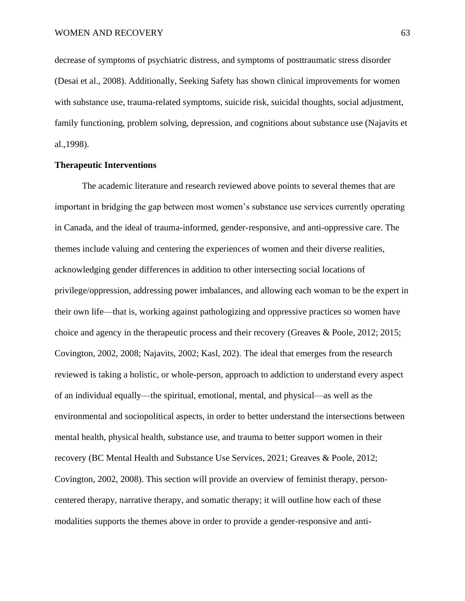decrease of symptoms of psychiatric distress, and symptoms of posttraumatic stress disorder (Desai et al., 2008). Additionally, Seeking Safety has shown clinical improvements for women with substance use, trauma-related symptoms, suicide risk, suicidal thoughts, social adjustment, family functioning, problem solving, depression, and cognitions about substance use (Najavits et al.,1998).

# **Therapeutic Interventions**

The academic literature and research reviewed above points to several themes that are important in bridging the gap between most women's substance use services currently operating in Canada, and the ideal of trauma-informed, gender-responsive, and anti-oppressive care. The themes include valuing and centering the experiences of women and their diverse realities, acknowledging gender differences in addition to other intersecting social locations of privilege/oppression, addressing power imbalances, and allowing each woman to be the expert in their own life—that is, working against pathologizing and oppressive practices so women have choice and agency in the therapeutic process and their recovery (Greaves & Poole, 2012; 2015; Covington, 2002, 2008; Najavits, 2002; Kasl, 202). The ideal that emerges from the research reviewed is taking a holistic, or whole-person, approach to addiction to understand every aspect of an individual equally—the spiritual, emotional, mental, and physical—as well as the environmental and sociopolitical aspects, in order to better understand the intersections between mental health, physical health, substance use, and trauma to better support women in their recovery (BC Mental Health and Substance Use Services, 2021; Greaves & Poole, 2012; Covington, 2002, 2008). This section will provide an overview of feminist therapy, personcentered therapy, narrative therapy, and somatic therapy; it will outline how each of these modalities supports the themes above in order to provide a gender-responsive and anti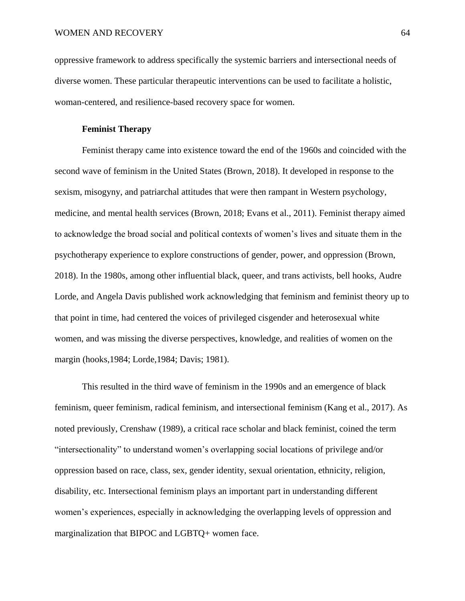oppressive framework to address specifically the systemic barriers and intersectional needs of diverse women. These particular therapeutic interventions can be used to facilitate a holistic, woman-centered, and resilience-based recovery space for women.

# **Feminist Therapy**

Feminist therapy came into existence toward the end of the 1960s and coincided with the second wave of feminism in the United States (Brown, 2018). It developed in response to the sexism, misogyny, and patriarchal attitudes that were then rampant in Western psychology, medicine, and mental health services (Brown, 2018; Evans et al., 2011). Feminist therapy aimed to acknowledge the broad social and political contexts of women's lives and situate them in the psychotherapy experience to explore constructions of gender, power, and oppression (Brown, 2018). In the 1980s, among other influential black, queer, and trans activists, bell hooks, Audre Lorde, and Angela Davis published work acknowledging that feminism and feminist theory up to that point in time, had centered the voices of privileged cisgender and heterosexual white women, and was missing the diverse perspectives, knowledge, and realities of women on the margin (hooks,1984; Lorde,1984; Davis; 1981).

This resulted in the third wave of feminism in the 1990s and an emergence of black feminism, queer feminism, radical feminism, and intersectional feminism (Kang et al., 2017). As noted previously, Crenshaw (1989), a critical race scholar and black feminist, coined the term "intersectionality" to understand women's overlapping social locations of privilege and/or oppression based on race, class, sex, gender identity, sexual orientation, ethnicity, religion, disability, etc. Intersectional feminism plays an important part in understanding different women's experiences, especially in acknowledging the overlapping levels of oppression and marginalization that BIPOC and LGBTQ+ women face.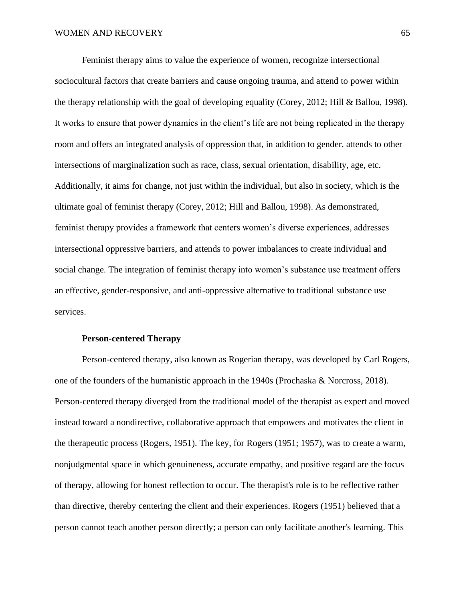Feminist therapy aims to value the experience of women, recognize intersectional sociocultural factors that create barriers and cause ongoing trauma, and attend to power within the therapy relationship with the goal of developing equality (Corey, 2012; Hill & Ballou, 1998). It works to ensure that power dynamics in the client's life are not being replicated in the therapy room and offers an integrated analysis of oppression that, in addition to gender, attends to other intersections of marginalization such as race, class, sexual orientation, disability, age, etc. Additionally, it aims for change, not just within the individual, but also in society, which is the ultimate goal of feminist therapy (Corey, 2012; Hill and Ballou, 1998). As demonstrated, feminist therapy provides a framework that centers women's diverse experiences, addresses intersectional oppressive barriers, and attends to power imbalances to create individual and social change. The integration of feminist therapy into women's substance use treatment offers an effective, gender-responsive, and anti-oppressive alternative to traditional substance use services.

# **Person-centered Therapy**

Person-centered therapy, also known as Rogerian therapy, was developed by Carl Rogers, one of the founders of the humanistic approach in the 1940s (Prochaska & Norcross, 2018). Person-centered therapy diverged from the traditional model of the therapist as expert and moved instead toward a nondirective, collaborative approach that empowers and motivates the client in the therapeutic process (Rogers, 1951). The key, for Rogers (1951; 1957), was to create a warm, nonjudgmental space in which genuineness, accurate empathy, and positive regard are the focus of therapy, allowing for honest reflection to occur. The therapist's role is to be reflective rather than directive, thereby centering the client and their experiences. Rogers (1951) believed that a person cannot teach another person directly; a person can only facilitate another's learning. This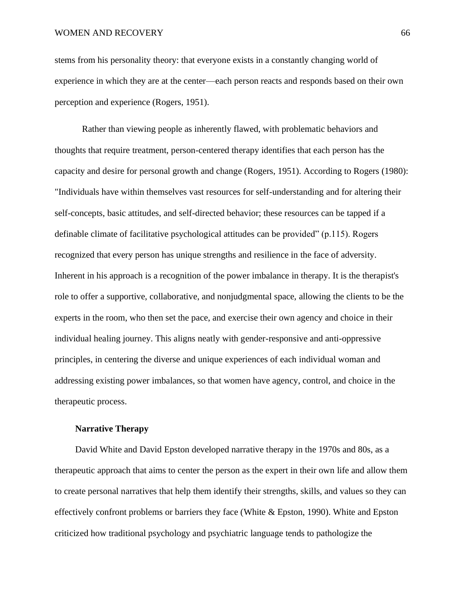## WOMEN AND RECOVERY 66

stems from his personality theory: that everyone exists in a constantly changing world of experience in which they are at the center—each person reacts and responds based on their own perception and experience (Rogers, 1951).

Rather than viewing people as inherently flawed, with problematic behaviors and thoughts that require treatment, person-centered therapy identifies that each person has the capacity and desire for personal growth and change (Rogers, 1951). According to Rogers (1980): "Individuals have within themselves vast resources for self-understanding and for altering their self-concepts, basic attitudes, and self-directed behavior; these resources can be tapped if a definable climate of facilitative psychological attitudes can be provided" (p.115). Rogers recognized that every person has unique strengths and resilience in the face of adversity. Inherent in his approach is a recognition of the power imbalance in therapy. It is the therapist's role to offer a supportive, collaborative, and nonjudgmental space, allowing the clients to be the experts in the room, who then set the pace, and exercise their own agency and choice in their individual healing journey. This aligns neatly with gender-responsive and anti-oppressive principles, in centering the diverse and unique experiences of each individual woman and addressing existing power imbalances, so that women have agency, control, and choice in the therapeutic process.

## **Narrative Therapy**

David White and David Epston developed narrative therapy in the 1970s and 80s, as a therapeutic approach that aims to center the person as the expert in their own life and allow them to create personal narratives that help them identify their strengths, skills, and values so they can effectively confront problems or barriers they face (White & Epston, 1990). White and Epston criticized how traditional psychology and psychiatric language tends to pathologize the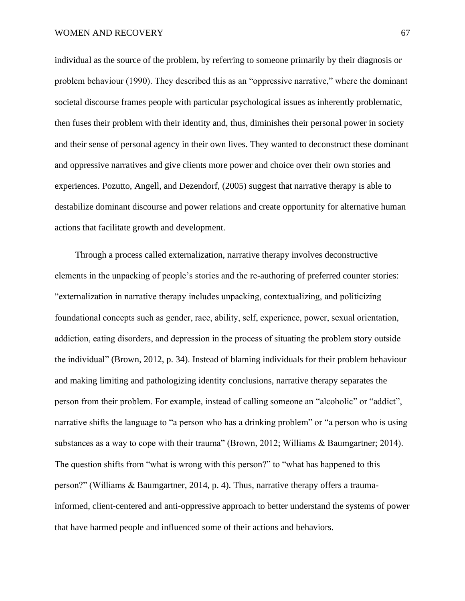individual as the source of the problem, by referring to someone primarily by their diagnosis or problem behaviour (1990). They described this as an "oppressive narrative," where the dominant societal discourse frames people with particular psychological issues as inherently problematic, then fuses their problem with their identity and, thus, diminishes their personal power in society and their sense of personal agency in their own lives. They wanted to deconstruct these dominant and oppressive narratives and give clients more power and choice over their own stories and experiences. Pozutto, Angell, and Dezendorf, (2005) suggest that narrative therapy is able to destabilize dominant discourse and power relations and create opportunity for alternative human actions that facilitate growth and development.

Through a process called externalization, narrative therapy involves deconstructive elements in the unpacking of people's stories and the re-authoring of preferred counter stories: "externalization in narrative therapy includes unpacking, contextualizing, and politicizing foundational concepts such as gender, race, ability, self, experience, power, sexual orientation, addiction, eating disorders, and depression in the process of situating the problem story outside the individual" (Brown, 2012, p. 34). Instead of blaming individuals for their problem behaviour and making limiting and pathologizing identity conclusions, narrative therapy separates the person from their problem. For example, instead of calling someone an "alcoholic" or "addict", narrative shifts the language to "a person who has a drinking problem" or "a person who is using substances as a way to cope with their trauma" (Brown, 2012; Williams & Baumgartner; 2014). The question shifts from "what is wrong with this person?" to "what has happened to this person?" (Williams & Baumgartner, 2014, p. 4). Thus, narrative therapy offers a traumainformed, client-centered and anti-oppressive approach to better understand the systems of power that have harmed people and influenced some of their actions and behaviors.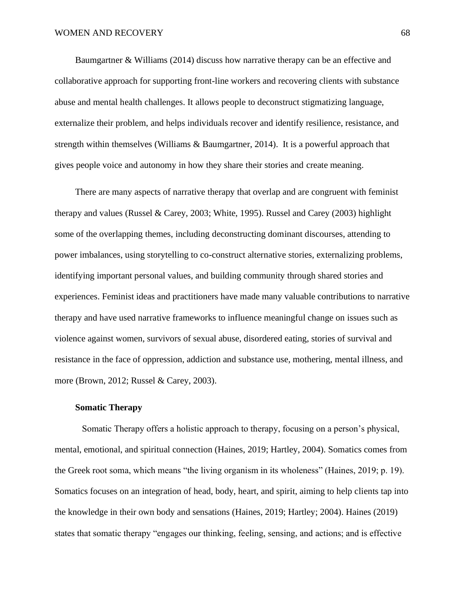### WOMEN AND RECOVERY 68

Baumgartner & Williams (2014) discuss how narrative therapy can be an effective and collaborative approach for supporting front-line workers and recovering clients with substance abuse and mental health challenges. It allows people to deconstruct stigmatizing language, externalize their problem, and helps individuals recover and identify resilience, resistance, and strength within themselves (Williams & Baumgartner, 2014). It is a powerful approach that gives people voice and autonomy in how they share their stories and create meaning.

There are many aspects of narrative therapy that overlap and are congruent with feminist therapy and values (Russel & Carey, 2003; White, 1995). Russel and Carey (2003) highlight some of the overlapping themes, including deconstructing dominant discourses, attending to power imbalances, using storytelling to co-construct alternative stories, externalizing problems, identifying important personal values, and building community through shared stories and experiences. Feminist ideas and practitioners have made many valuable contributions to narrative therapy and have used narrative frameworks to influence meaningful change on issues such as violence against women, survivors of sexual abuse, disordered eating, stories of survival and resistance in the face of oppression, addiction and substance use, mothering, mental illness, and more (Brown, 2012; Russel & Carey, 2003).

#### **Somatic Therapy**

Somatic Therapy offers a holistic approach to therapy, focusing on a person's physical, mental, emotional, and spiritual connection (Haines, 2019; Hartley, 2004). Somatics comes from the Greek root soma, which means "the living organism in its wholeness" (Haines, 2019; p. 19). Somatics focuses on an integration of head, body, heart, and spirit, aiming to help clients tap into the knowledge in their own body and sensations (Haines, 2019; Hartley; 2004). Haines (2019) states that somatic therapy "engages our thinking, feeling, sensing, and actions; and is effective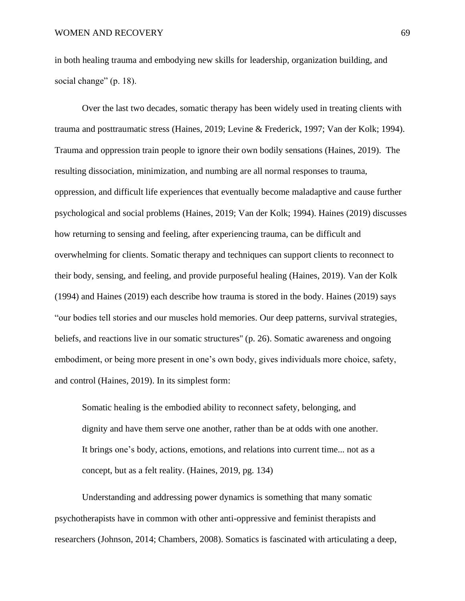in both healing trauma and embodying new skills for leadership, organization building, and social change" (p. 18).

Over the last two decades, somatic therapy has been widely used in treating clients with trauma and posttraumatic stress (Haines, 2019; Levine & Frederick, 1997; Van der Kolk; 1994). Trauma and oppression train people to ignore their own bodily sensations (Haines, 2019). The resulting dissociation, minimization, and numbing are all normal responses to trauma, oppression, and difficult life experiences that eventually become maladaptive and cause further psychological and social problems (Haines, 2019; Van der Kolk; 1994). Haines (2019) discusses how returning to sensing and feeling, after experiencing trauma, can be difficult and overwhelming for clients. Somatic therapy and techniques can support clients to reconnect to their body, sensing, and feeling, and provide purposeful healing (Haines, 2019). Van der Kolk (1994) and Haines (2019) each describe how trauma is stored in the body. Haines (2019) says "our bodies tell stories and our muscles hold memories. Our deep patterns, survival strategies, beliefs, and reactions live in our somatic structures'' (p. 26). Somatic awareness and ongoing embodiment, or being more present in one's own body, gives individuals more choice, safety, and control (Haines, 2019). In its simplest form:

Somatic healing is the embodied ability to reconnect safety, belonging, and dignity and have them serve one another, rather than be at odds with one another. It brings one's body, actions, emotions, and relations into current time... not as a concept, but as a felt reality. (Haines, 2019, pg. 134)

Understanding and addressing power dynamics is something that many somatic psychotherapists have in common with other anti-oppressive and feminist therapists and researchers (Johnson, 2014; Chambers, 2008). Somatics is fascinated with articulating a deep,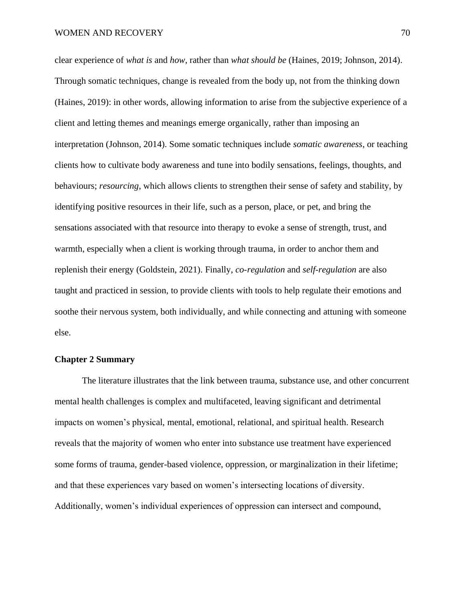clear experience of *what is* and *how,* rather than *what should be* (Haines, 2019; Johnson, 2014). Through somatic techniques, change is revealed from the body up, not from the thinking down (Haines, 2019): in other words, allowing information to arise from the subjective experience of a client and letting themes and meanings emerge organically, rather than imposing an interpretation (Johnson, 2014). Some somatic techniques include *somatic awareness*, or teaching clients how to cultivate body awareness and tune into bodily sensations, feelings, thoughts, and behaviours; *resourcing*, which allows clients to strengthen their sense of safety and stability, by identifying positive resources in their life, such as a person, place, or pet, and bring the sensations associated with that resource into therapy to evoke a sense of strength, trust, and warmth, especially when a client is working through trauma, in order to anchor them and replenish their energy (Goldstein, 2021). Finally, *co-regulation* and *self-regulation* are also taught and practiced in session, to provide clients with tools to help regulate their emotions and soothe their nervous system, both individually, and while connecting and attuning with someone else.

# **Chapter 2 Summary**

The literature illustrates that the link between trauma, substance use, and other concurrent mental health challenges is complex and multifaceted, leaving significant and detrimental impacts on women's physical, mental, emotional, relational, and spiritual health. Research reveals that the majority of women who enter into substance use treatment have experienced some forms of trauma, gender-based violence, oppression, or marginalization in their lifetime; and that these experiences vary based on women's intersecting locations of diversity. Additionally, women's individual experiences of oppression can intersect and compound,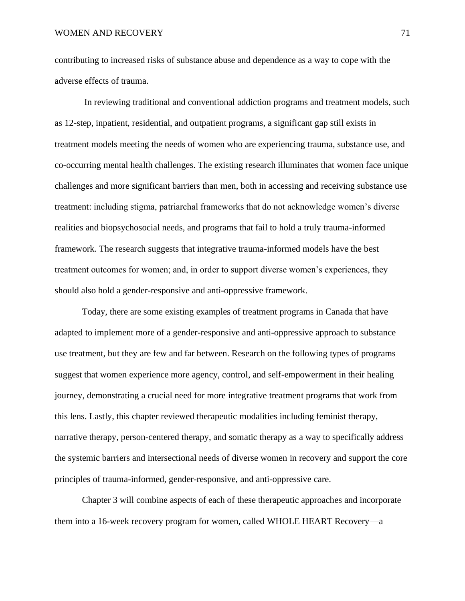contributing to increased risks of substance abuse and dependence as a way to cope with the adverse effects of trauma.

In reviewing traditional and conventional addiction programs and treatment models, such as 12-step, inpatient, residential, and outpatient programs, a significant gap still exists in treatment models meeting the needs of women who are experiencing trauma, substance use, and co-occurring mental health challenges. The existing research illuminates that women face unique challenges and more significant barriers than men, both in accessing and receiving substance use treatment: including stigma, patriarchal frameworks that do not acknowledge women's diverse realities and biopsychosocial needs, and programs that fail to hold a truly trauma-informed framework. The research suggests that integrative trauma-informed models have the best treatment outcomes for women; and, in order to support diverse women's experiences, they should also hold a gender-responsive and anti-oppressive framework.

Today, there are some existing examples of treatment programs in Canada that have adapted to implement more of a gender-responsive and anti-oppressive approach to substance use treatment, but they are few and far between. Research on the following types of programs suggest that women experience more agency, control, and self-empowerment in their healing journey, demonstrating a crucial need for more integrative treatment programs that work from this lens. Lastly, this chapter reviewed therapeutic modalities including feminist therapy, narrative therapy, person-centered therapy, and somatic therapy as a way to specifically address the systemic barriers and intersectional needs of diverse women in recovery and support the core principles of trauma-informed, gender-responsive, and anti-oppressive care.

Chapter 3 will combine aspects of each of these therapeutic approaches and incorporate them into a 16-week recovery program for women, called WHOLE HEART Recovery—a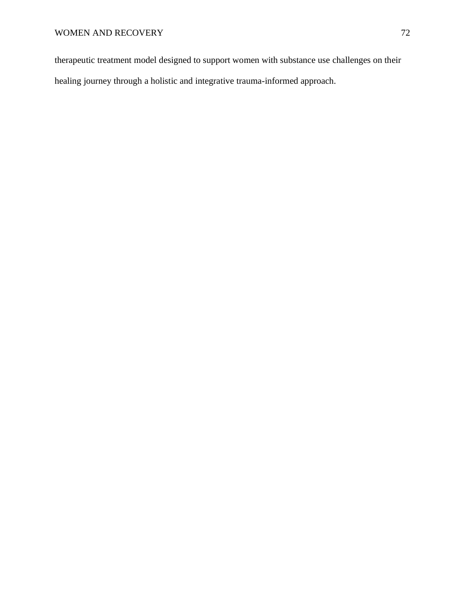therapeutic treatment model designed to support women with substance use challenges on their healing journey through a holistic and integrative trauma-informed approach.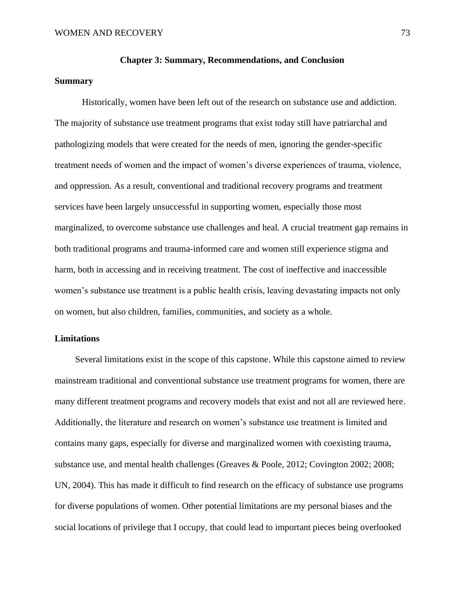#### **Chapter 3: Summary, Recommendations, and Conclusion**

### **Summary**

Historically, women have been left out of the research on substance use and addiction. The majority of substance use treatment programs that exist today still have patriarchal and pathologizing models that were created for the needs of men, ignoring the gender-specific treatment needs of women and the impact of women's diverse experiences of trauma, violence, and oppression. As a result, conventional and traditional recovery programs and treatment services have been largely unsuccessful in supporting women, especially those most marginalized, to overcome substance use challenges and heal. A crucial treatment gap remains in both traditional programs and trauma-informed care and women still experience stigma and harm, both in accessing and in receiving treatment. The cost of ineffective and inaccessible women's substance use treatment is a public health crisis, leaving devastating impacts not only on women, but also children, families, communities, and society as a whole.

### **Limitations**

Several limitations exist in the scope of this capstone. While this capstone aimed to review mainstream traditional and conventional substance use treatment programs for women, there are many different treatment programs and recovery models that exist and not all are reviewed here. Additionally, the literature and research on women's substance use treatment is limited and contains many gaps, especially for diverse and marginalized women with coexisting trauma, substance use, and mental health challenges (Greaves & Poole, 2012; Covington 2002; 2008; UN, 2004). This has made it difficult to find research on the efficacy of substance use programs for diverse populations of women. Other potential limitations are my personal biases and the social locations of privilege that I occupy, that could lead to important pieces being overlooked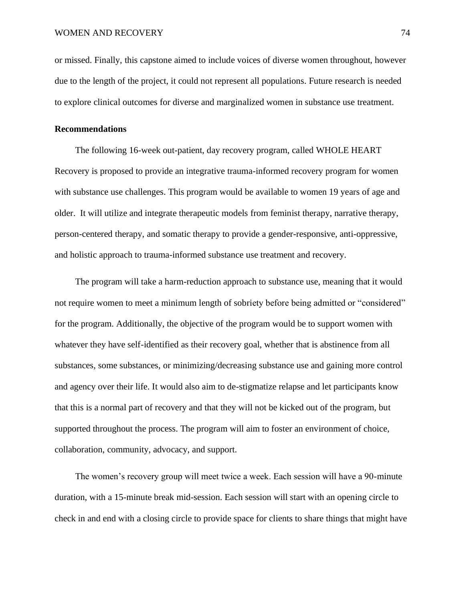or missed. Finally, this capstone aimed to include voices of diverse women throughout, however due to the length of the project, it could not represent all populations. Future research is needed to explore clinical outcomes for diverse and marginalized women in substance use treatment.

#### **Recommendations**

The following 16-week out-patient, day recovery program, called WHOLE HEART Recovery is proposed to provide an integrative trauma-informed recovery program for women with substance use challenges. This program would be available to women 19 years of age and older. It will utilize and integrate therapeutic models from feminist therapy, narrative therapy, person-centered therapy, and somatic therapy to provide a gender-responsive, anti-oppressive, and holistic approach to trauma-informed substance use treatment and recovery.

The program will take a harm-reduction approach to substance use, meaning that it would not require women to meet a minimum length of sobriety before being admitted or "considered" for the program. Additionally, the objective of the program would be to support women with whatever they have self-identified as their recovery goal, whether that is abstinence from all substances, some substances, or minimizing/decreasing substance use and gaining more control and agency over their life. It would also aim to de-stigmatize relapse and let participants know that this is a normal part of recovery and that they will not be kicked out of the program, but supported throughout the process. The program will aim to foster an environment of choice, collaboration, community, advocacy, and support.

The women's recovery group will meet twice a week. Each session will have a 90-minute duration, with a 15-minute break mid-session. Each session will start with an opening circle to check in and end with a closing circle to provide space for clients to share things that might have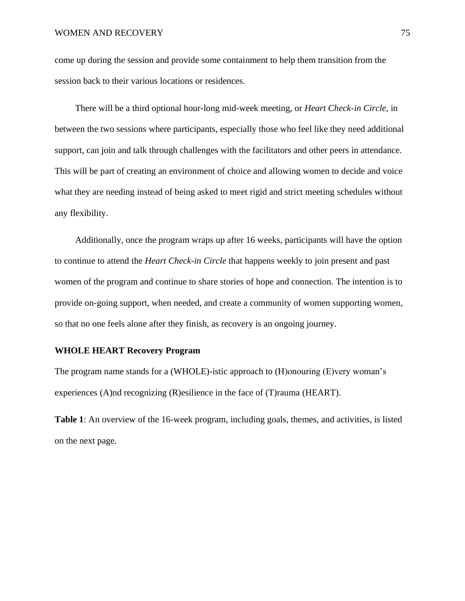come up during the session and provide some containment to help them transition from the session back to their various locations or residences.

There will be a third optional hour-long mid-week meeting, or *Heart Check-in Circle*, in between the two sessions where participants, especially those who feel like they need additional support, can join and talk through challenges with the facilitators and other peers in attendance. This will be part of creating an environment of choice and allowing women to decide and voice what they are needing instead of being asked to meet rigid and strict meeting schedules without any flexibility.

Additionally, once the program wraps up after 16 weeks, participants will have the option to continue to attend the *Heart Check-in Circle* that happens weekly to join present and past women of the program and continue to share stories of hope and connection. The intention is to provide on-going support, when needed, and create a community of women supporting women, so that no one feels alone after they finish, as recovery is an ongoing journey.

## **WHOLE HEART Recovery Program**

The program name stands for a (WHOLE)-istic approach to (H)onouring (E)very woman's experiences (A)nd recognizing (R)esilience in the face of (T)rauma (HEART).

**Table 1**: An overview of the 16-week program, including goals, themes, and activities, is listed on the next page.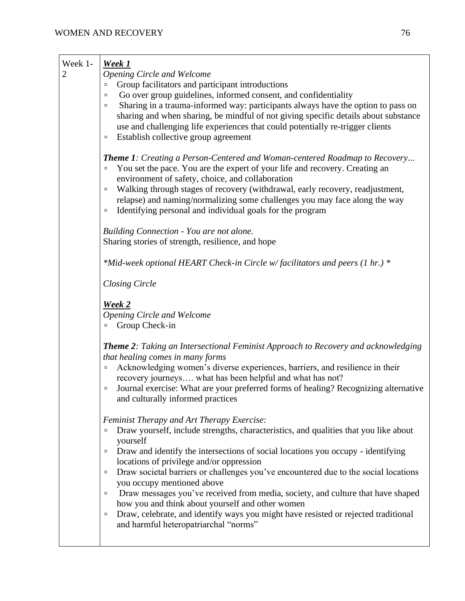| Week 1-<br>2 | <u>Week 1</u><br><b>Opening Circle and Welcome</b><br>Group facilitators and participant introductions<br>$\Box$<br>Go over group guidelines, informed consent, and confidentiality<br>п<br>Sharing in a trauma-informed way: participants always have the option to pass on<br>о<br>sharing and when sharing, be mindful of not giving specific details about substance<br>use and challenging life experiences that could potentially re-trigger clients<br>Establish collective group agreement<br>$\Box$                                                                                                                                                                                                           |
|--------------|------------------------------------------------------------------------------------------------------------------------------------------------------------------------------------------------------------------------------------------------------------------------------------------------------------------------------------------------------------------------------------------------------------------------------------------------------------------------------------------------------------------------------------------------------------------------------------------------------------------------------------------------------------------------------------------------------------------------|
|              | <b>Theme 1:</b> Creating a Person-Centered and Woman-centered Roadmap to Recovery<br>You set the pace. You are the expert of your life and recovery. Creating an<br>$\Box$<br>environment of safety, choice, and collaboration<br>Walking through stages of recovery (withdrawal, early recovery, readjustment,<br>$\Box$<br>relapse) and naming/normalizing some challenges you may face along the way<br>Identifying personal and individual goals for the program<br>$\Box$                                                                                                                                                                                                                                         |
|              | Building Connection - You are not alone.<br>Sharing stories of strength, resilience, and hope                                                                                                                                                                                                                                                                                                                                                                                                                                                                                                                                                                                                                          |
|              | *Mid-week optional HEART Check-in Circle w/facilitators and peers (1 hr.) *                                                                                                                                                                                                                                                                                                                                                                                                                                                                                                                                                                                                                                            |
|              | <b>Closing Circle</b>                                                                                                                                                                                                                                                                                                                                                                                                                                                                                                                                                                                                                                                                                                  |
|              | <u>Week 2</u><br><b>Opening Circle and Welcome</b><br>Group Check-in<br>$\Box$                                                                                                                                                                                                                                                                                                                                                                                                                                                                                                                                                                                                                                         |
|              | <b>Theme 2:</b> Taking an Intersectional Feminist Approach to Recovery and acknowledging<br>that healing comes in many forms<br>Acknowledging women's diverse experiences, barriers, and resilience in their<br>$\Box$<br>recovery journeys what has been helpful and what has not?<br>Journal exercise: What are your preferred forms of healing? Recognizing alternative<br>$\Box$<br>and culturally informed practices                                                                                                                                                                                                                                                                                              |
|              | Feminist Therapy and Art Therapy Exercise:<br>Draw yourself, include strengths, characteristics, and qualities that you like about<br>$\Box$<br>yourself<br>Draw and identify the intersections of social locations you occupy - identifying<br>$\Box$<br>locations of privilege and/or oppression<br>Draw societal barriers or challenges you've encountered due to the social locations<br>$\Box$<br>you occupy mentioned above<br>Draw messages you've received from media, society, and culture that have shaped<br>о<br>how you and think about yourself and other women<br>Draw, celebrate, and identify ways you might have resisted or rejected traditional<br>$\Box$<br>and harmful heteropatriarchal "norms" |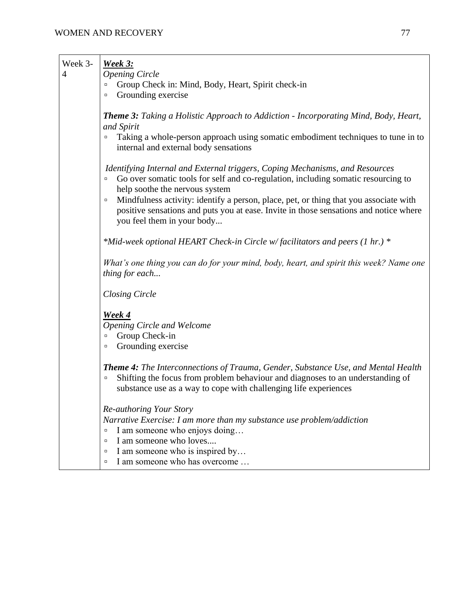| Week 3-<br>$\overline{4}$ | <u>Week 3:</u><br><b>Opening Circle</b><br>Group Check in: Mind, Body, Heart, Spirit check-in<br>Grounding exercise<br>Ξ                                                                                                                                 |
|---------------------------|----------------------------------------------------------------------------------------------------------------------------------------------------------------------------------------------------------------------------------------------------------|
|                           | <b>Theme 3:</b> Taking a Holistic Approach to Addiction - Incorporating Mind, Body, Heart,<br>and Spirit                                                                                                                                                 |
|                           | Taking a whole-person approach using somatic embodiment techniques to tune in to<br>$\Box$<br>internal and external body sensations                                                                                                                      |
|                           | Identifying Internal and External triggers, Coping Mechanisms, and Resources<br>Go over somatic tools for self and co-regulation, including somatic resourcing to<br>$\Box$<br>help soothe the nervous system                                            |
|                           | Mindfulness activity: identify a person, place, pet, or thing that you associate with<br>$\Box$<br>positive sensations and puts you at ease. Invite in those sensations and notice where<br>you feel them in your body                                   |
|                           | *Mid-week optional HEART Check-in Circle w/facilitators and peers (1 hr.) *                                                                                                                                                                              |
|                           | What's one thing you can do for your mind, body, heart, and spirit this week? Name one<br>thing for each                                                                                                                                                 |
|                           | <b>Closing Circle</b>                                                                                                                                                                                                                                    |
|                           | Week 4<br><b>Opening Circle and Welcome</b><br>Group Check-in<br>Ξ<br>Grounding exercise<br>۰                                                                                                                                                            |
|                           | <b>Theme 4:</b> The Interconnections of Trauma, Gender, Substance Use, and Mental Health<br>Shifting the focus from problem behaviour and diagnoses to an understanding of<br>$\Box$<br>substance use as a way to cope with challenging life experiences |
|                           | Re-authoring Your Story<br>Narrative Exercise: I am more than my substance use problem/addiction                                                                                                                                                         |
|                           | I am someone who enjoys doing<br>$\Box$<br>I am someone who loves                                                                                                                                                                                        |
|                           | п<br>I am someone who is inspired by<br>٠                                                                                                                                                                                                                |
|                           | I am someone who has overcome<br>٠                                                                                                                                                                                                                       |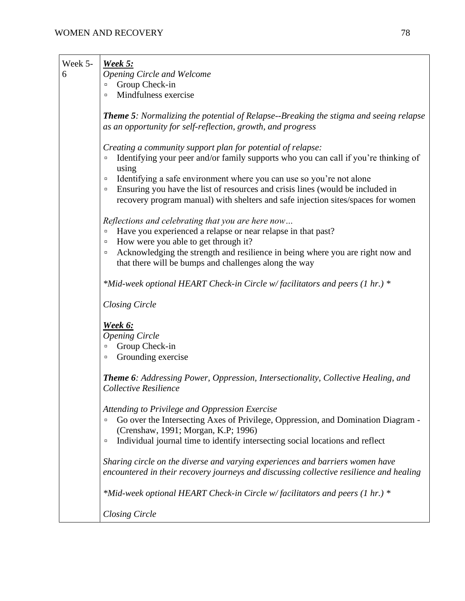| Week 5- | <b>Week 5:</b>                                                                                                                                                                                                                                                                                                                                                                                                                          |
|---------|-----------------------------------------------------------------------------------------------------------------------------------------------------------------------------------------------------------------------------------------------------------------------------------------------------------------------------------------------------------------------------------------------------------------------------------------|
| 6       | <b>Opening Circle and Welcome</b>                                                                                                                                                                                                                                                                                                                                                                                                       |
|         | Group Check-in<br>$\Box$                                                                                                                                                                                                                                                                                                                                                                                                                |
|         | Mindfulness exercise<br>$\Box$                                                                                                                                                                                                                                                                                                                                                                                                          |
|         | <b>Theme 5:</b> Normalizing the potential of Relapse--Breaking the stigma and seeing relapse<br>as an opportunity for self-reflection, growth, and progress                                                                                                                                                                                                                                                                             |
|         | Creating a community support plan for potential of relapse:<br>Identifying your peer and/or family supports who you can call if you're thinking of<br>$\Box$<br>using<br>Identifying a safe environment where you can use so you're not alone<br>$\Box$<br>Ensuring you have the list of resources and crisis lines (would be included in<br>$\Box$<br>recovery program manual) with shelters and safe injection sites/spaces for women |
|         | Reflections and celebrating that you are here now<br>Have you experienced a relapse or near relapse in that past?<br>$\Box$<br>How were you able to get through it?<br>$\Box$<br>Acknowledging the strength and resilience in being where you are right now and<br>$\Box$<br>that there will be bumps and challenges along the way                                                                                                      |
|         | *Mid-week optional HEART Check-in Circle w/facilitators and peers (1 hr.) *                                                                                                                                                                                                                                                                                                                                                             |
|         | <b>Closing Circle</b>                                                                                                                                                                                                                                                                                                                                                                                                                   |
|         | Week 6:<br><b>Opening Circle</b><br>Group Check-in<br>$\Box$<br>Grounding exercise<br>$\Box$                                                                                                                                                                                                                                                                                                                                            |
|         | <b>Theme 6:</b> Addressing Power, Oppression, Intersectionality, Collective Healing, and<br>Collective Resilience                                                                                                                                                                                                                                                                                                                       |
|         | Attending to Privilege and Oppression Exercise<br>Go over the Intersecting Axes of Privilege, Oppression, and Domination Diagram -<br>$\Box$<br>(Crenshaw, 1991; Morgan, K.P; 1996)<br>Individual journal time to identify intersecting social locations and reflect<br>$\Box$                                                                                                                                                          |
|         | Sharing circle on the diverse and varying experiences and barriers women have<br>encountered in their recovery journeys and discussing collective resilience and healing                                                                                                                                                                                                                                                                |
|         | *Mid-week optional HEART Check-in Circle w/facilitators and peers (1 hr.) *                                                                                                                                                                                                                                                                                                                                                             |
|         | <b>Closing Circle</b>                                                                                                                                                                                                                                                                                                                                                                                                                   |
|         |                                                                                                                                                                                                                                                                                                                                                                                                                                         |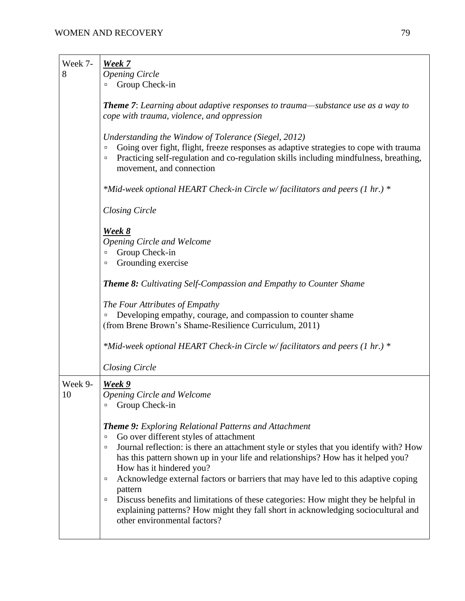| Week 7-       | <b>Week 7</b>                                                                                                                                                                                                                                                                                                                                                                                                                                                                                                                                                                                                                                                        |
|---------------|----------------------------------------------------------------------------------------------------------------------------------------------------------------------------------------------------------------------------------------------------------------------------------------------------------------------------------------------------------------------------------------------------------------------------------------------------------------------------------------------------------------------------------------------------------------------------------------------------------------------------------------------------------------------|
| 8             | <b>Opening Circle</b>                                                                                                                                                                                                                                                                                                                                                                                                                                                                                                                                                                                                                                                |
|               | Group Check-in<br>$\Box$                                                                                                                                                                                                                                                                                                                                                                                                                                                                                                                                                                                                                                             |
|               | <b>Theme 7:</b> Learning about adaptive responses to trauma—substance use as a way to<br>cope with trauma, violence, and oppression                                                                                                                                                                                                                                                                                                                                                                                                                                                                                                                                  |
|               | Understanding the Window of Tolerance (Siegel, 2012)<br>Going over fight, flight, freeze responses as adaptive strategies to cope with trauma<br>Д<br>Practicing self-regulation and co-regulation skills including mindfulness, breathing,<br>$\Box$<br>movement, and connection                                                                                                                                                                                                                                                                                                                                                                                    |
|               | *Mid-week optional HEART Check-in Circle w/facilitators and peers (1 hr.) *                                                                                                                                                                                                                                                                                                                                                                                                                                                                                                                                                                                          |
|               | <b>Closing Circle</b>                                                                                                                                                                                                                                                                                                                                                                                                                                                                                                                                                                                                                                                |
|               | <b>Week 8</b><br><b>Opening Circle and Welcome</b><br>Group Check-in<br>Д<br>Grounding exercise<br>α                                                                                                                                                                                                                                                                                                                                                                                                                                                                                                                                                                 |
|               | <b>Theme 8:</b> Cultivating Self-Compassion and Empathy to Counter Shame                                                                                                                                                                                                                                                                                                                                                                                                                                                                                                                                                                                             |
|               | The Four Attributes of Empathy<br>Developing empathy, courage, and compassion to counter shame<br>ο<br>(from Brene Brown's Shame-Resilience Curriculum, 2011)                                                                                                                                                                                                                                                                                                                                                                                                                                                                                                        |
|               | *Mid-week optional HEART Check-in Circle w/facilitators and peers (1 hr.) *                                                                                                                                                                                                                                                                                                                                                                                                                                                                                                                                                                                          |
|               | <b>Closing Circle</b>                                                                                                                                                                                                                                                                                                                                                                                                                                                                                                                                                                                                                                                |
| Week 9-<br>10 | <b>Week 9</b><br><b>Opening Circle and Welcome</b><br>Group Check-in<br>$\Box$                                                                                                                                                                                                                                                                                                                                                                                                                                                                                                                                                                                       |
|               | <b>Theme 9:</b> Exploring Relational Patterns and Attachment<br>Go over different styles of attachment<br>$\Box$<br>Journal reflection: is there an attachment style or styles that you identify with? How<br>$\Box$<br>has this pattern shown up in your life and relationships? How has it helped you?<br>How has it hindered you?<br>Acknowledge external factors or barriers that may have led to this adaptive coping<br>$\Box$<br>pattern<br>Discuss benefits and limitations of these categories: How might they be helpful in<br>$\Box$<br>explaining patterns? How might they fall short in acknowledging sociocultural and<br>other environmental factors? |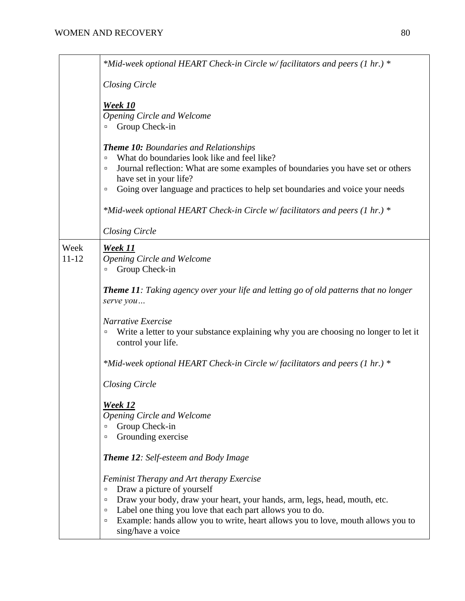|                   | *Mid-week optional HEART Check-in Circle w/facilitators and peers (1 hr.) *                                                                                                                                                                                                                                                                         |
|-------------------|-----------------------------------------------------------------------------------------------------------------------------------------------------------------------------------------------------------------------------------------------------------------------------------------------------------------------------------------------------|
|                   | <b>Closing Circle</b>                                                                                                                                                                                                                                                                                                                               |
|                   | <b>Week 10</b><br><b>Opening Circle and Welcome</b><br>Group Check-in<br>ο                                                                                                                                                                                                                                                                          |
|                   | <b>Theme 10: Boundaries and Relationships</b><br>What do boundaries look like and feel like?<br>$\Box$<br>Journal reflection: What are some examples of boundaries you have set or others<br>۰<br>have set in your life?<br>Going over language and practices to help set boundaries and voice your needs<br>$\Box$                                 |
|                   | *Mid-week optional HEART Check-in Circle w/facilitators and peers (1 hr.) *                                                                                                                                                                                                                                                                         |
|                   | <b>Closing Circle</b>                                                                                                                                                                                                                                                                                                                               |
| Week<br>$11 - 12$ | <b>Week 11</b><br>Opening Circle and Welcome<br>Group Check-in<br>$\Box$                                                                                                                                                                                                                                                                            |
|                   | <b>Theme 11:</b> Taking agency over your life and letting go of old patterns that no longer<br>serve you                                                                                                                                                                                                                                            |
|                   | Narrative Exercise<br>Write a letter to your substance explaining why you are choosing no longer to let it<br>$\Box$<br>control your life.                                                                                                                                                                                                          |
|                   | *Mid-week optional HEART Check-in Circle w/facilitators and peers (1 hr.) *                                                                                                                                                                                                                                                                         |
|                   | <b>Closing Circle</b>                                                                                                                                                                                                                                                                                                                               |
|                   | <b>Week 12</b><br>Opening Circle and Welcome<br>Group Check-in<br>$\Box$<br>Grounding exercise<br>о                                                                                                                                                                                                                                                 |
|                   | <b>Theme 12:</b> Self-esteem and Body Image                                                                                                                                                                                                                                                                                                         |
|                   | Feminist Therapy and Art therapy Exercise<br>Draw a picture of yourself<br>$\Box$<br>Draw your body, draw your heart, your hands, arm, legs, head, mouth, etc.<br>۰<br>Label one thing you love that each part allows you to do.<br>۰<br>Example: hands allow you to write, heart allows you to love, mouth allows you to<br>α<br>sing/have a voice |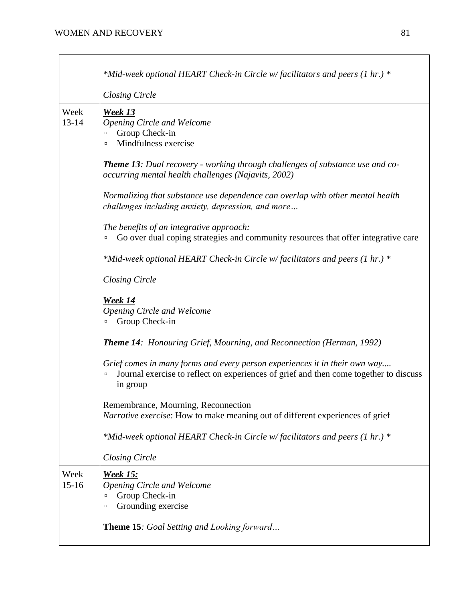|                   | *Mid-week optional HEART Check-in Circle w/facilitators and peers (1 hr.) *                                                                                                               |
|-------------------|-------------------------------------------------------------------------------------------------------------------------------------------------------------------------------------------|
|                   |                                                                                                                                                                                           |
|                   | <b>Closing Circle</b>                                                                                                                                                                     |
| Week<br>$13 - 14$ | <b>Week 13</b><br><b>Opening Circle and Welcome</b><br>Group Check-in<br>$\Box$<br>Mindfulness exercise<br>$\Box$                                                                         |
|                   | <b>Theme 13</b> : Dual recovery - working through challenges of substance use and co-<br>occurring mental health challenges (Najavits, 2002)                                              |
|                   | Normalizing that substance use dependence can overlap with other mental health<br>challenges including anxiety, depression, and more                                                      |
|                   | The benefits of an integrative approach:<br>Go over dual coping strategies and community resources that offer integrative care<br>$\Box$                                                  |
|                   | *Mid-week optional HEART Check-in Circle w/facilitators and peers (1 hr.) *                                                                                                               |
|                   | <b>Closing Circle</b>                                                                                                                                                                     |
|                   | Week 14<br>Opening Circle and Welcome<br>Group Check-in                                                                                                                                   |
|                   | <b>Theme 14:</b> Honouring Grief, Mourning, and Reconnection (Herman, 1992)                                                                                                               |
|                   | Grief comes in many forms and every person experiences it in their own way<br>Journal exercise to reflect on experiences of grief and then come together to discuss<br>$\Box$<br>in group |
|                   | Remembrance, Mourning, Reconnection<br>Narrative exercise: How to make meaning out of different experiences of grief                                                                      |
|                   | *Mid-week optional HEART Check-in Circle w/facilitators and peers (1 hr.) *                                                                                                               |
|                   | <b>Closing Circle</b>                                                                                                                                                                     |
| Week<br>$15 - 16$ | <u>Week 15:</u><br><b>Opening Circle and Welcome</b><br>Group Check-in<br>о<br>Grounding exercise<br>$\Box$                                                                               |
|                   | <b>Theme 15:</b> Goal Setting and Looking forward                                                                                                                                         |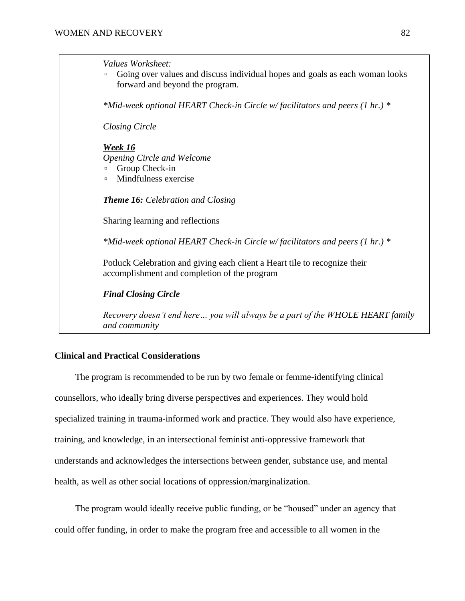*Values Worksheet:* ▫ Going over values and discuss individual hopes and goals as each woman looks forward and beyond the program. *\*Mid-week optional HEART Check-in Circle w/ facilitators and peers (1 hr.) \* Closing Circle Week 16 Opening Circle and Welcome*  Group Check-in ▫ Mindfulness exercise *Theme 16: Celebration and Closing* Sharing learning and reflections *\*Mid-week optional HEART Check-in Circle w/ facilitators and peers (1 hr.) \** Potluck Celebration and giving each client a Heart tile to recognize their accomplishment and completion of the program *Final Closing Circle Recovery doesn't end here… you will always be a part of the WHOLE HEART family and community*

# **Clinical and Practical Considerations**

The program is recommended to be run by two female or femme-identifying clinical counsellors, who ideally bring diverse perspectives and experiences. They would hold specialized training in trauma-informed work and practice. They would also have experience, training, and knowledge, in an intersectional feminist anti-oppressive framework that understands and acknowledges the intersections between gender, substance use, and mental health, as well as other social locations of oppression/marginalization.

The program would ideally receive public funding, or be "housed" under an agency that could offer funding, in order to make the program free and accessible to all women in the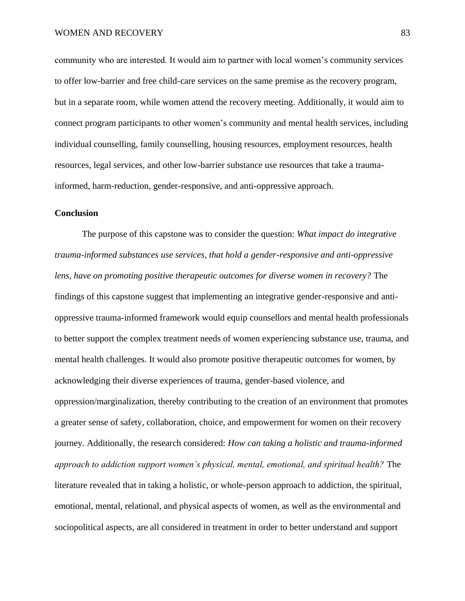community who are interested. It would aim to partner with local women's community services to offer low-barrier and free child-care services on the same premise as the recovery program, but in a separate room, while women attend the recovery meeting. Additionally, it would aim to connect program participants to other women's community and mental health services, including individual counselling, family counselling, housing resources, employment resources, health resources, legal services, and other low-barrier substance use resources that take a traumainformed, harm-reduction, gender-responsive, and anti-oppressive approach.

## **Conclusion**

The purpose of this capstone was to consider the question: *What impact do integrative trauma-informed substances use services, that hold a gender-responsive and anti-oppressive lens, have on promoting positive therapeutic outcomes for diverse women in recovery?* The findings of this capstone suggest that implementing an integrative gender-responsive and antioppressive trauma-informed framework would equip counsellors and mental health professionals to better support the complex treatment needs of women experiencing substance use, trauma, and mental health challenges. It would also promote positive therapeutic outcomes for women, by acknowledging their diverse experiences of trauma, gender-based violence, and oppression/marginalization, thereby contributing to the creation of an environment that promotes a greater sense of safety, collaboration, choice, and empowerment for women on their recovery journey. Additionally, the research considered: *How can taking a holistic and trauma-informed approach to addiction support women's physical, mental, emotional, and spiritual health?* The literature revealed that in taking a holistic, or whole-person approach to addiction, the spiritual, emotional, mental, relational, and physical aspects of women, as well as the environmental and sociopolitical aspects, are all considered in treatment in order to better understand and support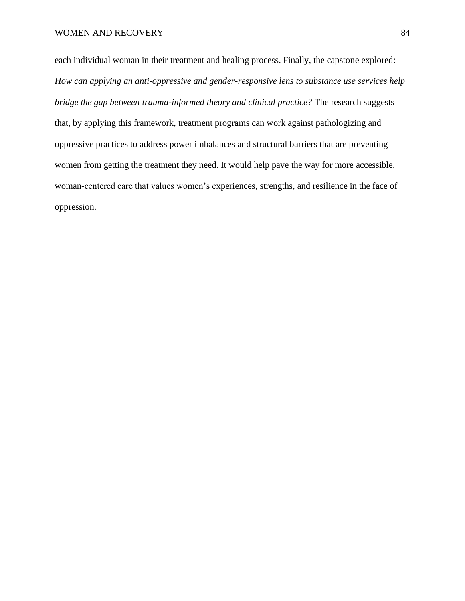each individual woman in their treatment and healing process. Finally, the capstone explored: *How can applying an anti-oppressive and gender-responsive lens to substance use services help bridge the gap between trauma-informed theory and clinical practice?* The research suggests that, by applying this framework, treatment programs can work against pathologizing and oppressive practices to address power imbalances and structural barriers that are preventing women from getting the treatment they need. It would help pave the way for more accessible, woman-centered care that values women's experiences, strengths, and resilience in the face of oppression.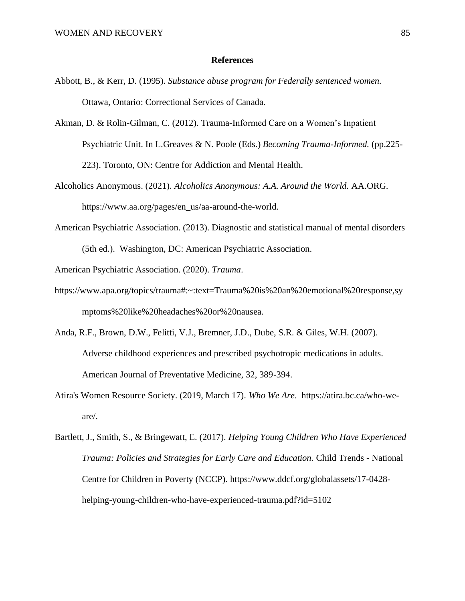#### **References**

- Abbott, B., & Kerr, D. (1995). *Substance abuse program for Federally sentenced women.*  Ottawa, Ontario: Correctional Services of Canada.
- Akman, D. & Rolin-Gilman, C. (2012). Trauma-Informed Care on a Women's Inpatient Psychiatric Unit. In L.Greaves & N. Poole (Eds.) *Becoming Trauma-Informed.* (pp.225- 223). Toronto, ON: Centre for Addiction and Mental Health.
- Alcoholics Anonymous. (2021). *Alcoholics Anonymous: A.A. Around the World.* AA.ORG. https://www.aa.org/pages/en\_us/aa-around-the-world.
- American Psychiatric Association. (2013). Diagnostic and statistical manual of mental disorders (5th ed.). Washington, DC: American Psychiatric Association.
- American Psychiatric Association. (2020). *Trauma*.
- https://www.apa.org/topics/trauma#:~:text=Trauma%20is%20an%20emotional%20response,sy mptoms%20like%20headaches%20or%20nausea.
- Anda, R.F., Brown, D.W., Felitti, V.J., Bremner, J.D., Dube, S.R. & Giles, W.H. (2007). Adverse childhood experiences and prescribed psychotropic medications in adults. American Journal of Preventative Medicine, 32, 389-394.
- Atira's Women Resource Society. (2019, March 17). *Who We Are*. https://atira.bc.ca/who-weare/.
- Bartlett, J., Smith, S., & Bringewatt, E. (2017). *Helping Young Children Who Have Experienced Trauma: Policies and Strategies for Early Care and Education.* Child Trends - National Centre for Children in Poverty (NCCP). [https://www.ddcf.org/globalassets/17-0428](https://www.ddcf.org/globalassets/17-0428-helping-young-children-who-have-experienced-trauma.pdf?id=5102) [helping-young-children-who-have-experienced-trauma.pdf?id=5102](https://www.ddcf.org/globalassets/17-0428-helping-young-children-who-have-experienced-trauma.pdf?id=5102)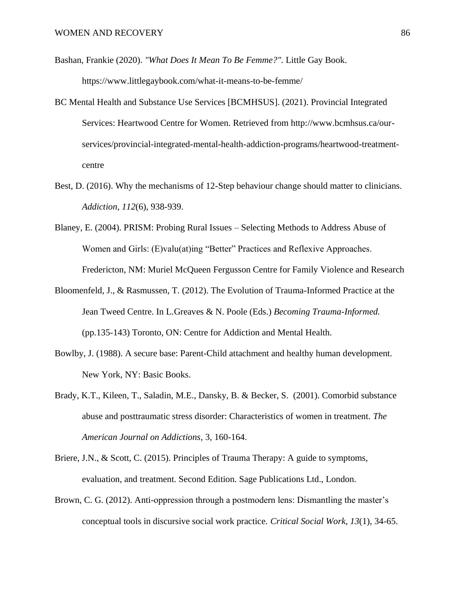Bashan, Frankie (2020). *["What Does It Mean To Be Femme?".](https://www.littlegaybook.com/what-it-means-to-be-femme/)* Little Gay Book.

https://www.littlegaybook.com/what-it-means-to-be-femme/

- BC Mental Health and Substance Use Services [BCMHSUS]. (2021). Provincial Integrated Services: Heartwood Centre for Women. Retrieved from http://www.bcmhsus.ca/ourservices/provincial-integrated-mental-health-addiction-programs/heartwood-treatmentcentre
- Best, D. (2016). Why the mechanisms of 12-Step behaviour change should matter to clinicians. *Addiction*, *112*(6), 938-939.
- Blaney, E. (2004). PRISM: Probing Rural Issues Selecting Methods to Address Abuse of Women and Girls: (E)valu(at)ing "Better" Practices and Reflexive Approaches. Fredericton, NM: Muriel McQueen Fergusson Centre for Family Violence and Research
- Bloomenfeld, J., & Rasmussen, T. (2012). The Evolution of Trauma-Informed Practice at the Jean Tweed Centre. In L.Greaves & N. Poole (Eds.) *Becoming Trauma-Informed.* (pp.135-143) Toronto, ON: Centre for Addiction and Mental Health.
- Bowlby, J. (1988). A secure base: Parent-Child attachment and healthy human development. New York, NY: Basic Books.
- Brady, K.T., Kileen, T., Saladin, M.E., Dansky, B. & Becker, S. (2001). Comorbid substance abuse and posttraumatic stress disorder: Characteristics of women in treatment. *The American Journal on Addictions*, 3, 160-164.
- Briere, J.N., & Scott, C. (2015). Principles of Trauma Therapy: A guide to symptoms, evaluation, and treatment. Second Edition. Sage Publications Ltd., London.
- Brown, C. G. (2012). Anti-oppression through a postmodern lens: Dismantling the master's conceptual tools in discursive social work practice. *Critical Social Work*, *13*(1), 34-65.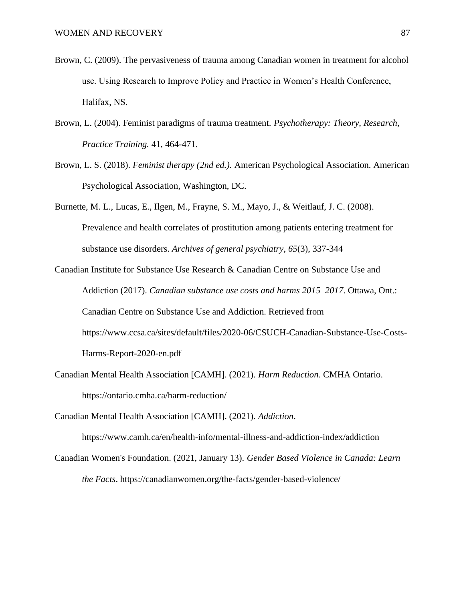- Brown, C. (2009). The pervasiveness of trauma among Canadian women in treatment for alcohol use. Using Research to Improve Policy and Practice in Women's Health Conference, Halifax, NS.
- Brown, L. (2004). Feminist paradigms of trauma treatment. *Psychotherapy: Theory, Research, Practice Training.* 41, 464-471.
- Brown, L. S. (2018). *Feminist therapy (2nd ed.).* American Psychological Association. American Psychological Association, Washington, DC.
- Burnette, M. L., Lucas, E., Ilgen, M., Frayne, S. M., Mayo, J., & Weitlauf, J. C. (2008). Prevalence and health correlates of prostitution among patients entering treatment for substance use disorders. *Archives of general psychiatry*, *65*(3), 337-344
- Canadian Institute for Substance Use Research & Canadian Centre on Substance Use and Addiction (2017). *Canadian substance use costs and harms 2015–2017*. Ottawa, Ont.: Canadian Centre on Substance Use and Addiction. Retrieved from https://www.ccsa.ca/sites/default/files/2020-06/CSUCH-Canadian-Substance-Use-Costs-Harms-Report-2020-en.pdf
- Canadian Mental Health Association [CAMH]. (2021). *Harm Reduction*. CMHA Ontario. https://ontario.cmha.ca/harm-reduction/
- Canadian Mental Health Association [CAMH]. (2021). *Addiction*.

https://www.camh.ca/en/health-info/mental-illness-and-addiction-index/addiction

Canadian Women's Foundation. (2021, January 13). *Gender Based Violence in Canada: Learn the Facts*. https://canadianwomen.org/the-facts/gender-based-violence/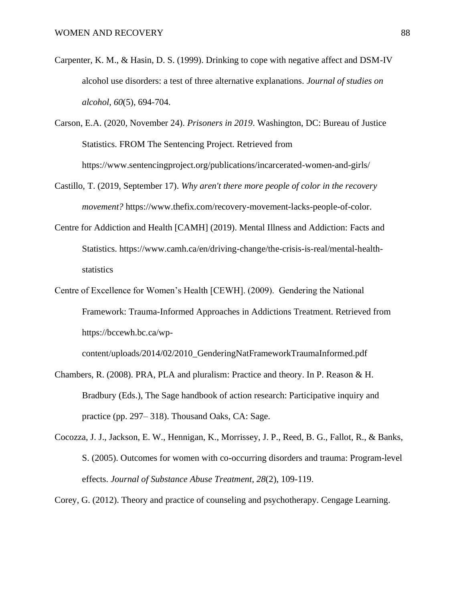- Carpenter, K. M., & Hasin, D. S. (1999). Drinking to cope with negative affect and DSM-IV alcohol use disorders: a test of three alternative explanations. *Journal of studies on alcohol*, *60*(5), 694-704.
- Carson, E.A. (2020, November 24). *Prisoners in 2019*. Washington, DC: Bureau of Justice Statistics. FROM The Sentencing Project. Retrieved from https://www.sentencingproject.org/publications/incarcerated-women-and-girls/
- Castillo, T. (2019, September 17). *Why aren't there more people of color in the recovery movement?* https://www.thefix.com/recovery-movement-lacks-people-of-color.
- Centre for Addiction and Health [CAMH] (2019). Mental Illness and Addiction: Facts and Statistics. https://www.camh.ca/en/driving-change/the-crisis-is-real/mental-healthstatistics
- Centre of Excellence for Women's Health [CEWH]. (2009). Gendering the National Framework: Trauma-Informed Approaches in Addictions Treatment. Retrieved from https://bccewh.bc.ca/wp-

content/uploads/2014/02/2010\_GenderingNatFrameworkTraumaInformed.pdf

- Chambers, R. (2008). PRA, PLA and pluralism: Practice and theory. In P. Reason & H. Bradbury (Eds.), The Sage handbook of action research: Participative inquiry and practice (pp. 297– 318). Thousand Oaks, CA: Sage.
- Cocozza, J. J., Jackson, E. W., Hennigan, K., Morrissey, J. P., Reed, B. G., Fallot, R., & Banks, S. (2005). Outcomes for women with co-occurring disorders and trauma: Program-level effects. *Journal of Substance Abuse Treatment*, *28*(2), 109-119.

Corey, G. (2012). Theory and practice of counseling and psychotherapy. Cengage Learning.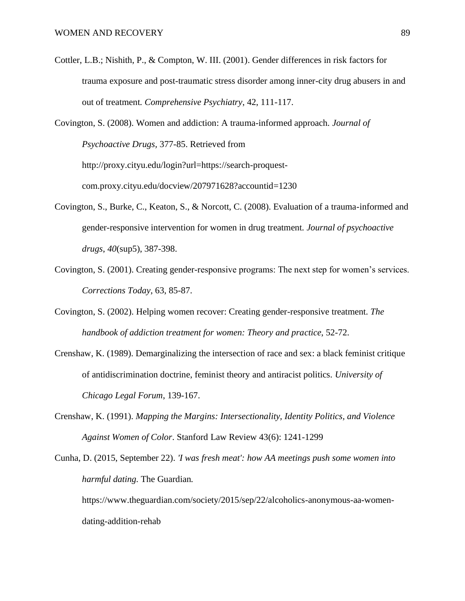Cottler, L.B.; Nishith, P., & Compton, W. III. (2001). Gender differences in risk factors for trauma exposure and post-traumatic stress disorder among inner-city drug abusers in and out of treatment*. Comprehensive Psychiatry*, 42, 111-117.

Covington, S. (2008). Women and addiction: A trauma-informed approach. *Journal of Psychoactive Drugs,* 377-85. Retrieved from http://proxy.cityu.edu/login?url=https://search-proquestcom.proxy.cityu.edu/docview/207971628?accountid=1230

- Covington, S., Burke, C., Keaton, S., & Norcott, C. (2008). Evaluation of a trauma-informed and gender-responsive intervention for women in drug treatment. *Journal of psychoactive drugs*, *40*(sup5), 387-398.
- Covington, S. (2001). Creating gender-responsive programs: The next step for women's services. *Corrections Today*, 63, 85-87.
- Covington, S. (2002). Helping women recover: Creating gender-responsive treatment. *The handbook of addiction treatment for women: Theory and practice*, 52-72.
- Crenshaw, K. (1989). Demarginalizing the intersection of race and sex: a black feminist critique of antidiscrimination doctrine, feminist theory and antiracist politics. *University of Chicago Legal Forum*, 139-167.
- Crenshaw, K. (1991). *Mapping the Margins: Intersectionality, Identity Politics, and Violence Against Women of Color*. Stanford Law Review 43(6): 1241-1299

Cunha, D. (2015, September 22). *'I was fresh meat': how AA meetings push some women into harmful dating.* The Guardian*.*  https://www.theguardian.com/society/2015/sep/22/alcoholics-anonymous-aa-womendating-addition-rehab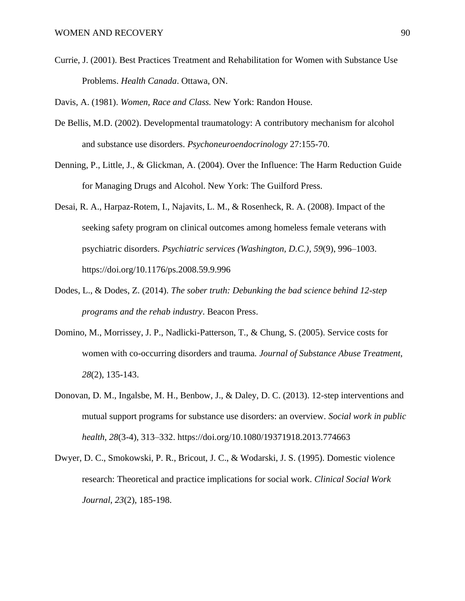Currie, J. (2001). Best Practices Treatment and Rehabilitation for Women with Substance Use Problems. *Health Canada*. Ottawa, ON.

Davis, A. (1981). *Women, Race and Class.* New York: Randon House.

- De Bellis, M.D. (2002). Developmental traumatology: A contributory mechanism for alcohol and substance use disorders. *Psychoneuroendocrinology* 27:155-70.
- Denning, P., Little, J., & Glickman, A. (2004). Over the Influence: The Harm Reduction Guide for Managing Drugs and Alcohol. New York: The Guilford Press.
- Desai, R. A., Harpaz-Rotem, I., Najavits, L. M., & Rosenheck, R. A. (2008). Impact of the seeking safety program on clinical outcomes among homeless female veterans with psychiatric disorders. *Psychiatric services (Washington, D.C.)*, *59*(9), 996–1003. <https://doi.org/10.1176/ps.2008.59.9.996>
- Dodes, L., & Dodes, Z. (2014). *The sober truth: Debunking the bad science behind 12-step programs and the rehab industry*. Beacon Press.
- Domino, M., Morrissey, J. P., Nadlicki-Patterson, T., & Chung, S. (2005). Service costs for women with co-occurring disorders and trauma. *Journal of Substance Abuse Treatment*, *28*(2), 135-143.
- Donovan, D. M., Ingalsbe, M. H., Benbow, J., & Daley, D. C. (2013). 12-step interventions and mutual support programs for substance use disorders: an overview. *Social work in public health*, *28*(3-4), 313–332. https://doi.org/10.1080/19371918.2013.774663
- Dwyer, D. C., Smokowski, P. R., Bricout, J. C., & Wodarski, J. S. (1995). Domestic violence research: Theoretical and practice implications for social work. *Clinical Social Work Journal*, *23*(2), 185-198.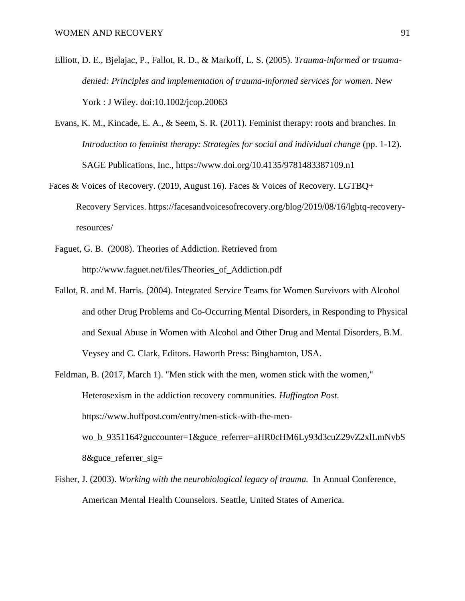- Elliott, D. E., Bjelajac, P., Fallot, R. D., & Markoff, L. S. (2005). *Trauma-informed or traumadenied: Principles and implementation of trauma-informed services for women*. New York : J Wiley. doi:10.1002/jcop.20063
- Evans, K. M., Kincade, E. A., & Seem, S. R. (2011). Feminist therapy: roots and branches. In *Introduction to feminist therapy: Strategies for social and individual change* (pp. 1-12). SAGE Publications, Inc., https://www.doi.org/10.4135/9781483387109.n1
- Faces & Voices of Recovery. (2019, August 16). Faces & Voices of Recovery. LGTBQ+ Recovery Services. https://facesandvoicesofrecovery.org/blog/2019/08/16/lgbtq-recoveryresources/
	- Faguet, G. B. (2008). Theories of Addiction. Retrieved from [http://www.faguet.net/files/Theories\\_of\\_Addiction.pdf](http://www.faguet.net/files/Theories_of_Addiction.pdf)
	- Fallot, R. and M. Harris. (2004). Integrated Service Teams for Women Survivors with Alcohol and other Drug Problems and Co-Occurring Mental Disorders, in Responding to Physical and Sexual Abuse in Women with Alcohol and Other Drug and Mental Disorders, B.M. Veysey and C. Clark, Editors. Haworth Press: Binghamton, USA.
	- Feldman, B. (2017, March 1). "Men stick with the men, women stick with the women," Heterosexism in the addiction recovery communities. *Huffington Post*. https://www.huffpost.com/entry/men-stick-with-the-menwo\_b\_9351164?guccounter=1&guce\_referrer=aHR0cHM6Ly93d3cuZ29vZ2xlLmNvbS 8&guce\_referrer\_sig=
	- Fisher, J. (2003). *Working with the neurobiological legacy of trauma.* In Annual Conference, American Mental Health Counselors. Seattle, United States of America.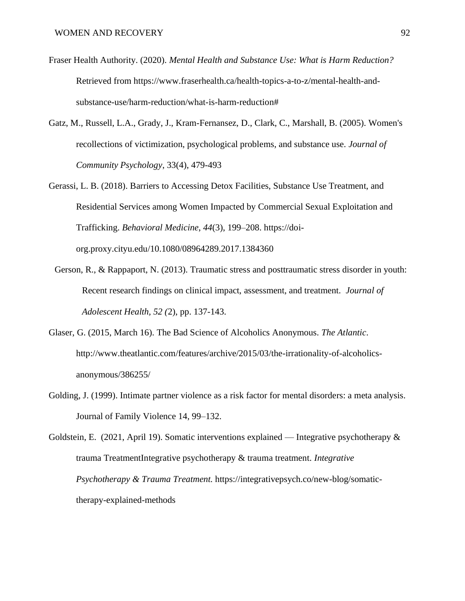- Fraser Health Authority. (2020). *Mental Health and Substance Use: What is Harm Reduction?* Retrieved from https://www.fraserhealth.ca/health-topics-a-to-z/mental-health-andsubstance-use/harm-reduction/what-is-harm-reduction#
- Gatz, M., Russell, L.A., Grady, J., Kram-Fernansez, D., Clark, C., Marshall, B. (2005). Women's recollections of victimization, psychological problems, and substance use. *Journal of Community Psychology*, 33(4), 479-493
- Gerassi, L. B. (2018). Barriers to Accessing Detox Facilities, Substance Use Treatment, and Residential Services among Women Impacted by Commercial Sexual Exploitation and Trafficking. *Behavioral Medicine*, *44*(3), 199–208. https://doiorg.proxy.cityu.edu/10.1080/08964289.2017.1384360
	- Gerson, R., & Rappaport, N. (2013). Traumatic stress and posttraumatic stress disorder in youth: Recent research findings on clinical impact, assessment, and treatment. *Journal of Adolescent Health, 52 (*2), pp. 137-143.
- Glaser, G. (2015, March 16). The Bad Science of Alcoholics Anonymous. *The Atlantic*. http://www.theatlantic.com/features/archive/2015/03/the-irrationality-of-alcoholicsanonymous/386255/
- Golding, J. (1999). Intimate partner violence as a risk factor for mental disorders: a meta analysis. Journal of Family Violence 14, 99–132.

Goldstein, E. (2021, April 19). Somatic interventions explained — Integrative psychotherapy  $\&$ trauma TreatmentIntegrative psychotherapy & trauma treatment. *Integrative Psychotherapy & Trauma Treatment.* https://integrativepsych.co/new-blog/somatictherapy-explained-methods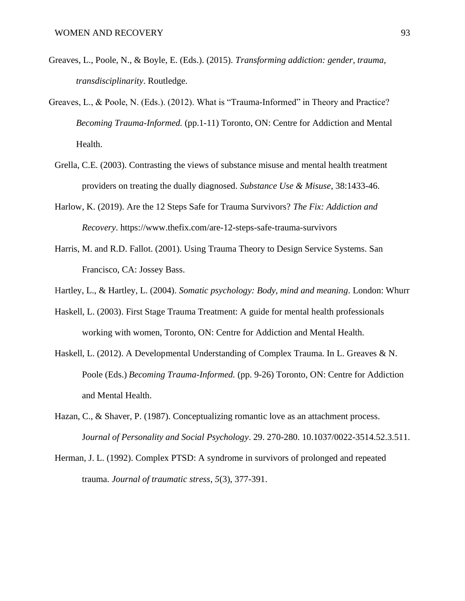- Greaves, L., Poole, N., & Boyle, E. (Eds.). (2015). *Transforming addiction: gender, trauma, transdisciplinarity*. Routledge.
- Greaves, L., & Poole, N. (Eds.). (2012). What is "Trauma-Informed" in Theory and Practice? *Becoming Trauma-Informed.* (pp.1-11) Toronto, ON: Centre for Addiction and Mental Health.
	- Grella, C.E. (2003). Contrasting the views of substance misuse and mental health treatment providers on treating the dually diagnosed. *Substance Use & Misuse*, 38:1433-46.
	- Harlow, K. (2019). Are the 12 Steps Safe for Trauma Survivors? *The Fix: Addiction and Recovery*. https://www.thefix.com/are-12-steps-safe-trauma-survivors
	- Harris, M. and R.D. Fallot. (2001). Using Trauma Theory to Design Service Systems. San Francisco, CA: Jossey Bass.
	- Hartley, L., & Hartley, L. (2004). *Somatic psychology: Body, mind and meaning*. London: Whurr
	- Haskell, L. (2003). First Stage Trauma Treatment: A guide for mental health professionals working with women, Toronto, ON: Centre for Addiction and Mental Health.
	- Haskell, L. (2012). A Developmental Understanding of Complex Trauma. In L. Greaves & N. Poole (Eds.) *Becoming Trauma-Informed.* (pp. 9-26) Toronto, ON: Centre for Addiction and Mental Health.
	- Hazan, C., & Shaver, P. (1987). Conceptualizing romantic love as an attachment process. J*ournal of Personality and Social Psychology*. 29. 270-280. 10.1037/0022-3514.52.3.511.
	- Herman, J. L. (1992). Complex PTSD: A syndrome in survivors of prolonged and repeated trauma. *Journal of traumatic stress*, *5*(3), 377-391.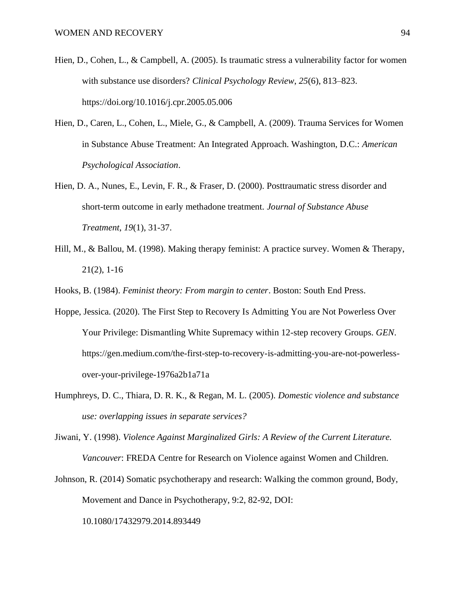- Hien, D., Cohen, L., & Campbell, A. (2005). Is traumatic stress a vulnerability factor for women with substance use disorders? *Clinical Psychology Review*, *25*(6), 813–823. <https://doi.org/10.1016/j.cpr.2005.05.006>
- Hien, D., Caren, L., Cohen, L., Miele, G., & Campbell, A. (2009). Trauma Services for Women in Substance Abuse Treatment: An Integrated Approach. Washington, D.C.: *American Psychological Association*.
- Hien, D. A., Nunes, E., Levin, F. R., & Fraser, D. (2000). Posttraumatic stress disorder and short-term outcome in early methadone treatment. *Journal of Substance Abuse Treatment*, *19*(1), 31-37.
- Hill, M., & Ballou, M. (1998). Making therapy feminist: A practice survey. Women & Therapy, 21(2), 1-16
- Hooks, B. (1984). *Feminist theory: From margin to center*. Boston: South End Press.
- Hoppe, Jessica. (2020). The First Step to Recovery Is Admitting You are Not Powerless Over Your Privilege: Dismantling White Supremacy within 12-step recovery Groups. *GEN*. https://gen.medium.com/the-first-step-to-recovery-is-admitting-you-are-not-powerlessover-your-privilege-1976a2b1a71a
- Humphreys, D. C., Thiara, D. R. K., & Regan, M. L. (2005). *Domestic violence and substance use: overlapping issues in separate services?*
- Jiwani, Y. (1998). *Violence Against Marginalized Girls: A Review of the Current Literature. Vancouver*: FREDA Centre for Research on Violence against Women and Children.
- Johnson, R. (2014) Somatic psychotherapy and research: Walking the common ground, Body, Movement and Dance in Psychotherapy, 9:2, 82-92, DOI: 10.1080/17432979.2014.893449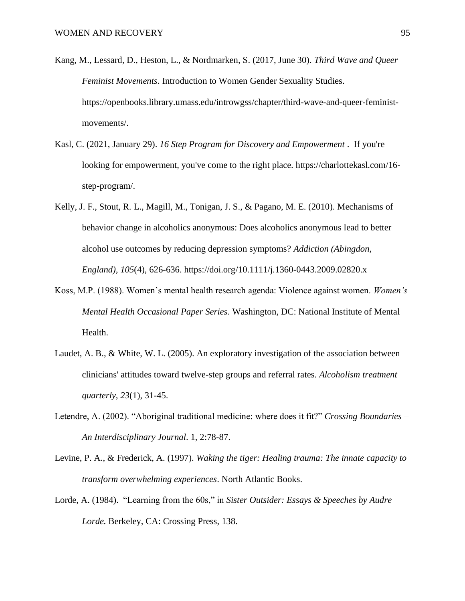- Kang, M., Lessard, D., Heston, L., & Nordmarken, S. (2017, June 30). *Third Wave and Queer Feminist Movements*. Introduction to Women Gender Sexuality Studies. https://openbooks.library.umass.edu/introwgss/chapter/third-wave-and-queer-feministmovements/.
- Kasl, C. (2021, January 29). *16 Step Program for Discovery and Empowerment* . If you're looking for empowerment, you've come to the right place. https://charlottekasl.com/16 step-program/.
- Kelly, J. F., Stout, R. L., Magill, M., Tonigan, J. S., & Pagano, M. E. (2010). Mechanisms of behavior change in alcoholics anonymous: Does alcoholics anonymous lead to better alcohol use outcomes by reducing depression symptoms? *Addiction (Abingdon, England), 105*(4), 626-636. https://doi.org/10.1111/j.1360-0443.2009.02820.x
- Koss, M.P. (1988). Women's mental health research agenda: Violence against women. *Women's Mental Health Occasional Paper Series*. Washington, DC: National Institute of Mental Health.
- Laudet, A. B., & White, W. L. (2005). An exploratory investigation of the association between clinicians' attitudes toward twelve-step groups and referral rates. *Alcoholism treatment quarterly*, *23*(1), 31-45.
- Letendre, A. (2002). "Aboriginal traditional medicine: where does it fit?" *Crossing Boundaries – An Interdisciplinary Journal*. 1, 2:78-87.
- Levine, P. A., & Frederick, A. (1997). *Waking the tiger: Healing trauma: The innate capacity to transform overwhelming experiences*. North Atlantic Books.
- Lorde, A. (1984). "Learning from the 60s," in *Sister Outsider: Essays & Speeches by Audre Lorde.* Berkeley, CA: Crossing Press, 138.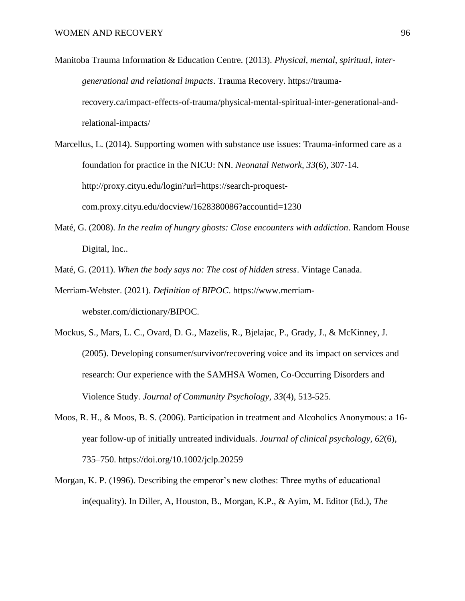- Manitoba Trauma Information & Education Centre. (2013). *Physical, mental, spiritual, intergenerational and relational impacts*. Trauma Recovery. https://traumarecovery.ca/impact-effects-of-trauma/physical-mental-spiritual-inter-generational-andrelational-impacts/
- Marcellus, L. (2014). Supporting women with substance use issues: Trauma-informed care as a foundation for practice in the NICU: NN. *Neonatal Network, 33*(6), 307-14. http://proxy.cityu.edu/login?url=https://search-proquestcom.proxy.cityu.edu/docview/1628380086?accountid=1230
- Maté, G. (2008). *In the realm of hungry ghosts: Close encounters with addiction*. Random House Digital, Inc..
- Maté, G. (2011). *When the body says no: The cost of hidden stress*. Vintage Canada.
- Merriam-Webster. (2021). *Definition of BIPOC*. https://www.merriamwebster.com/dictionary/BIPOC.
- Mockus, S., Mars, L. C., Ovard, D. G., Mazelis, R., Bjelajac, P., Grady, J., & McKinney, J. (2005). Developing consumer/survivor/recovering voice and its impact on services and research: Our experience with the SAMHSA Women, Co‐Occurring Disorders and Violence Study. *Journal of Community Psychology*, *33*(4), 513-525.
- Moos, R. H., & Moos, B. S. (2006). Participation in treatment and Alcoholics Anonymous: a 16 year follow-up of initially untreated individuals. *Journal of clinical psychology*, *62*(6), 735–750. https://doi.org/10.1002/jclp.20259
- Morgan, K. P. (1996). Describing the emperor's new clothes: Three myths of educational in(equality). In Diller, A, Houston, B., Morgan, K.P., & Ayim, M. Editor (Ed.), *The*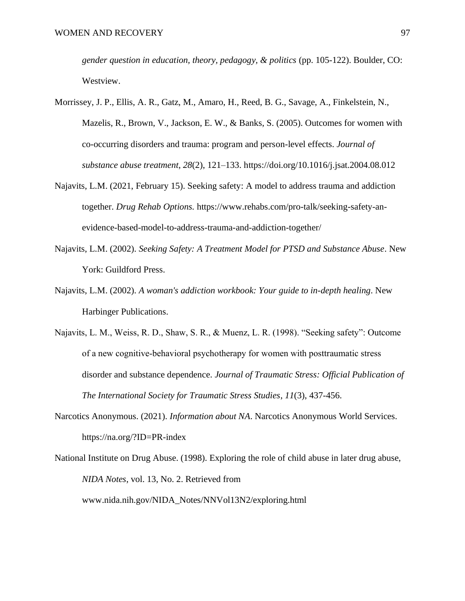*gender question in education, theory, pedagogy, & politics* (pp. 105-122). Boulder, CO: Westview.

- Morrissey, J. P., Ellis, A. R., Gatz, M., Amaro, H., Reed, B. G., Savage, A., Finkelstein, N., Mazelis, R., Brown, V., Jackson, E. W., & Banks, S. (2005). Outcomes for women with co-occurring disorders and trauma: program and person-level effects. *Journal of substance abuse treatment*, *28*(2), 121–133.<https://doi.org/10.1016/j.jsat.2004.08.012>
- Najavits, L.M. (2021, February 15). Seeking safety: A model to address trauma and addiction together. *Drug Rehab Options.* https://www.rehabs.com/pro-talk/seeking-safety-anevidence-based-model-to-address-trauma-and-addiction-together/
- Najavits, L.M. (2002). *Seeking Safety: A Treatment Model for PTSD and Substance Abuse*. New York: Guildford Press.
- Najavits, L.M. (2002). *A woman's addiction workbook: Your guide to in-depth healing*. New Harbinger Publications.
- Najavits, L. M., Weiss, R. D., Shaw, S. R., & Muenz, L. R. (1998). "Seeking safety": Outcome of a new cognitive‐behavioral psychotherapy for women with posttraumatic stress disorder and substance dependence. *Journal of Traumatic Stress: Official Publication of The International Society for Traumatic Stress Studies*, *11*(3), 437-456.
- Narcotics Anonymous. (2021). *Information about NA*. Narcotics Anonymous World Services. https://na.org/?ID=PR-index
- National Institute on Drug Abuse. (1998). Exploring the role of child abuse in later drug abuse, *NIDA Notes*, vol. 13, No. 2. Retrieved from [www.nida.nih.gov/NIDA\\_Notes/NNVol13N2/exploring.html](http://www.nida.nih.gov/NIDA_Notes/NNVol13N2/exploring.html)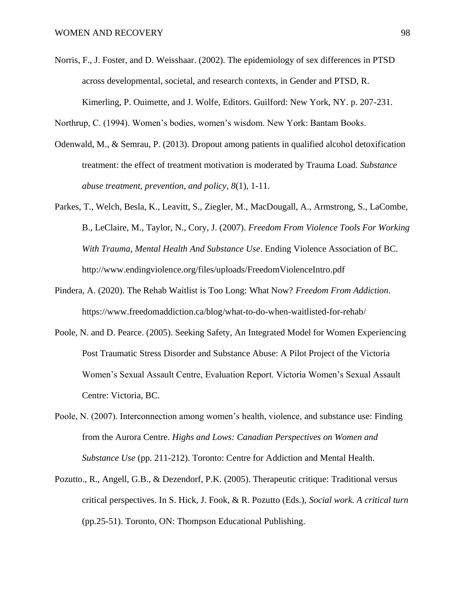- Norris, F., J. Foster, and D. Weisshaar. (2002). The epidemiology of sex differences in PTSD across developmental, societal, and research contexts, in Gender and PTSD, R. Kimerling, P. Ouimette, and J. Wolfe, Editors. Guilford: New York, NY. p. 207-231.
- Northrup, C. (1994). Women's bodies, women's wisdom. New York: Bantam Books.
- Odenwald, M., & Semrau, P. (2013). Dropout among patients in qualified alcohol detoxification treatment: the effect of treatment motivation is moderated by Trauma Load. *Substance abuse treatment, prevention, and policy*, *8*(1), 1-11.
- Parkes, T., Welch, Besla, K., Leavitt, S., Ziegler, M., MacDougall, A., Armstrong, S., LaCombe, B., LeClaire, M., Taylor, N., Cory, J. (2007). *Freedom From Violence Tools For Working With Trauma, Mental Health And Substance Use*. Ending Violence Association of BC. <http://www.endingviolence.org/files/uploads/FreedomViolenceIntro.pdf>
- Pindera, A. (2020). The Rehab Waitlist is Too Long: What Now? *Freedom From Addiction*. https://www.freedomaddiction.ca/blog/what-to-do-when-waitlisted-for-rehab/
- Poole, N. and D. Pearce. (2005). Seeking Safety, An Integrated Model for Women Experiencing Post Traumatic Stress Disorder and Substance Abuse: A Pilot Project of the Victoria Women's Sexual Assault Centre, Evaluation Report. Victoria Women's Sexual Assault Centre: Victoria, BC.
- Poole, N. (2007). Interconnection among women's health, violence, and substance use: Finding from the Aurora Centre. *Highs and Lows: Canadian Perspectives on Women and Substance Use* (pp. 211-212). Toronto: Centre for Addiction and Mental Health.
- Pozutto., R., Angell, G.B., & Dezendorf, P.K. (2005). Therapeutic critique: Traditional versus critical perspectives. In S. Hick, J. Fook, & R. Pozutto (Eds.), *Social work. A critical turn*  (pp.25-51). Toronto, ON: Thompson Educational Publishing.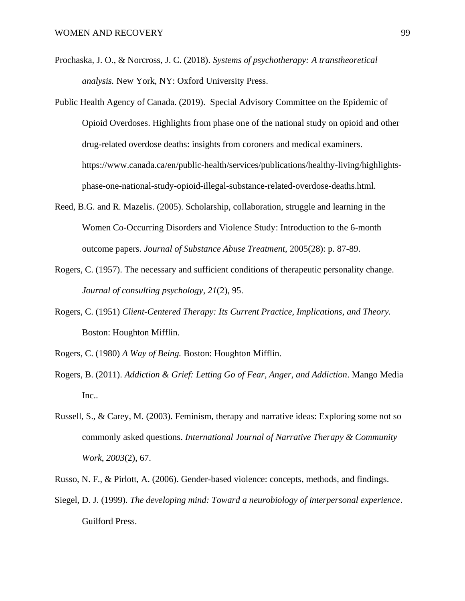- Prochaska, J. O., & Norcross, J. C. (2018). *Systems of psychotherapy: A transtheoretical analysis.* New York, NY: Oxford University Press.
- Public Health Agency of Canada. (2019). Special Advisory Committee on the Epidemic of Opioid Overdoses. Highlights from phase one of the national study on opioid and other drug-related overdose deaths: insights from coroners and medical examiners. [https://www.canada.ca/en/public-health/services/publications/healthy-living/highlights](https://www.canada.ca/en/public-health/services/publications/healthy-living/highlights-phase-one-national-study-opioid-illegal-substance-related-overdose-deaths.html)[phase-one-national-study-opioid-illegal-substance-related-overdose-deaths.html.](https://www.canada.ca/en/public-health/services/publications/healthy-living/highlights-phase-one-national-study-opioid-illegal-substance-related-overdose-deaths.html)
- Reed, B.G. and R. Mazelis. (2005). Scholarship, collaboration, struggle and learning in the Women Co-Occurring Disorders and Violence Study: Introduction to the 6-month outcome papers. *Journal of Substance Abuse Treatment,* 2005(28): p. 87-89.
- Rogers, C. (1957). The necessary and sufficient conditions of therapeutic personality change. *Journal of consulting psychology*, *21*(2), 95.
- Rogers, C. (1951) *Client-Centered Therapy: Its Current Practice, Implications, and Theory.* Boston: Houghton Mifflin.
- Rogers, C. (1980) *A Way of Being.* Boston: Houghton Mifflin.
- Rogers, B. (2011). *Addiction & Grief: Letting Go of Fear, Anger, and Addiction*. Mango Media Inc..
- Russell, S., & Carey, M. (2003). Feminism, therapy and narrative ideas: Exploring some not so commonly asked questions. *International Journal of Narrative Therapy & Community Work*, *2003*(2), 67.
- Russo, N. F., & Pirlott, A. (2006). Gender-based violence: concepts, methods, and findings.
- Siegel, D. J. (1999). *The developing mind: Toward a neurobiology of interpersonal experience*. Guilford Press.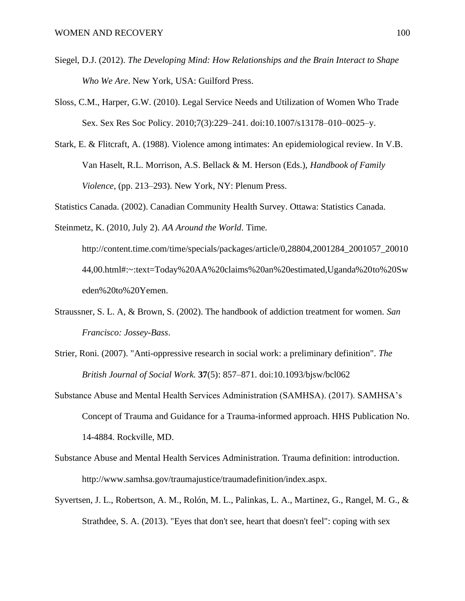- Siegel, D.J. (2012). *The Developing Mind: How Relationships and the Brain Interact to Shape Who We Are*. New York, USA: Guilford Press.
- Sloss, C.M., Harper, G.W. (2010). Legal Service Needs and Utilization of Women Who Trade Sex. Sex Res Soc Policy. 2010;7(3):229–241. doi:10.1007/s13178–010–0025–y.
- Stark, E. & Flitcraft, A. (1988). Violence among intimates: An epidemiological review. In V.B. Van Haselt, R.L. Morrison, A.S. Bellack & M. Herson (Eds.), *Handbook of Family Violence*, (pp. 213–293). New York, NY: Plenum Press.
- Statistics Canada. (2002). Canadian Community Health Survey. Ottawa: Statistics Canada.

Steinmetz, K. (2010, July 2). *AA Around the World*. Time.

http://content.time.com/time/specials/packages/article/0,28804,2001284\_2001057\_20010 44,00.html#:~:text=Today%20AA%20claims%20an%20estimated,Uganda%20to%20Sw eden%20to%20Yemen.

- Straussner, S. L. A, & Brown, S. (2002). The handbook of addiction treatment for women. *San Francisco: Jossey-Bass*.
- Strier, Roni. (2007). "Anti-oppressive research in social work: a preliminary definition". *[The](https://en.wikipedia.org/wiki/The_British_Journal_of_Social_Work)  [British Journal of Social Work.](https://en.wikipedia.org/wiki/The_British_Journal_of_Social_Work)* **37**(5): 857–871. [doi](https://en.wikipedia.org/wiki/Doi_(identifier))[:10.1093/bjsw/bcl062](https://doi.org/10.1093%252Fbjsw%252Fbcl062)
- Substance Abuse and Mental Health Services Administration (SAMHSA). (2017). SAMHSA's Concept of Trauma and Guidance for a Trauma-informed approach. HHS Publication No. 14-4884. Rockville, MD.
- Substance Abuse and Mental Health Services Administration. Trauma definition: introduction. http://www.samhsa.gov/traumajustice/traumadefinition/index.aspx.
- Syvertsen, J. L., Robertson, A. M., Rolón, M. L., Palinkas, L. A., Martinez, G., Rangel, M. G., & Strathdee, S. A. (2013). "Eyes that don't see, heart that doesn't feel": coping with sex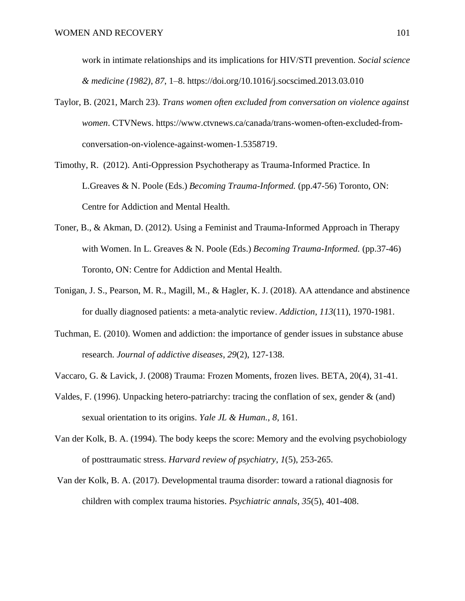work in intimate relationships and its implications for HIV/STI prevention. *Social science & medicine (1982)*, *87*, 1–8. https://doi.org/10.1016/j.socscimed.2013.03.010

- Taylor, B. (2021, March 23). *Trans women often excluded from conversation on violence against women*. CTVNews. https://www.ctvnews.ca/canada/trans-women-often-excluded-fromconversation-on-violence-against-women-1.5358719.
- Timothy, R. (2012). Anti-Oppression Psychotherapy as Trauma-Informed Practice. In L.Greaves & N. Poole (Eds.) *Becoming Trauma-Informed.* (pp.47-56) Toronto, ON: Centre for Addiction and Mental Health.
- Toner, B., & Akman, D. (2012). Using a Feminist and Trauma-Informed Approach in Therapy with Women. In L. Greaves & N. Poole (Eds.) *Becoming Trauma-Informed.* (pp.37-46) Toronto, ON: Centre for Addiction and Mental Health.
- Tonigan, J. S., Pearson, M. R., Magill, M., & Hagler, K. J. (2018). AA attendance and abstinence for dually diagnosed patients: a meta‐analytic review. *Addiction*, *113*(11), 1970-1981.
- Tuchman, E. (2010). Women and addiction: the importance of gender issues in substance abuse research. *Journal of addictive diseases*, *29*(2), 127-138.
- Vaccaro, G. & Lavick, J. (2008) Trauma: Frozen Moments, frozen lives. BETA, 20(4), 31-41.
- Valdes, F. (1996). Unpacking hetero-patriarchy: tracing the conflation of sex, gender & (and) sexual orientation to its origins. *Yale JL & Human.*, *8*, 161.
- Van der Kolk, B. A. (1994). The body keeps the score: Memory and the evolving psychobiology of posttraumatic stress. *Harvard review of psychiatry*, *1*(5), 253-265.
- Van der Kolk, B. A. (2017). Developmental trauma disorder: toward a rational diagnosis for children with complex trauma histories. *Psychiatric annals*, *35*(5), 401-408.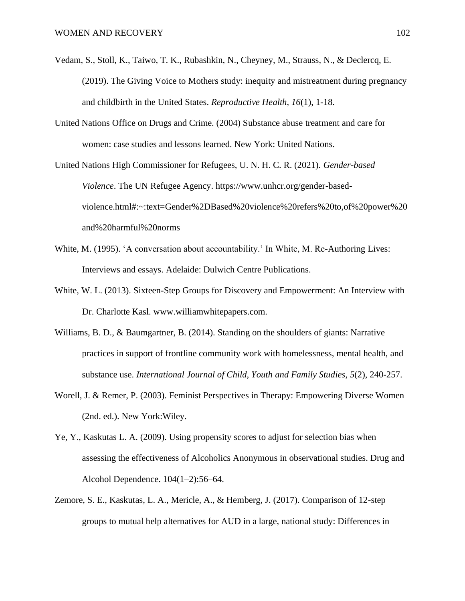- Vedam, S., Stoll, K., Taiwo, T. K., Rubashkin, N., Cheyney, M., Strauss, N., & Declercq, E. (2019). The Giving Voice to Mothers study: inequity and mistreatment during pregnancy and childbirth in the United States. *Reproductive Health*, *16*(1), 1-18.
- United Nations Office on Drugs and Crime. (2004) Substance abuse treatment and care for women: case studies and lessons learned. New York: United Nations.

United Nations High Commissioner for Refugees, U. N. H. C. R. (2021). *Gender-based Violence*. The UN Refugee Agency. https://www.unhcr.org/gender-basedviolence.html#:~:text=Gender%2DBased%20violence%20refers%20to,of%20power%20 and%20harmful%20norms

- White, M. (1995). 'A conversation about accountability.' In White, M. Re-Authoring Lives: Interviews and essays. Adelaide: Dulwich Centre Publications.
- White, W. L. (2013). Sixteen-Step Groups for Discovery and Empowerment: An Interview with Dr. Charlotte Kasl. www.williamwhitepapers.com.
- Williams, B. D., & Baumgartner, B. (2014). Standing on the shoulders of giants: Narrative practices in support of frontline community work with homelessness, mental health, and substance use. *International Journal of Child, Youth and Family Studies*, *5*(2), 240-257.
- Worell, J. & Remer, P. (2003). Feminist Perspectives in Therapy: Empowering Diverse Women (2nd. ed.). New York:Wiley.
- Ye, Y., Kaskutas L. A. (2009). Using propensity scores to adjust for selection bias when assessing the effectiveness of Alcoholics Anonymous in observational studies. Drug and Alcohol Dependence. 104(1–2):56–64.
- Zemore, S. E., Kaskutas, L. A., Mericle, A., & Hemberg, J. (2017). Comparison of 12-step groups to mutual help alternatives for AUD in a large, national study: Differences in